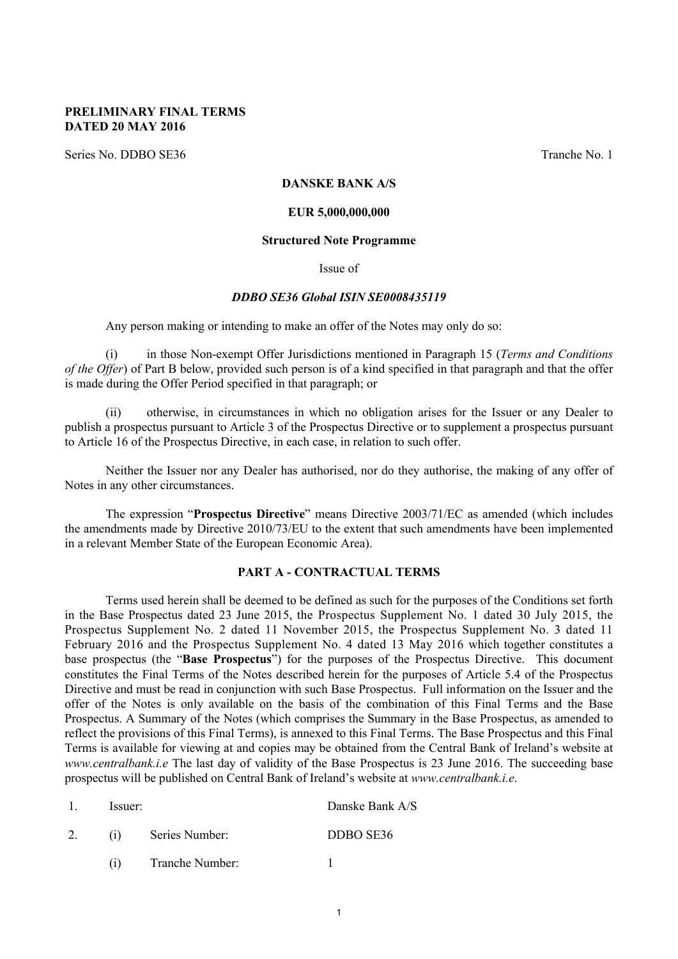#### **PRELIMINARY FINAL TERMS DATED 20 MAY 2016**

Series No. DDBO SE36 Tranche No. 1

### **DANSKE BANK A/S**

#### **EUR 5,000,000,000**

#### **Structured Note Programme**

#### Issue of

#### *DDBO SE36 Global ISIN SE0008435119*

Any person making or intending to make an offer of the Notes may only do so:

(i) in those Non-exempt Offer Jurisdictions mentioned in Paragraph 15 (*Terms and Conditions of the Offer*) of Part B below, provided such person is of a kind specified in that paragraph and that the offer is made during the Offer Period specified in that paragraph; or

(ii) otherwise, in circumstances in which no obligation arises for the Issuer or any Dealer to publish a prospectus pursuant to Article 3 of the Prospectus Directive or to supplement a prospectus pursuant to Article 16 of the Prospectus Directive, in each case, in relation to such offer.

Neither the Issuer nor any Dealer has authorised, nor do they authorise, the making of any offer of Notes in any other circumstances.

The expression "**Prospectus Directive**" means Directive 2003/71/EC as amended (which includes the amendments made by Directive 2010/73/EU to the extent that such amendments have been implemented in a relevant Member State of the European Economic Area).

#### **PART A - CONTRACTUAL TERMS**

Terms used herein shall be deemed to be defined as such for the purposes of the Conditions set forth in the Base Prospectus dated 23 June 2015, the Prospectus Supplement No. 1 dated 30 July 2015, the Prospectus Supplement No. 2 dated 11 November 2015, the Prospectus Supplement No. 3 dated 11 February 2016 and the Prospectus Supplement No. 4 dated 13 May 2016 which together constitutes a base prospectus (the "**Base Prospectus**") for the purposes of the Prospectus Directive. This document constitutes the Final Terms of the Notes described herein for the purposes of Article 5.4 of the Prospectus Directive and must be read in conjunction with such Base Prospectus. Full information on the Issuer and the offer of the Notes is only available on the basis of the combination of this Final Terms and the Base Prospectus. A Summary of the Notes (which comprises the Summary in the Base Prospectus, as amended to reflect the provisions of this Final Terms), is annexed to this Final Terms. The Base Prospectus and this Final Terms is available for viewing at and copies may be obtained from the Central Bank of Ireland's website at *www.centralbank.i.e* The last day of validity of the Base Prospectus is 23 June 2016. The succeeding base prospectus will be published on Central Bank of Ireland's website at *www.centralbank.i.e*.

| -- |     |                 |           |
|----|-----|-----------------|-----------|
|    | (1) | Series Number:  | DDBO SE36 |
|    |     | Tranche Number: |           |

1. Issuer: Danske Bank A/S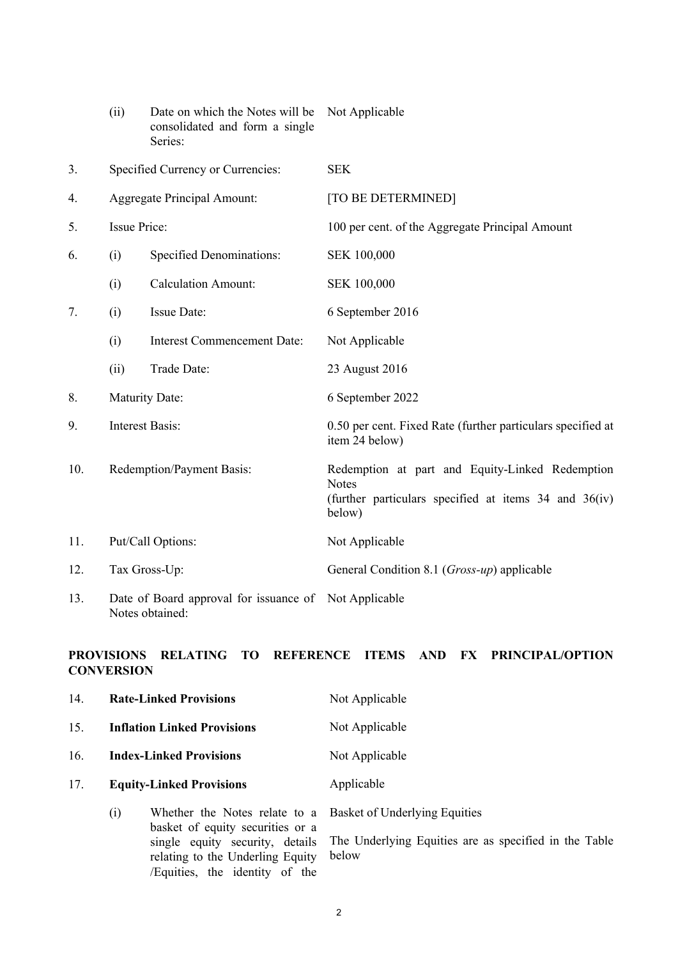|     | (ii)                      | Date on which the Notes will be<br>consolidated and form a single<br>Series: | Not Applicable                                                                                                                     |  |  |  |  |
|-----|---------------------------|------------------------------------------------------------------------------|------------------------------------------------------------------------------------------------------------------------------------|--|--|--|--|
| 3.  |                           | Specified Currency or Currencies:                                            | <b>SEK</b>                                                                                                                         |  |  |  |  |
| 4.  |                           | <b>Aggregate Principal Amount:</b>                                           | [TO BE DETERMINED]                                                                                                                 |  |  |  |  |
| 5.  | <b>Issue Price:</b>       |                                                                              | 100 per cent. of the Aggregate Principal Amount                                                                                    |  |  |  |  |
| 6.  | (i)                       | <b>Specified Denominations:</b>                                              | SEK 100,000                                                                                                                        |  |  |  |  |
|     | (i)                       | <b>Calculation Amount:</b>                                                   | SEK 100,000                                                                                                                        |  |  |  |  |
| 7.  | (i)                       | <b>Issue Date:</b>                                                           | 6 September 2016                                                                                                                   |  |  |  |  |
|     | (i)                       | <b>Interest Commencement Date:</b>                                           | Not Applicable                                                                                                                     |  |  |  |  |
|     | (ii)                      | Trade Date:                                                                  | 23 August 2016                                                                                                                     |  |  |  |  |
| 8.  |                           | Maturity Date:                                                               | 6 September 2022                                                                                                                   |  |  |  |  |
| 9.  |                           | <b>Interest Basis:</b>                                                       | 0.50 per cent. Fixed Rate (further particulars specified at<br>item 24 below)                                                      |  |  |  |  |
| 10. | Redemption/Payment Basis: |                                                                              | Redemption at part and Equity-Linked Redemption<br><b>Notes</b><br>(further particulars specified at items 34 and 36(iv)<br>below) |  |  |  |  |
| 11. |                           | Put/Call Options:                                                            | Not Applicable                                                                                                                     |  |  |  |  |
| 12. |                           | Tax Gross-Up:                                                                | General Condition 8.1 ( <i>Gross-up</i> ) applicable                                                                               |  |  |  |  |
| 13. |                           | Date of Board approval for issuance of Not Applicable<br>Notes obtained:     |                                                                                                                                    |  |  |  |  |

## **PROVISIONS RELATING TO REFERENCE ITEMS AND FX PRINCIPAL/OPTION CONVERSION**

| 14. |                                | <b>Rate-Linked Provisions</b>                                                                                                      | Not Applicable                     |  |  |  |  |  |
|-----|--------------------------------|------------------------------------------------------------------------------------------------------------------------------------|------------------------------------|--|--|--|--|--|
| 15. |                                | <b>Inflation Linked Provisions</b>                                                                                                 | Not Applicable                     |  |  |  |  |  |
| 16. | <b>Index-Linked Provisions</b> |                                                                                                                                    | Not Applicable                     |  |  |  |  |  |
| 17. |                                | <b>Equity-Linked Provisions</b>                                                                                                    | Applicable                         |  |  |  |  |  |
|     | (i)                            | Whether the Notes relate to a Basket of Underlying Equities<br>basket of equity securities or a<br>single equity security, details | The Underlying Equities are as spe |  |  |  |  |  |

relating to the Underling Equity /Equities, the identity of the The Underlying Equities are as specified in the Table below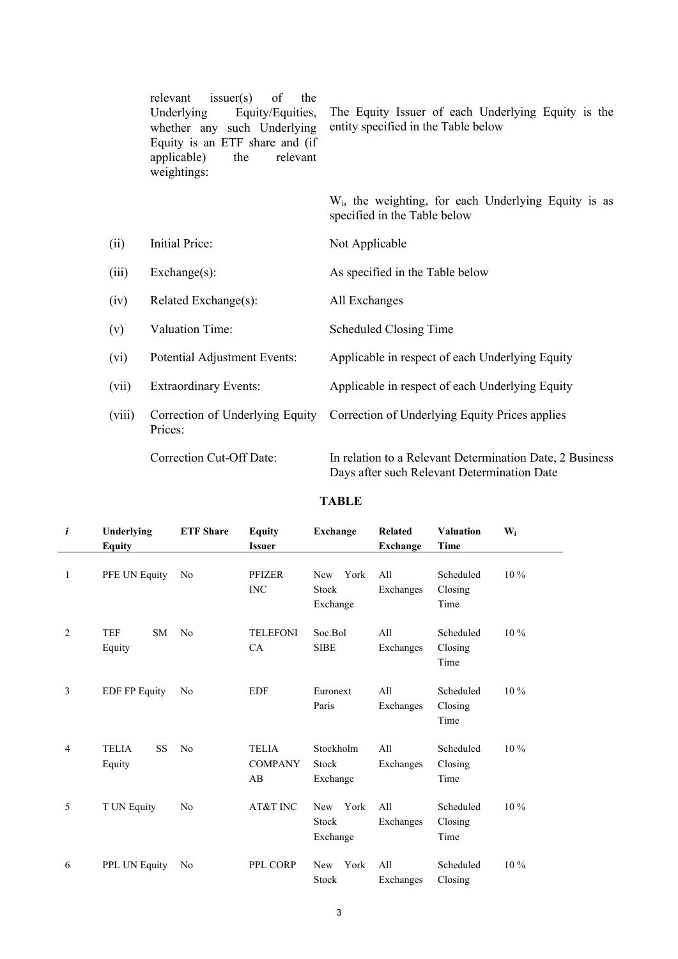|        | is <sub>super</sub> (s)<br>relevant<br>of<br>the<br>Underlying<br>Equity/Equities,<br>whether any such Underlying<br>Equity is an ETF share and (if<br>relevant<br>applicable)<br>the<br>weightings: | The Equity Issuer of each Underlying Equity is the<br>entity specified in the Table below               |  |  |  |  |  |
|--------|------------------------------------------------------------------------------------------------------------------------------------------------------------------------------------------------------|---------------------------------------------------------------------------------------------------------|--|--|--|--|--|
|        |                                                                                                                                                                                                      | W <sub>i</sub> , the weighting, for each Underlying Equity is as<br>specified in the Table below        |  |  |  |  |  |
| (ii)   | Initial Price:                                                                                                                                                                                       | Not Applicable                                                                                          |  |  |  |  |  |
| (iii)  | $Exchange(s)$ :                                                                                                                                                                                      | As specified in the Table below                                                                         |  |  |  |  |  |
| (iv)   | Related Exchange(s):                                                                                                                                                                                 | All Exchanges                                                                                           |  |  |  |  |  |
| (v)    | Valuation Time:                                                                                                                                                                                      | <b>Scheduled Closing Time</b>                                                                           |  |  |  |  |  |
| (vi)   | Potential Adjustment Events:                                                                                                                                                                         | Applicable in respect of each Underlying Equity                                                         |  |  |  |  |  |
| (vii)  | <b>Extraordinary Events:</b>                                                                                                                                                                         | Applicable in respect of each Underlying Equity                                                         |  |  |  |  |  |
| (viii) | Correction of Underlying Equity<br>Prices:                                                                                                                                                           | Correction of Underlying Equity Prices applies                                                          |  |  |  |  |  |
|        | Correction Cut-Off Date:                                                                                                                                                                             | In relation to a Relevant Determination Date, 2 Business<br>Days after such Relevant Determination Date |  |  |  |  |  |

### **TABLE**

| i | Underlying<br><b>Equity</b>   | <b>ETF</b> Share | <b>Equity</b><br><b>Exchange</b><br><b>Issuer</b> |                                                | <b>Related</b><br><b>Exchange</b> | <b>Valuation</b><br>Time     | $W_i$  |
|---|-------------------------------|------------------|---------------------------------------------------|------------------------------------------------|-----------------------------------|------------------------------|--------|
| 1 | PFE UN Equity                 | N <sub>0</sub>   | <b>PFIZER</b><br><b>INC</b>                       | New York<br><b>Stock</b><br>Exchange           | A11<br>Exchanges                  | Scheduled<br>Closing<br>Time | $10\%$ |
| 2 | <b>TEF</b><br>SM.<br>Equity   | No               | <b>TELEFONI</b><br>CA                             | Soc.Bol<br><b>SIBE</b>                         | A11<br>Exchanges                  | Scheduled<br>Closing<br>Time | $10\%$ |
| 3 | <b>EDF FP Equity</b>          | N <sub>0</sub>   | <b>EDF</b>                                        | Euronext<br>Paris                              | A11<br>Exchanges                  | Scheduled<br>Closing<br>Time | $10\%$ |
| 4 | <b>TELIA</b><br>SS.<br>Equity | N <sub>0</sub>   | <b>TELIA</b><br><b>COMPANY</b><br>AB              | Stockholm<br>Stock<br>Exchange                 | A11<br>Exchanges                  | Scheduled<br>Closing<br>Time | $10\%$ |
| 5 | T UN Equity                   | N <sub>0</sub>   | AT&T INC                                          | York<br><b>New</b><br><b>Stock</b><br>Exchange | A11<br>Exchanges                  | Scheduled<br>Closing<br>Time | $10\%$ |
| 6 | PPL UN Equity                 | N <sub>0</sub>   | PPL CORP                                          | New<br>York<br>Stock                           | All<br>Exchanges                  | Scheduled<br>Closing         | $10\%$ |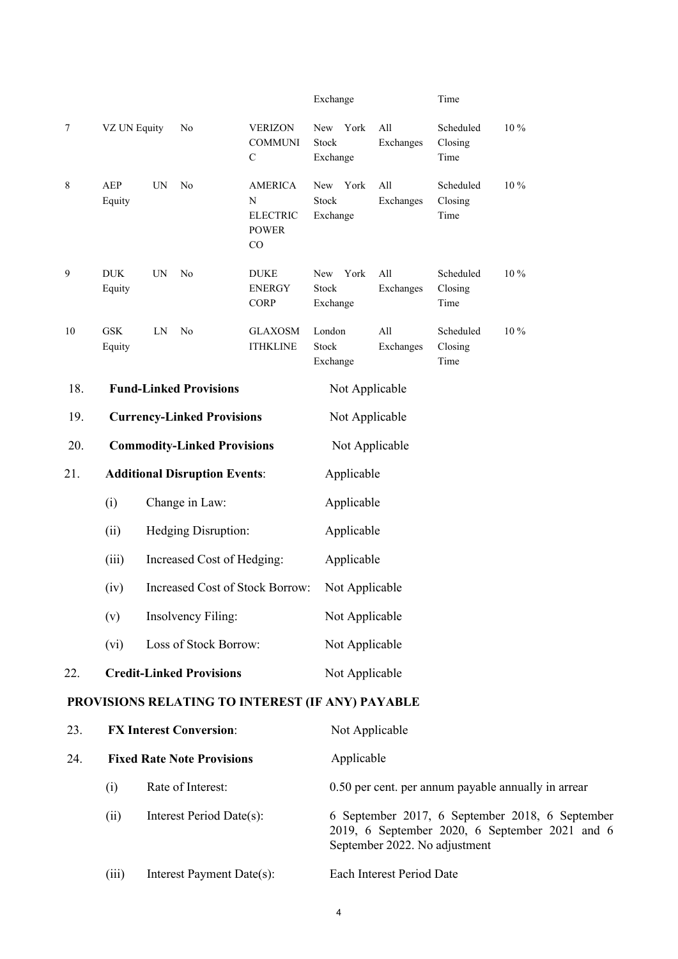|     |                                   |           |                                      |                                                              | Exchange                         |                                                                                                                                    | Time                         |          |  |  |  |  |  |  |
|-----|-----------------------------------|-----------|--------------------------------------|--------------------------------------------------------------|----------------------------------|------------------------------------------------------------------------------------------------------------------------------------|------------------------------|----------|--|--|--|--|--|--|
| 7   | VZ UN Equity                      |           | N <sub>0</sub>                       | <b>VERIZON</b><br><b>COMMUNI</b><br>$\mathsf{C}$             | York<br>New<br>Stock<br>Exchange | All<br>Exchanges                                                                                                                   | Scheduled<br>Closing<br>Time | 10 %     |  |  |  |  |  |  |
| 8   | AEP<br>Equity                     | <b>UN</b> | N <sub>0</sub>                       | <b>AMERICA</b><br>N<br><b>ELECTRIC</b><br><b>POWER</b><br>CO | New York<br>Stock<br>Exchange    | All<br>Exchanges                                                                                                                   | Scheduled<br>Closing<br>Time | 10 %     |  |  |  |  |  |  |
| 9   | <b>DUK</b><br>Equity              | UN        | No                                   | <b>DUKE</b><br><b>ENERGY</b><br><b>CORP</b>                  | New<br>York<br>Stock<br>Exchange | All<br>Exchanges                                                                                                                   | Scheduled<br>Closing<br>Time | 10 %     |  |  |  |  |  |  |
| 10  | <b>GSK</b><br>Equity              | LN        | N <sub>0</sub>                       | <b>GLAXOSM</b><br><b>ITHKLINE</b>                            | London<br>Stock<br>Exchange      | All<br>Exchanges                                                                                                                   | Scheduled<br>Closing<br>Time | $10\,\%$ |  |  |  |  |  |  |
| 18. |                                   |           | <b>Fund-Linked Provisions</b>        |                                                              | Not Applicable                   |                                                                                                                                    |                              |          |  |  |  |  |  |  |
| 19. | <b>Currency-Linked Provisions</b> |           |                                      |                                                              |                                  | Not Applicable                                                                                                                     |                              |          |  |  |  |  |  |  |
| 20. |                                   |           | <b>Commodity-Linked Provisions</b>   |                                                              |                                  | Not Applicable                                                                                                                     |                              |          |  |  |  |  |  |  |
| 21. |                                   |           | <b>Additional Disruption Events:</b> |                                                              |                                  | Applicable                                                                                                                         |                              |          |  |  |  |  |  |  |
|     | (i)                               |           | Change in Law:                       |                                                              |                                  | Applicable                                                                                                                         |                              |          |  |  |  |  |  |  |
|     | (ii)                              |           | Hedging Disruption:                  |                                                              |                                  | Applicable                                                                                                                         |                              |          |  |  |  |  |  |  |
|     | (iii)                             |           | Increased Cost of Hedging:           |                                                              |                                  | Applicable                                                                                                                         |                              |          |  |  |  |  |  |  |
|     | (iv)                              |           |                                      | <b>Increased Cost of Stock Borrow:</b>                       |                                  | Not Applicable                                                                                                                     |                              |          |  |  |  |  |  |  |
|     | (v)                               |           | <b>Insolvency Filing:</b>            |                                                              |                                  | Not Applicable                                                                                                                     |                              |          |  |  |  |  |  |  |
|     | (vi)                              |           | Loss of Stock Borrow:                |                                                              | Not Applicable                   |                                                                                                                                    |                              |          |  |  |  |  |  |  |
| 22. |                                   |           | <b>Credit-Linked Provisions</b>      |                                                              |                                  | Not Applicable                                                                                                                     |                              |          |  |  |  |  |  |  |
|     |                                   |           |                                      | PROVISIONS RELATING TO INTEREST (IF ANY) PAYABLE             |                                  |                                                                                                                                    |                              |          |  |  |  |  |  |  |
| 23. |                                   |           | <b>FX Interest Conversion:</b>       |                                                              | Not Applicable                   |                                                                                                                                    |                              |          |  |  |  |  |  |  |
| 24. |                                   |           | <b>Fixed Rate Note Provisions</b>    |                                                              | Applicable                       |                                                                                                                                    |                              |          |  |  |  |  |  |  |
|     | (i)                               |           | Rate of Interest:                    |                                                              |                                  | 0.50 per cent. per annum payable annually in arrear                                                                                |                              |          |  |  |  |  |  |  |
|     | (ii)                              |           | Interest Period Date(s):             |                                                              |                                  | 6 September 2017, 6 September 2018, 6 September<br>2019, 6 September 2020, 6 September 2021 and 6<br>September 2022. No adjustment |                              |          |  |  |  |  |  |  |
|     | (iii)                             |           | Interest Payment Date(s):            |                                                              |                                  | Each Interest Period Date                                                                                                          |                              |          |  |  |  |  |  |  |

4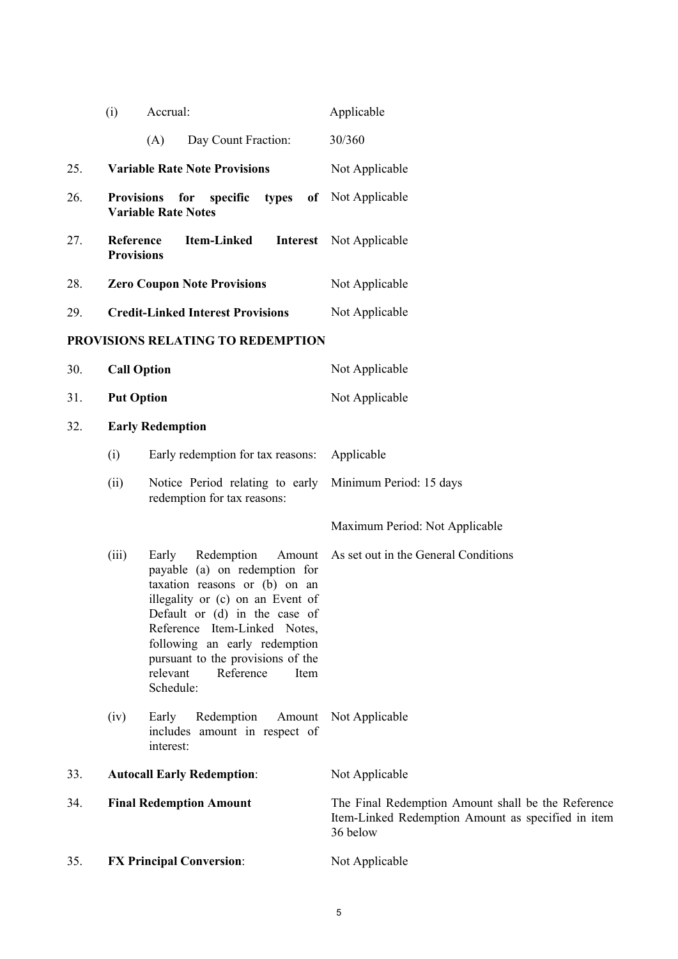|     | (i)                            | Accrual:                                                                                                                                                                                                                                                                                                                 | Applicable                                                                                                           |
|-----|--------------------------------|--------------------------------------------------------------------------------------------------------------------------------------------------------------------------------------------------------------------------------------------------------------------------------------------------------------------------|----------------------------------------------------------------------------------------------------------------------|
|     |                                | (A)<br>Day Count Fraction:                                                                                                                                                                                                                                                                                               | 30/360                                                                                                               |
| 25. |                                | <b>Variable Rate Note Provisions</b>                                                                                                                                                                                                                                                                                     | Not Applicable                                                                                                       |
| 26. | <b>Provisions</b>              | for<br>specific<br>types<br><b>Variable Rate Notes</b>                                                                                                                                                                                                                                                                   | of Not Applicable                                                                                                    |
| 27. | Reference<br><b>Provisions</b> | <b>Item-Linked</b>                                                                                                                                                                                                                                                                                                       | <b>Interest</b> Not Applicable                                                                                       |
| 28. |                                | <b>Zero Coupon Note Provisions</b>                                                                                                                                                                                                                                                                                       | Not Applicable                                                                                                       |
| 29. |                                | <b>Credit-Linked Interest Provisions</b>                                                                                                                                                                                                                                                                                 | Not Applicable                                                                                                       |
|     |                                | PROVISIONS RELATING TO REDEMPTION                                                                                                                                                                                                                                                                                        |                                                                                                                      |
| 30. | <b>Call Option</b>             |                                                                                                                                                                                                                                                                                                                          | Not Applicable                                                                                                       |
| 31. | <b>Put Option</b>              |                                                                                                                                                                                                                                                                                                                          | Not Applicable                                                                                                       |
| 32. |                                | <b>Early Redemption</b>                                                                                                                                                                                                                                                                                                  |                                                                                                                      |
|     | (i)                            | Early redemption for tax reasons:                                                                                                                                                                                                                                                                                        | Applicable                                                                                                           |
|     | (ii)                           | Notice Period relating to early<br>redemption for tax reasons:                                                                                                                                                                                                                                                           | Minimum Period: 15 days                                                                                              |
|     |                                |                                                                                                                                                                                                                                                                                                                          | Maximum Period: Not Applicable                                                                                       |
|     | (iii)                          | Early<br>Redemption<br>Amount<br>payable (a) on redemption for<br>taxation reasons or (b) on an<br>illegality or (c) on an Event of<br>Default or (d) in the case of<br>Reference Item-Linked Notes,<br>following an early redemption<br>pursuant to the provisions of the<br>relevant<br>Reference<br>Item<br>Schedule: | As set out in the General Conditions                                                                                 |
|     | (iv)                           | Redemption<br>Amount<br>Early<br>includes amount in respect of<br>interest:                                                                                                                                                                                                                                              | Not Applicable                                                                                                       |
| 33. |                                | <b>Autocall Early Redemption:</b>                                                                                                                                                                                                                                                                                        | Not Applicable                                                                                                       |
| 34. |                                | <b>Final Redemption Amount</b>                                                                                                                                                                                                                                                                                           | The Final Redemption Amount shall be the Reference<br>Item-Linked Redemption Amount as specified in item<br>36 below |
| 35. |                                | <b>FX Principal Conversion:</b>                                                                                                                                                                                                                                                                                          | Not Applicable                                                                                                       |
|     |                                |                                                                                                                                                                                                                                                                                                                          |                                                                                                                      |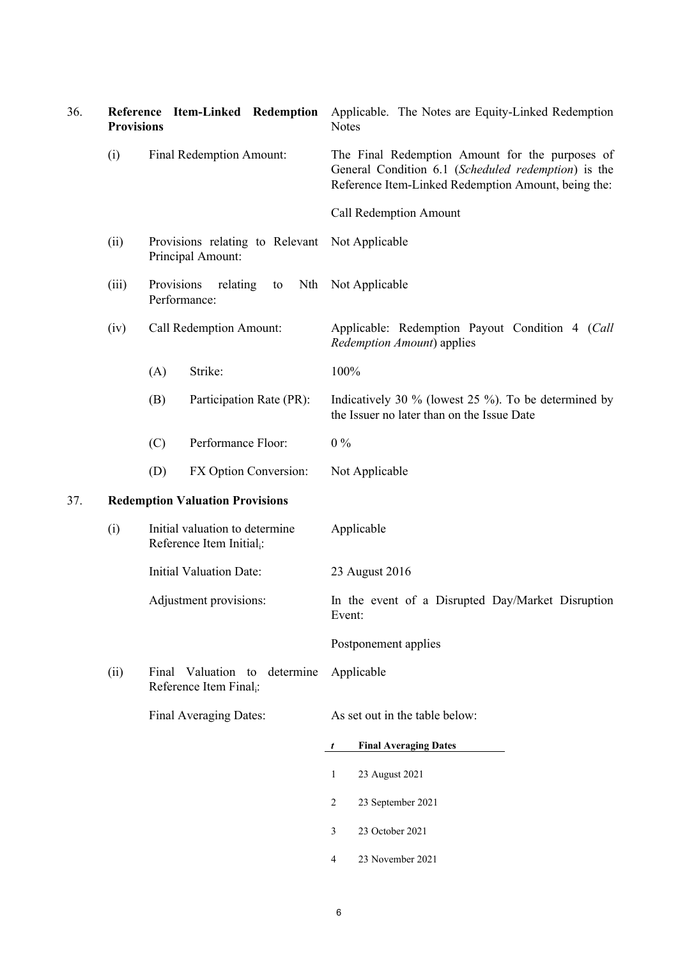| 36. | <b>Provisions</b> | Reference Item-Linked Redemption                                        | Applicable. The Notes are Equity-Linked Redemption<br><b>Notes</b>                                                                                            |  |  |  |  |  |  |  |
|-----|-------------------|-------------------------------------------------------------------------|---------------------------------------------------------------------------------------------------------------------------------------------------------------|--|--|--|--|--|--|--|
|     | (i)               | Final Redemption Amount:                                                | The Final Redemption Amount for the purposes of<br>General Condition 6.1 (Scheduled redemption) is the<br>Reference Item-Linked Redemption Amount, being the: |  |  |  |  |  |  |  |
|     |                   |                                                                         | Call Redemption Amount                                                                                                                                        |  |  |  |  |  |  |  |
|     | (ii)              | Provisions relating to Relevant<br>Principal Amount:                    | Not Applicable                                                                                                                                                |  |  |  |  |  |  |  |
|     | (iii)             | Provisions<br>relating<br>Nth<br>to<br>Performance:                     | Not Applicable                                                                                                                                                |  |  |  |  |  |  |  |
|     | (iv)              | Call Redemption Amount:                                                 | Applicable: Redemption Payout Condition 4 (Call<br>Redemption Amount) applies                                                                                 |  |  |  |  |  |  |  |
|     |                   | Strike:<br>(A)                                                          | 100%                                                                                                                                                          |  |  |  |  |  |  |  |
|     |                   | (B)<br>Participation Rate (PR):                                         | Indicatively 30 $\%$ (lowest 25 $\%$ ). To be determined by<br>the Issuer no later than on the Issue Date                                                     |  |  |  |  |  |  |  |
|     |                   | Performance Floor:<br>(C)                                               | $0\%$                                                                                                                                                         |  |  |  |  |  |  |  |
|     |                   | (D)<br>FX Option Conversion:                                            | Not Applicable                                                                                                                                                |  |  |  |  |  |  |  |
| 37. |                   | <b>Redemption Valuation Provisions</b>                                  |                                                                                                                                                               |  |  |  |  |  |  |  |
|     | (i)               | Initial valuation to determine<br>Reference Item Initial <sub>i</sub> : | Applicable                                                                                                                                                    |  |  |  |  |  |  |  |
|     |                   | <b>Initial Valuation Date:</b>                                          | 23 August 2016                                                                                                                                                |  |  |  |  |  |  |  |
|     |                   | Adjustment provisions:                                                  | In the event of a Disrupted Day/Market Disruption<br>Event:                                                                                                   |  |  |  |  |  |  |  |
|     |                   |                                                                         | Postponement applies                                                                                                                                          |  |  |  |  |  |  |  |
|     | (ii)              | Valuation to determine<br>Final<br>Reference Item Final <sub>i</sub> :  | Applicable                                                                                                                                                    |  |  |  |  |  |  |  |
|     |                   | Final Averaging Dates:                                                  | As set out in the table below:                                                                                                                                |  |  |  |  |  |  |  |
|     |                   |                                                                         | <b>Final Averaging Dates</b><br>$\boldsymbol{t}$                                                                                                              |  |  |  |  |  |  |  |
|     |                   |                                                                         | 23 August 2021<br>$\mathbf{1}$                                                                                                                                |  |  |  |  |  |  |  |
|     |                   |                                                                         | $\overline{c}$<br>23 September 2021                                                                                                                           |  |  |  |  |  |  |  |
|     |                   |                                                                         | 23 October 2021<br>3                                                                                                                                          |  |  |  |  |  |  |  |
|     |                   |                                                                         | 23 November 2021<br>4                                                                                                                                         |  |  |  |  |  |  |  |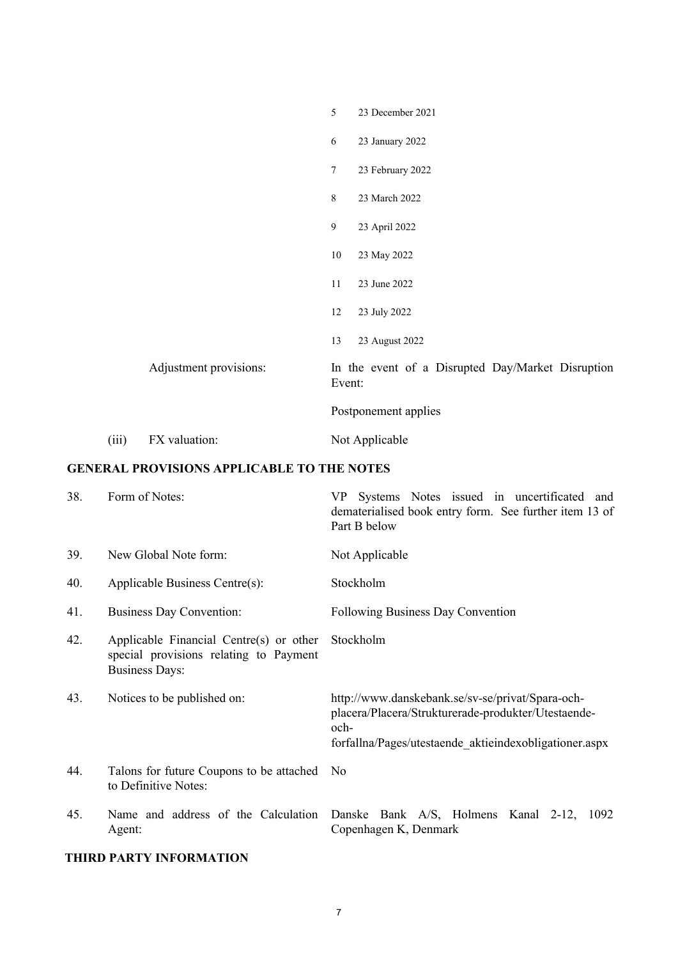|       |                        | 5                    | 23 December 2021                                  |  |  |  |
|-------|------------------------|----------------------|---------------------------------------------------|--|--|--|
|       |                        | $\sqrt{6}$           | 23 January 2022                                   |  |  |  |
|       |                        | $\boldsymbol{7}$     | 23 February 2022                                  |  |  |  |
|       |                        | $8\,$                | 23 March 2022                                     |  |  |  |
|       |                        | $\mathfrak{g}$       | 23 April 2022                                     |  |  |  |
|       |                        | 10                   | 23 May 2022                                       |  |  |  |
|       |                        | 11                   | 23 June 2022                                      |  |  |  |
|       |                        | 12                   | 23 July 2022                                      |  |  |  |
|       |                        | 13                   | 23 August 2022                                    |  |  |  |
|       | Adjustment provisions: | Event:               | In the event of a Disrupted Day/Market Disruption |  |  |  |
|       |                        | Postponement applies |                                                   |  |  |  |
| (iii) | FX valuation:          |                      | Not Applicable                                    |  |  |  |

### **GENERAL PROVISIONS APPLICABLE TO THE NOTES**

| 38. | Form of Notes:                                                                                             | Systems Notes issued in uncertificated and<br>VP —<br>dematerialised book entry form. See further item 13 of<br>Part B below                                              |  |  |  |  |  |  |
|-----|------------------------------------------------------------------------------------------------------------|---------------------------------------------------------------------------------------------------------------------------------------------------------------------------|--|--|--|--|--|--|
| 39. | New Global Note form:                                                                                      | Not Applicable                                                                                                                                                            |  |  |  |  |  |  |
| 40. | Applicable Business Centre(s):                                                                             | Stockholm                                                                                                                                                                 |  |  |  |  |  |  |
| 41. | <b>Business Day Convention:</b>                                                                            | Following Business Day Convention                                                                                                                                         |  |  |  |  |  |  |
| 42. | Applicable Financial Centre(s) or other<br>special provisions relating to Payment<br><b>Business Days:</b> | Stockholm                                                                                                                                                                 |  |  |  |  |  |  |
| 43. | Notices to be published on:                                                                                | http://www.danskebank.se/sv-se/privat/Spara-och-<br>placera/Placera/Strukturerade-produkter/Utestaende-<br>och-<br>forfallna/Pages/utestaende aktieindexobligationer.aspx |  |  |  |  |  |  |
| 44. | Talons for future Coupons to be attached No<br>to Definitive Notes:                                        |                                                                                                                                                                           |  |  |  |  |  |  |
| 45. | Name and address of the Calculation<br>Agent:                                                              | Danske Bank A/S, Holmens Kanal 2-12, 1092<br>Copenhagen K, Denmark                                                                                                        |  |  |  |  |  |  |

## **THIRD PARTY INFORMATION**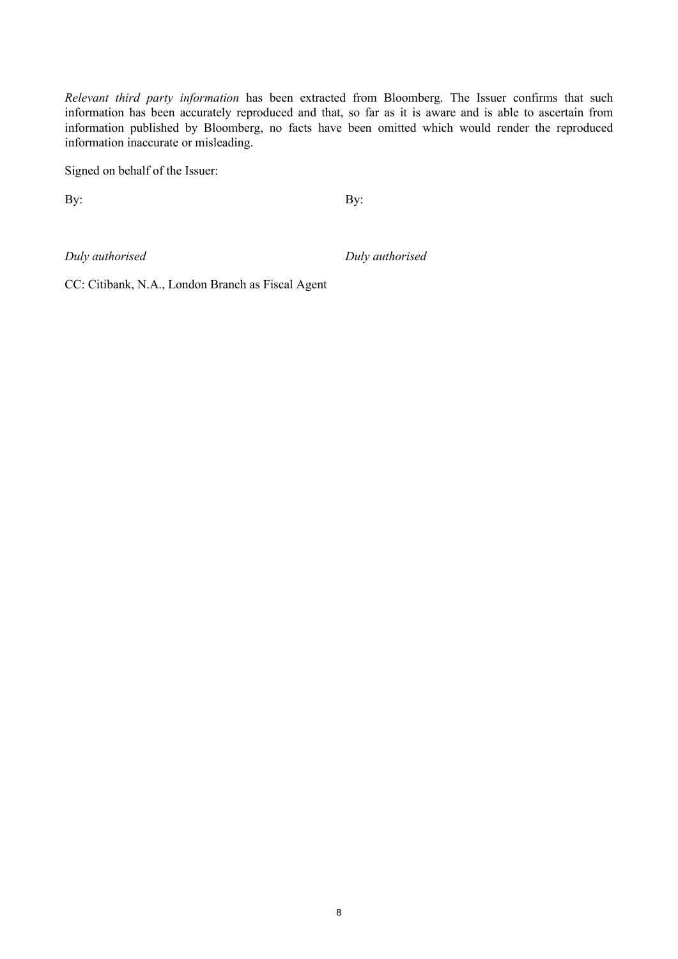*Relevant third party information* has been extracted from Bloomberg. The Issuer confirms that such information has been accurately reproduced and that, so far as it is aware and is able to ascertain from information published by Bloomberg, no facts have been omitted which would render the reproduced information inaccurate or misleading.

Signed on behalf of the Issuer:

By: By:

*Duly authorised Duly authorised*

CC: Citibank, N.A., London Branch as Fiscal Agent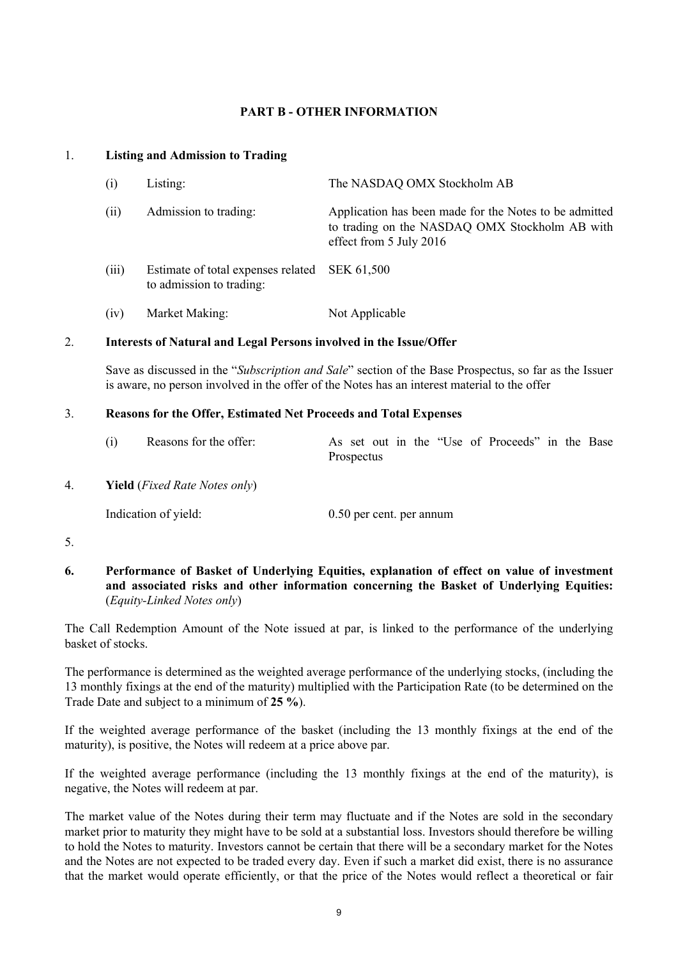### **PART B - OTHER INFORMATION**

#### 1. **Listing and Admission to Trading**

| (i)   | Listing:                                                       | The NASDAQ OMX Stockholm AB                                                                                                         |
|-------|----------------------------------------------------------------|-------------------------------------------------------------------------------------------------------------------------------------|
| (ii)  | Admission to trading:                                          | Application has been made for the Notes to be admitted<br>to trading on the NASDAQ OMX Stockholm AB with<br>effect from 5 July 2016 |
| (iii) | Estimate of total expenses related<br>to admission to trading: | SEK 61,500                                                                                                                          |
| (iv)  | Market Making:                                                 | Not Applicable                                                                                                                      |

#### 2. **Interests of Natural and Legal Persons involved in the Issue/Offer**

Save as discussed in the "*Subscription and Sale*" section of the Base Prospectus, so far as the Issuer is aware, no person involved in the offer of the Notes has an interest material to the offer

#### 3. **Reasons for the Offer, Estimated Net Proceeds and Total Expenses**

| (i) | Reasons for the offer: |            |  |  |  |  |  |  | As set out in the "Use of Proceeds" in the Base |  |  |
|-----|------------------------|------------|--|--|--|--|--|--|-------------------------------------------------|--|--|
|     |                        | Prospectus |  |  |  |  |  |  |                                                 |  |  |
|     |                        |            |  |  |  |  |  |  |                                                 |  |  |

4. **Yield** (*Fixed Rate Notes only*)

Indication of yield: 0.50 per cent. per annum

5.

**6. Performance of Basket of Underlying Equities, explanation of effect on value of investment and associated risks and other information concerning the Basket of Underlying Equities:** (*Equity-Linked Notes only*)

The Call Redemption Amount of the Note issued at par, is linked to the performance of the underlying basket of stocks.

The performance is determined as the weighted average performance of the underlying stocks, (including the 13 monthly fixings at the end of the maturity) multiplied with the Participation Rate (to be determined on the Trade Date and subject to a minimum of **25 %**).

If the weighted average performance of the basket (including the 13 monthly fixings at the end of the maturity), is positive, the Notes will redeem at a price above par.

If the weighted average performance (including the 13 monthly fixings at the end of the maturity), is negative, the Notes will redeem at par.

The market value of the Notes during their term may fluctuate and if the Notes are sold in the secondary market prior to maturity they might have to be sold at a substantial loss. Investors should therefore be willing to hold the Notes to maturity. Investors cannot be certain that there will be a secondary market for the Notes and the Notes are not expected to be traded every day. Even if such a market did exist, there is no assurance that the market would operate efficiently, or that the price of the Notes would reflect a theoretical or fair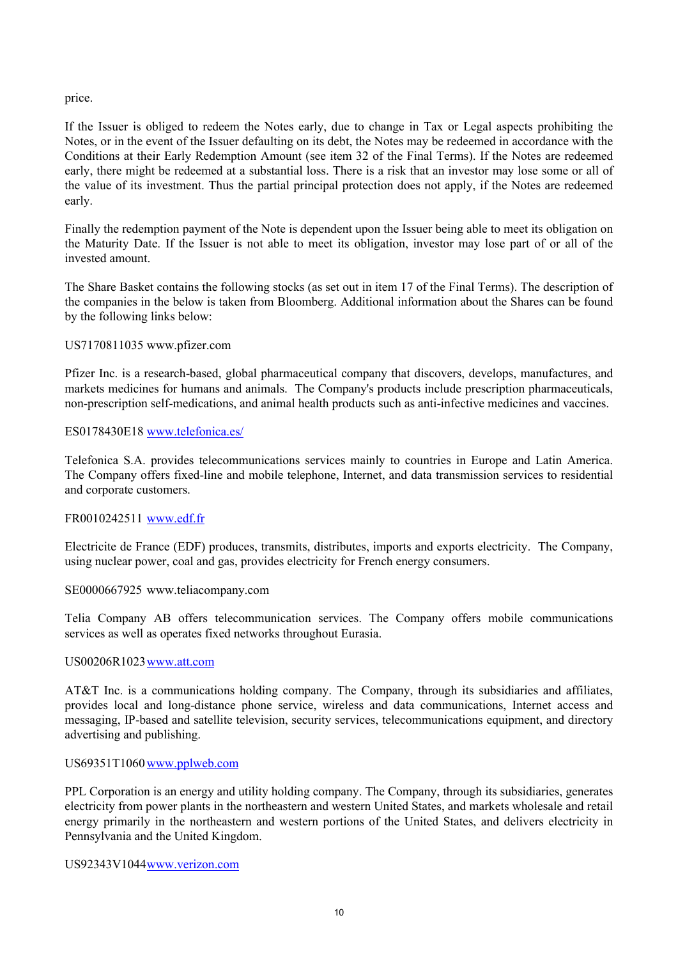### price.

If the Issuer is obliged to redeem the Notes early, due to change in Tax or Legal aspects prohibiting the Notes, or in the event of the Issuer defaulting on its debt, the Notes may be redeemed in accordance with the Conditions at their Early Redemption Amount (see item 32 of the Final Terms). If the Notes are redeemed early, there might be redeemed at a substantial loss. There is a risk that an investor may lose some or all of the value of its investment. Thus the partial principal protection does not apply, if the Notes are redeemed early.

Finally the redemption payment of the Note is dependent upon the Issuer being able to meet its obligation on the Maturity Date. If the Issuer is not able to meet its obligation, investor may lose part of or all of the invested amount.

The Share Basket contains the following stocks (as set out in item 17 of the Final Terms). The description of the companies in the below is taken from Bloomberg. Additional information about the Shares can be found by the following links below:

#### US7170811035 www.pfizer.com

Pfizer Inc. is a research-based, global pharmaceutical company that discovers, develops, manufactures, and markets medicines for humans and animals. The Company's products include prescription pharmaceuticals, non-prescription self-medications, and animal health products such as anti-infective medicines and vaccines.

### ES0178430E18 www.telefonica.es/

Telefonica S.A. provides telecommunications services mainly to countries in Europe and Latin America. The Company offers fixed-line and mobile telephone, Internet, and data transmission services to residential and corporate customers.

#### FR0010242511 www.edf.fr

Electricite de France (EDF) produces, transmits, distributes, imports and exports electricity. The Company, using nuclear power, coal and gas, provides electricity for French energy consumers.

#### SE0000667925 www.teliacompany.com

Telia Company AB offers telecommunication services. The Company offers mobile communications services as well as operates fixed networks throughout Eurasia.

#### US00206R1023www.att.com

AT&T Inc. is a communications holding company. The Company, through its subsidiaries and affiliates, provides local and long-distance phone service, wireless and data communications, Internet access and messaging, IP-based and satellite television, security services, telecommunications equipment, and directory advertising and publishing.

#### US69351T1060 www.pplweb.com

PPL Corporation is an energy and utility holding company. The Company, through its subsidiaries, generates electricity from power plants in the northeastern and western United States, and markets wholesale and retail energy primarily in the northeastern and western portions of the United States, and delivers electricity in Pennsylvania and the United Kingdom.

#### US92343V1044www.verizon.com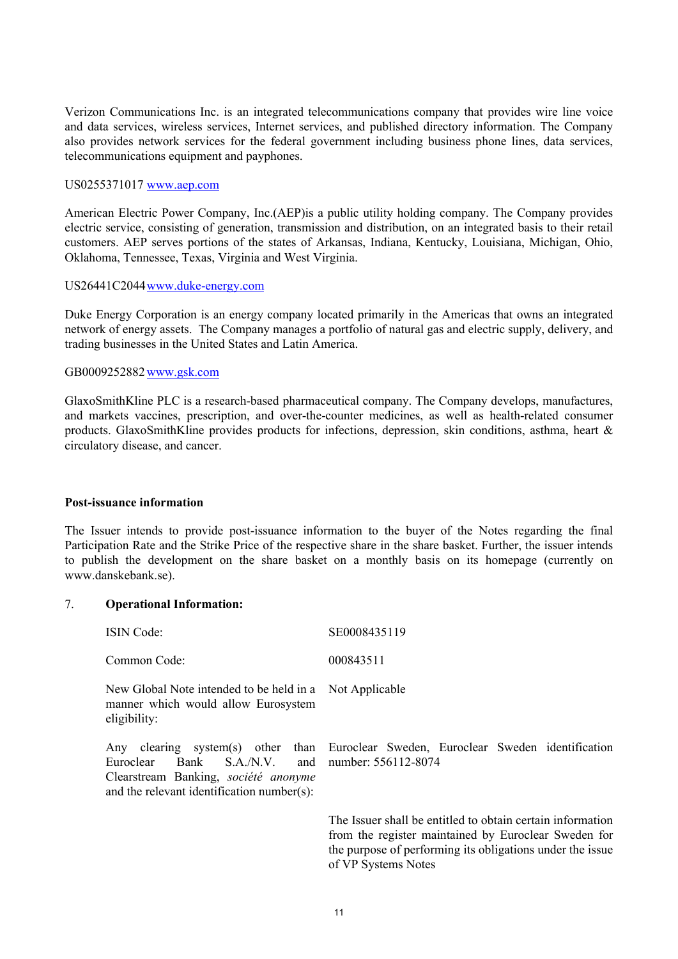Verizon Communications Inc. is an integrated telecommunications company that provides wire line voice and data services, wireless services, Internet services, and published directory information. The Company also provides network services for the federal government including business phone lines, data services, telecommunications equipment and payphones.

#### US0255371017 www.aep.com

American Electric Power Company, Inc.(AEP)is a public utility holding company. The Company provides electric service, consisting of generation, transmission and distribution, on an integrated basis to their retail customers. AEP serves portions of the states of Arkansas, Indiana, Kentucky, Louisiana, Michigan, Ohio, Oklahoma, Tennessee, Texas, Virginia and West Virginia.

#### US26441C2044www.duke-energy.com

Duke Energy Corporation is an energy company located primarily in the Americas that owns an integrated network of energy assets. The Company manages a portfolio of natural gas and electric supply, delivery, and trading businesses in the United States and Latin America.

#### GB0009252882www.gsk.com

GlaxoSmithKline PLC is a research-based pharmaceutical company. The Company develops, manufactures, and markets vaccines, prescription, and over-the-counter medicines, as well as health-related consumer products. GlaxoSmithKline provides products for infections, depression, skin conditions, asthma, heart & circulatory disease, and cancer.

#### **Post-issuance information**

The Issuer intends to provide post-issuance information to the buyer of the Notes regarding the final Participation Rate and the Strike Price of the respective share in the share basket. Further, the issuer intends to publish the development on the share basket on a monthly basis on its homepage (currently on www.danskebank.se).

#### 7. **Operational Information:**

| <b>ISIN Code:</b>                                                                                                                                | SE0008435119                                                                                                                                                                                           |
|--------------------------------------------------------------------------------------------------------------------------------------------------|--------------------------------------------------------------------------------------------------------------------------------------------------------------------------------------------------------|
| Common Code:                                                                                                                                     | 000843511                                                                                                                                                                                              |
| New Global Note intended to be held in a Not Applicable<br>manner which would allow Eurosystem<br>eligibility:                                   |                                                                                                                                                                                                        |
| Any<br>Bank S.A./N.V. and number: 556112-8074<br>Euroclear<br>Clearstream Banking, société anonyme<br>and the relevant identification number(s): | clearing system(s) other than Euroclear Sweden, Euroclear Sweden identification                                                                                                                        |
|                                                                                                                                                  | The Issuer shall be entitled to obtain certain information<br>from the register maintained by Euroclear Sweden for<br>the purpose of performing its obligations under the issue<br>of VP Systems Notes |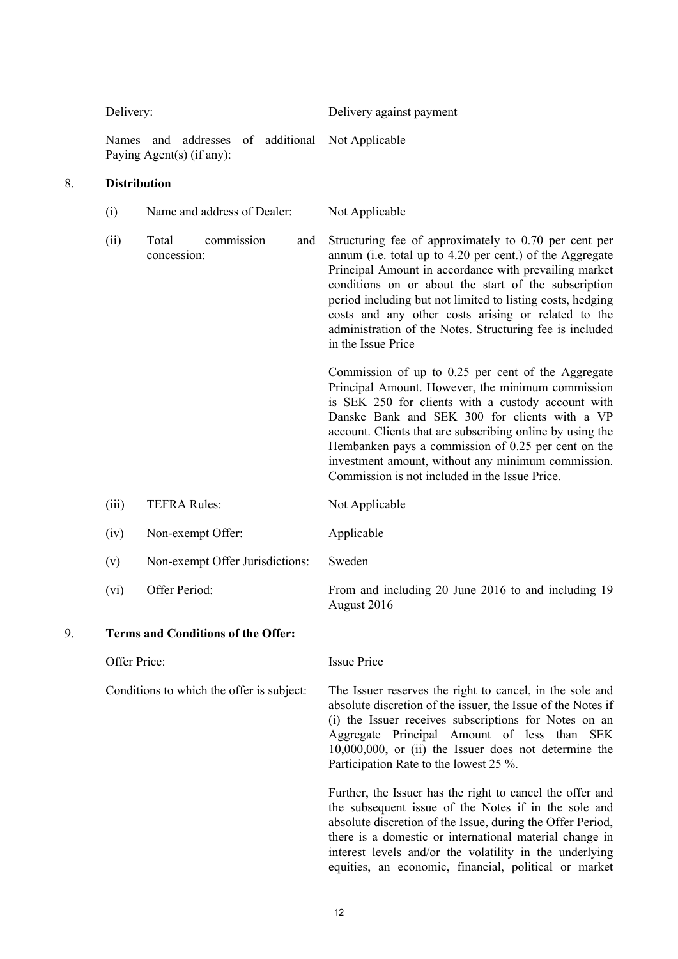Delivery: Delivery against payment

Names and addresses of additional Not Applicable Paying Agent(s) (if any):

### 8. **Distribution**

| (i)   | Name and address of Dealer:        |     | Not Applicable                                                                                                                                                                                                                                                                                                                                                                                                                             |
|-------|------------------------------------|-----|--------------------------------------------------------------------------------------------------------------------------------------------------------------------------------------------------------------------------------------------------------------------------------------------------------------------------------------------------------------------------------------------------------------------------------------------|
| (ii)  | commission<br>Total<br>concession: | and | Structuring fee of approximately to 0.70 per cent per<br>annum (i.e. total up to 4.20 per cent.) of the Aggregate<br>Principal Amount in accordance with prevailing market<br>conditions on or about the start of the subscription<br>period including but not limited to listing costs, hedging<br>costs and any other costs arising or related to the<br>administration of the Notes. Structuring fee is included<br>in the Issue Price  |
|       |                                    |     | Commission of up to 0.25 per cent of the Aggregate<br>Principal Amount. However, the minimum commission<br>is SEK 250 for clients with a custody account with<br>Danske Bank and SEK 300 for clients with a VP<br>account. Clients that are subscribing online by using the<br>Hembanken pays a commission of 0.25 per cent on the<br>investment amount, without any minimum commission.<br>Commission is not included in the Issue Price. |
| (iii) | <b>TEFRA Rules:</b>                |     | Not Applicable                                                                                                                                                                                                                                                                                                                                                                                                                             |
| (iv)  | Non-exempt Offer:                  |     | Applicable                                                                                                                                                                                                                                                                                                                                                                                                                                 |
| (v)   | Non-exempt Offer Jurisdictions:    |     | Sweden                                                                                                                                                                                                                                                                                                                                                                                                                                     |
| (vi)  | Offer Period:                      |     | From and including 20 June 2016 to and including 19                                                                                                                                                                                                                                                                                                                                                                                        |

August 2016

### 9. **Terms and Conditions of the Offer:**

Offer Price: Issue Price

Conditions to which the offer is subject: The Issuer reserves the right to cancel, in the sole and absolute discretion of the issuer, the Issue of the Notes if (i) the Issuer receives subscriptions for Notes on an Aggregate Principal Amount of less than SEK 10,000,000, or (ii) the Issuer does not determine the Participation Rate to the lowest 25 %.

> Further, the Issuer has the right to cancel the offer and the subsequent issue of the Notes if in the sole and absolute discretion of the Issue, during the Offer Period, there is a domestic or international material change in interest levels and/or the volatility in the underlying equities, an economic, financial, political or market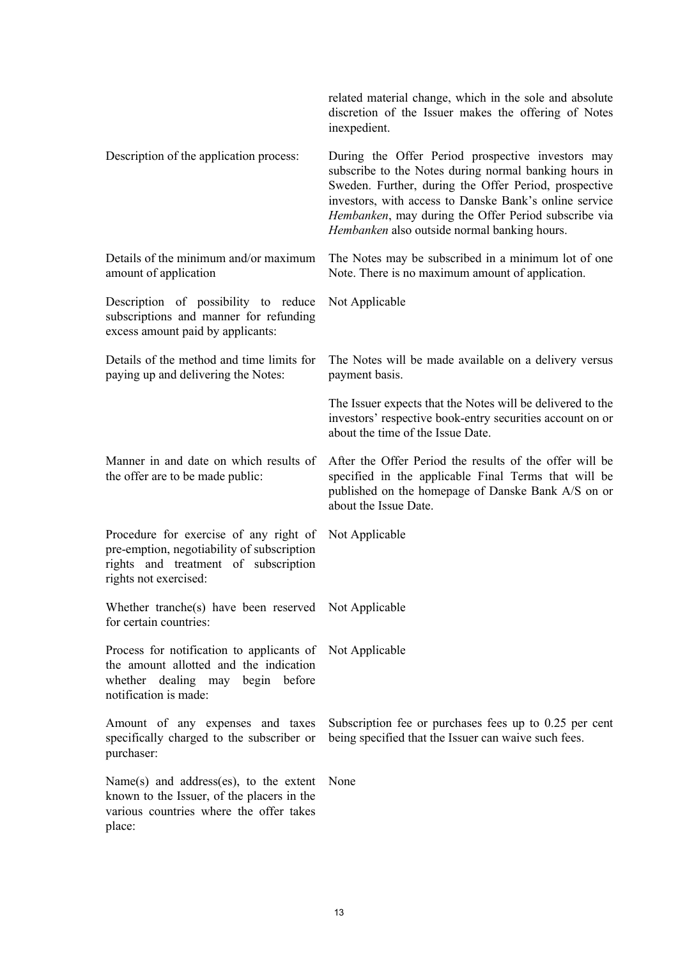|                                                                                                                                                       | related material change, which in the sole and absolute<br>discretion of the Issuer makes the offering of Notes<br>inexpedient.                                                                                                                                                                                                       |
|-------------------------------------------------------------------------------------------------------------------------------------------------------|---------------------------------------------------------------------------------------------------------------------------------------------------------------------------------------------------------------------------------------------------------------------------------------------------------------------------------------|
| Description of the application process:                                                                                                               | During the Offer Period prospective investors may<br>subscribe to the Notes during normal banking hours in<br>Sweden. Further, during the Offer Period, prospective<br>investors, with access to Danske Bank's online service<br>Hembanken, may during the Offer Period subscribe via<br>Hembanken also outside normal banking hours. |
| Details of the minimum and/or maximum<br>amount of application                                                                                        | The Notes may be subscribed in a minimum lot of one<br>Note. There is no maximum amount of application.                                                                                                                                                                                                                               |
| Description of possibility to reduce<br>subscriptions and manner for refunding<br>excess amount paid by applicants:                                   | Not Applicable                                                                                                                                                                                                                                                                                                                        |
| Details of the method and time limits for<br>paying up and delivering the Notes:                                                                      | The Notes will be made available on a delivery versus<br>payment basis.                                                                                                                                                                                                                                                               |
|                                                                                                                                                       | The Issuer expects that the Notes will be delivered to the<br>investors' respective book-entry securities account on or<br>about the time of the Issue Date.                                                                                                                                                                          |
| Manner in and date on which results of<br>the offer are to be made public:                                                                            | After the Offer Period the results of the offer will be<br>specified in the applicable Final Terms that will be<br>published on the homepage of Danske Bank A/S on or<br>about the Issue Date.                                                                                                                                        |
| Procedure for exercise of any right of<br>pre-emption, negotiability of subscription<br>rights and treatment of subscription<br>rights not exercised: | Not Applicable                                                                                                                                                                                                                                                                                                                        |
| Whether tranche(s) have been reserved Not Applicable<br>for certain countries:                                                                        |                                                                                                                                                                                                                                                                                                                                       |
| Process for notification to applicants of<br>the amount allotted and the indication<br>whether dealing may begin before<br>notification is made:      | Not Applicable                                                                                                                                                                                                                                                                                                                        |
| Amount of any expenses and taxes<br>specifically charged to the subscriber or<br>purchaser:                                                           | Subscription fee or purchases fees up to 0.25 per cent<br>being specified that the Issuer can waive such fees.                                                                                                                                                                                                                        |
| Name $(s)$ and address $(es)$ , to the extent<br>known to the Issuer, of the placers in the<br>various countries where the offer takes<br>place:      | None                                                                                                                                                                                                                                                                                                                                  |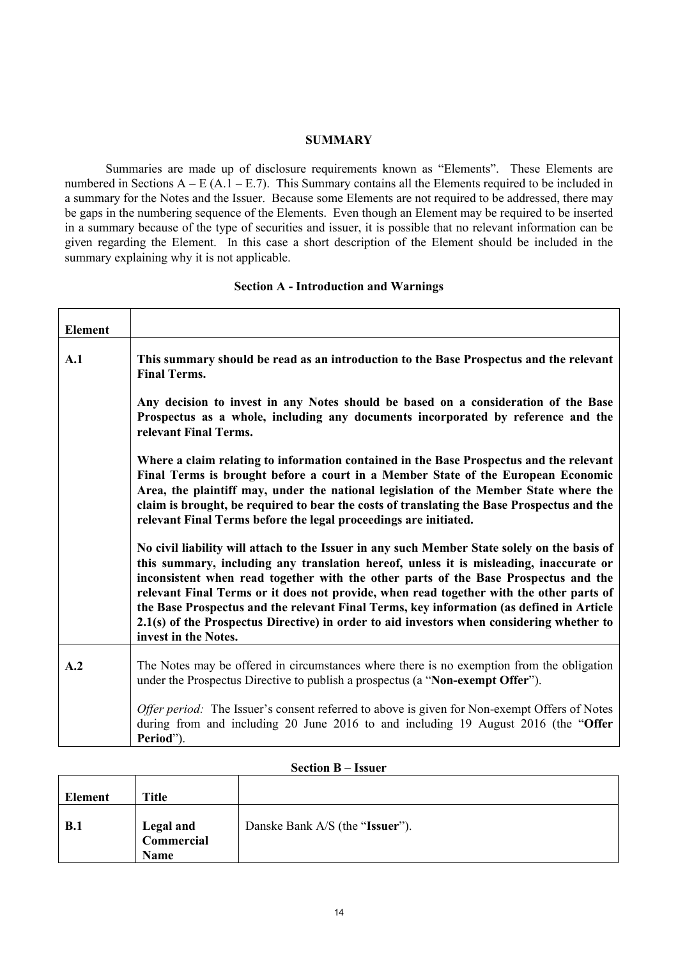#### **SUMMARY**

Summaries are made up of disclosure requirements known as "Elements". These Elements are numbered in Sections  $A - E(A.1 - E.7)$ . This Summary contains all the Elements required to be included in a summary for the Notes and the Issuer. Because some Elements are not required to be addressed, there may be gaps in the numbering sequence of the Elements. Even though an Element may be required to be inserted in a summary because of the type of securities and issuer, it is possible that no relevant information can be given regarding the Element. In this case a short description of the Element should be included in the summary explaining why it is not applicable.

#### **Section A - Introduction and Warnings**

| <b>Element</b> |                                                                                                                                                                                                                                                                                                                                                                                                                                                                                                                                                                                           |
|----------------|-------------------------------------------------------------------------------------------------------------------------------------------------------------------------------------------------------------------------------------------------------------------------------------------------------------------------------------------------------------------------------------------------------------------------------------------------------------------------------------------------------------------------------------------------------------------------------------------|
| A.1            | This summary should be read as an introduction to the Base Prospectus and the relevant<br><b>Final Terms.</b>                                                                                                                                                                                                                                                                                                                                                                                                                                                                             |
|                | Any decision to invest in any Notes should be based on a consideration of the Base<br>Prospectus as a whole, including any documents incorporated by reference and the<br>relevant Final Terms.                                                                                                                                                                                                                                                                                                                                                                                           |
|                | Where a claim relating to information contained in the Base Prospectus and the relevant<br>Final Terms is brought before a court in a Member State of the European Economic<br>Area, the plaintiff may, under the national legislation of the Member State where the<br>claim is brought, be required to bear the costs of translating the Base Prospectus and the<br>relevant Final Terms before the legal proceedings are initiated.                                                                                                                                                    |
|                | No civil liability will attach to the Issuer in any such Member State solely on the basis of<br>this summary, including any translation hereof, unless it is misleading, inaccurate or<br>inconsistent when read together with the other parts of the Base Prospectus and the<br>relevant Final Terms or it does not provide, when read together with the other parts of<br>the Base Prospectus and the relevant Final Terms, key information (as defined in Article<br>2.1(s) of the Prospectus Directive) in order to aid investors when considering whether to<br>invest in the Notes. |
| A.2            | The Notes may be offered in circumstances where there is no exemption from the obligation<br>under the Prospectus Directive to publish a prospectus (a "Non-exempt Offer").                                                                                                                                                                                                                                                                                                                                                                                                               |
|                | Offer period: The Issuer's consent referred to above is given for Non-exempt Offers of Notes<br>during from and including 20 June 2016 to and including 19 August 2016 (the "Offer<br>Period").                                                                                                                                                                                                                                                                                                                                                                                           |

| Element | <b>Title</b>                                  |                                 |
|---------|-----------------------------------------------|---------------------------------|
| B.1     | <b>Legal and</b><br>Commercial<br><b>Name</b> | Danske Bank A/S (the "Issuer"). |

#### **Section B – Issuer**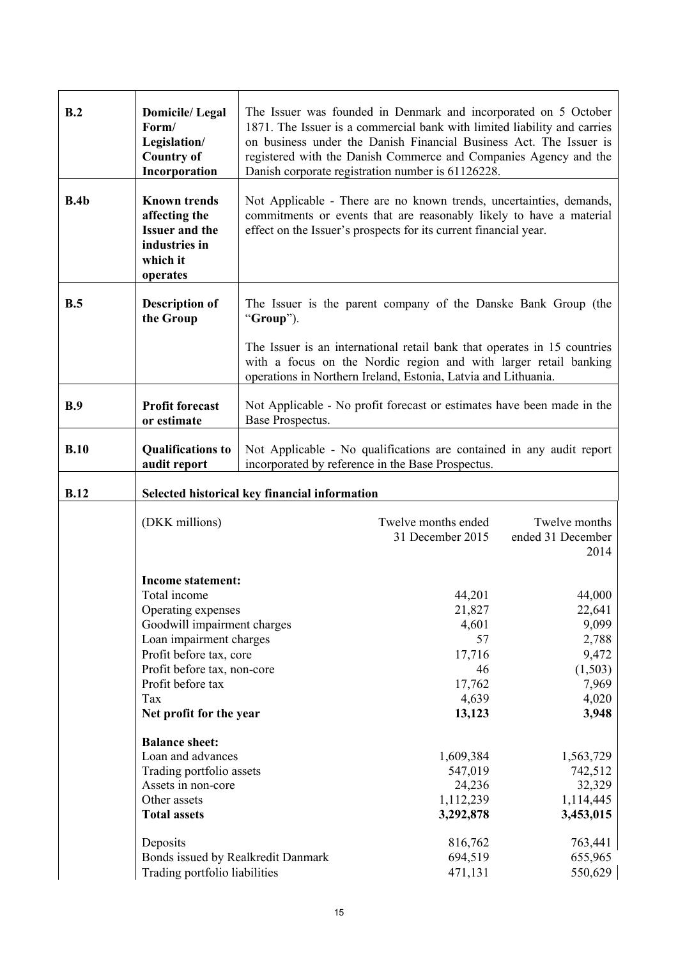| B.2         | <b>Domicile/Legal</b><br>Form/<br>Legislation/<br><b>Country of</b><br>Incorporation                                                                                                                                                                                                                                                                                                                                        |                                               | The Issuer was founded in Denmark and incorporated on 5 October<br>1871. The Issuer is a commercial bank with limited liability and carries<br>on business under the Danish Financial Business Act. The Issuer is<br>registered with the Danish Commerce and Companies Agency and the<br>Danish corporate registration number is 61126228. |                                                                                                                                                                     |
|-------------|-----------------------------------------------------------------------------------------------------------------------------------------------------------------------------------------------------------------------------------------------------------------------------------------------------------------------------------------------------------------------------------------------------------------------------|-----------------------------------------------|--------------------------------------------------------------------------------------------------------------------------------------------------------------------------------------------------------------------------------------------------------------------------------------------------------------------------------------------|---------------------------------------------------------------------------------------------------------------------------------------------------------------------|
| B.4b        | <b>Known trends</b><br>affecting the<br><b>Issuer and the</b><br>industries in<br>which it<br>operates                                                                                                                                                                                                                                                                                                                      |                                               | Not Applicable - There are no known trends, uncertainties, demands,<br>commitments or events that are reasonably likely to have a material<br>effect on the Issuer's prospects for its current financial year.                                                                                                                             |                                                                                                                                                                     |
| B.5         | <b>Description of</b><br>the Group                                                                                                                                                                                                                                                                                                                                                                                          | "Group").                                     | The Issuer is the parent company of the Danske Bank Group (the                                                                                                                                                                                                                                                                             |                                                                                                                                                                     |
|             |                                                                                                                                                                                                                                                                                                                                                                                                                             |                                               | The Issuer is an international retail bank that operates in 15 countries<br>with a focus on the Nordic region and with larger retail banking<br>operations in Northern Ireland, Estonia, Latvia and Lithuania.                                                                                                                             |                                                                                                                                                                     |
| B.9         | <b>Profit forecast</b><br>or estimate                                                                                                                                                                                                                                                                                                                                                                                       | Base Prospectus.                              | Not Applicable - No profit forecast or estimates have been made in the                                                                                                                                                                                                                                                                     |                                                                                                                                                                     |
| B.10        | <b>Qualifications to</b><br>audit report                                                                                                                                                                                                                                                                                                                                                                                    |                                               | Not Applicable - No qualifications are contained in any audit report<br>incorporated by reference in the Base Prospectus.                                                                                                                                                                                                                  |                                                                                                                                                                     |
| <b>B.12</b> |                                                                                                                                                                                                                                                                                                                                                                                                                             | Selected historical key financial information |                                                                                                                                                                                                                                                                                                                                            |                                                                                                                                                                     |
|             | (DKK millions)                                                                                                                                                                                                                                                                                                                                                                                                              |                                               | Twelve months ended<br>31 December 2015                                                                                                                                                                                                                                                                                                    | Twelve months<br>ended 31 December<br>2014                                                                                                                          |
|             | Income statement:<br>Total income<br>Operating expenses<br>Goodwill impairment charges<br>Loan impairment charges<br>Profit before tax, core<br>Profit before tax, non-core<br>Profit before tax<br>Tax<br>Net profit for the year<br><b>Balance sheet:</b><br>Loan and advances<br>Trading portfolio assets<br>Assets in non-core<br>Other assets<br><b>Total assets</b><br>Deposits<br>Bonds issued by Realkredit Danmark |                                               | 44,201<br>21,827<br>4,601<br>57<br>17,716<br>46<br>17,762<br>4,639<br>13,123<br>1,609,384<br>547,019<br>24,236<br>1,112,239<br>3,292,878<br>816,762<br>694,519                                                                                                                                                                             | 44,000<br>22,641<br>9,099<br>2,788<br>9,472<br>(1,503)<br>7,969<br>4,020<br>3,948<br>1,563,729<br>742,512<br>32,329<br>1,114,445<br>3,453,015<br>763,441<br>655,965 |
|             | Trading portfolio liabilities                                                                                                                                                                                                                                                                                                                                                                                               |                                               | 471,131                                                                                                                                                                                                                                                                                                                                    | 550,629                                                                                                                                                             |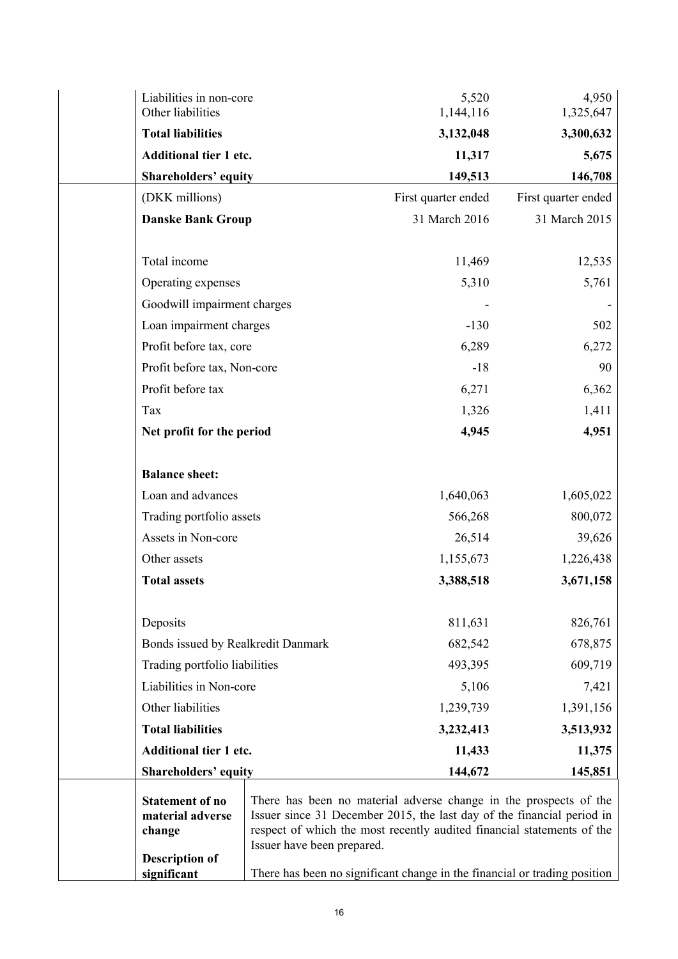| Liabilities in non-core<br>Other liabilities |                            | 5,520<br>1,144,116                                                        | 4,950<br>1,325,647  |
|----------------------------------------------|----------------------------|---------------------------------------------------------------------------|---------------------|
| <b>Total liabilities</b>                     |                            | 3,132,048                                                                 | 3,300,632           |
| Additional tier 1 etc.                       |                            | 11,317                                                                    | 5,675               |
| <b>Shareholders' equity</b>                  |                            | 149,513                                                                   | 146,708             |
| (DKK millions)                               |                            | First quarter ended                                                       | First quarter ended |
| <b>Danske Bank Group</b>                     |                            | 31 March 2016                                                             | 31 March 2015       |
|                                              |                            |                                                                           |                     |
| Total income                                 |                            | 11,469                                                                    | 12,535              |
| Operating expenses                           |                            | 5,310                                                                     | 5,761               |
| Goodwill impairment charges                  |                            |                                                                           |                     |
| Loan impairment charges                      |                            | $-130$                                                                    | 502                 |
| Profit before tax, core                      |                            | 6,289                                                                     | 6,272               |
| Profit before tax, Non-core                  |                            | $-18$                                                                     | 90                  |
| Profit before tax                            |                            | 6,271                                                                     | 6,362               |
| Tax                                          |                            | 1,326                                                                     | 1,411               |
| Net profit for the period                    |                            | 4,945                                                                     | 4,951               |
|                                              |                            |                                                                           |                     |
| <b>Balance sheet:</b>                        |                            |                                                                           |                     |
| Loan and advances                            |                            | 1,640,063                                                                 | 1,605,022           |
| Trading portfolio assets                     |                            | 566,268                                                                   | 800,072             |
| Assets in Non-core                           |                            | 26,514                                                                    | 39,626              |
| Other assets                                 |                            | 1,155,673                                                                 | 1,226,438           |
| <b>Total assets</b>                          |                            | 3,388,518                                                                 | 3,671,158           |
|                                              |                            |                                                                           |                     |
| Deposits                                     |                            | 811,631                                                                   | 826,761             |
| Bonds issued by Realkredit Danmark           |                            | 682,542                                                                   | 678,875             |
| Trading portfolio liabilities                |                            | 493,395                                                                   | 609,719             |
| Liabilities in Non-core                      |                            | 5,106                                                                     | 7,421               |
| Other liabilities                            |                            | 1,239,739                                                                 | 1,391,156           |
| <b>Total liabilities</b>                     |                            | 3,232,413                                                                 | 3,513,932           |
| Additional tier 1 etc.                       |                            | 11,433                                                                    | 11,375              |
| <b>Shareholders' equity</b>                  |                            | 144,672                                                                   | 145,851             |
| <b>Statement of no</b>                       |                            | There has been no material adverse change in the prospects of the         |                     |
| material adverse                             |                            | Issuer since 31 December 2015, the last day of the financial period in    |                     |
| change                                       | Issuer have been prepared. | respect of which the most recently audited financial statements of the    |                     |
| <b>Description of</b>                        |                            |                                                                           |                     |
| significant                                  |                            | There has been no significant change in the financial or trading position |                     |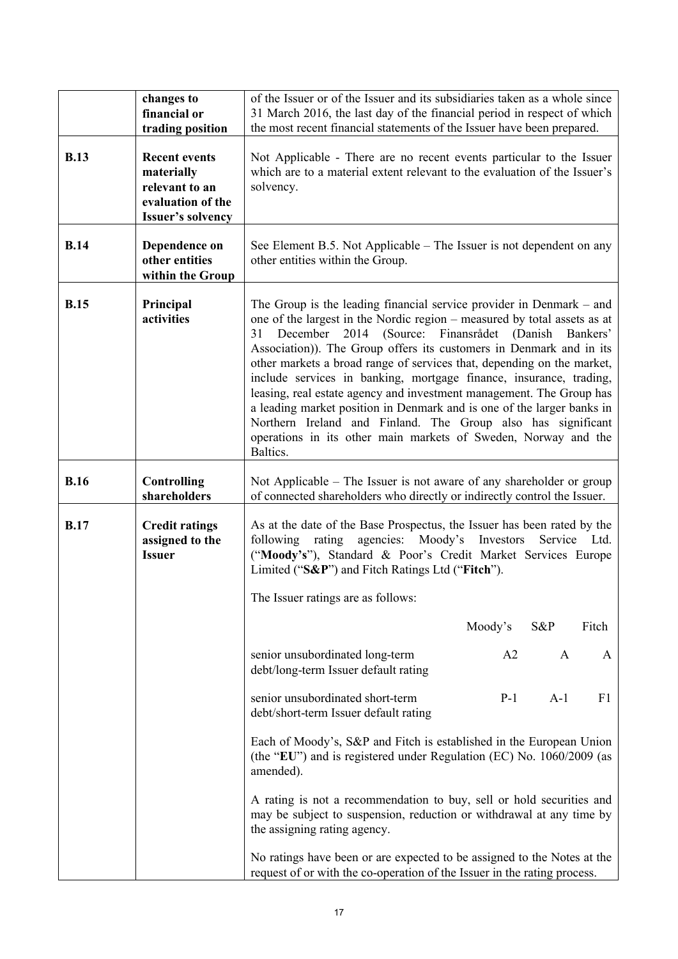|             | changes to<br>financial or<br>trading position                                                        | of the Issuer or of the Issuer and its subsidiaries taken as a whole since<br>31 March 2016, the last day of the financial period in respect of which<br>the most recent financial statements of the Issuer have been prepared.                                                                                                                                                                                                                                                                                                                                                                                                                                                                                                        |         |       |       |
|-------------|-------------------------------------------------------------------------------------------------------|----------------------------------------------------------------------------------------------------------------------------------------------------------------------------------------------------------------------------------------------------------------------------------------------------------------------------------------------------------------------------------------------------------------------------------------------------------------------------------------------------------------------------------------------------------------------------------------------------------------------------------------------------------------------------------------------------------------------------------------|---------|-------|-------|
| <b>B.13</b> | <b>Recent events</b><br>materially<br>relevant to an<br>evaluation of the<br><b>Issuer's solvency</b> | Not Applicable - There are no recent events particular to the Issuer<br>which are to a material extent relevant to the evaluation of the Issuer's<br>solvency.                                                                                                                                                                                                                                                                                                                                                                                                                                                                                                                                                                         |         |       |       |
| <b>B.14</b> | Dependence on<br>other entities<br>within the Group                                                   | See Element B.5. Not Applicable – The Issuer is not dependent on any<br>other entities within the Group.                                                                                                                                                                                                                                                                                                                                                                                                                                                                                                                                                                                                                               |         |       |       |
| <b>B.15</b> | Principal<br>activities                                                                               | The Group is the leading financial service provider in Denmark $-$ and<br>one of the largest in the Nordic region – measured by total assets as at<br>December 2014 (Source: Finansrådet (Danish Bankers'<br>31<br>Association)). The Group offers its customers in Denmark and in its<br>other markets a broad range of services that, depending on the market,<br>include services in banking, mortgage finance, insurance, trading,<br>leasing, real estate agency and investment management. The Group has<br>a leading market position in Denmark and is one of the larger banks in<br>Northern Ireland and Finland. The Group also has significant<br>operations in its other main markets of Sweden, Norway and the<br>Baltics. |         |       |       |
| <b>B.16</b> | <b>Controlling</b><br>shareholders                                                                    | Not Applicable – The Issuer is not aware of any shareholder or group<br>of connected shareholders who directly or indirectly control the Issuer.                                                                                                                                                                                                                                                                                                                                                                                                                                                                                                                                                                                       |         |       |       |
| <b>B.17</b> | <b>Credit ratings</b><br>assigned to the<br><b>Issuer</b>                                             | As at the date of the Base Prospectus, the Issuer has been rated by the<br>agencies: Moody's<br>Investors<br>rating<br>Service<br>Ltd.<br>following<br>("Moody's"), Standard & Poor's Credit Market Services Europe<br>Limited ("S&P") and Fitch Ratings Ltd ("Fitch").                                                                                                                                                                                                                                                                                                                                                                                                                                                                |         |       |       |
|             |                                                                                                       | The Issuer ratings are as follows:                                                                                                                                                                                                                                                                                                                                                                                                                                                                                                                                                                                                                                                                                                     |         |       |       |
|             |                                                                                                       |                                                                                                                                                                                                                                                                                                                                                                                                                                                                                                                                                                                                                                                                                                                                        | Moody's | S&P   | Fitch |
|             |                                                                                                       | senior unsubordinated long-term<br>debt/long-term Issuer default rating                                                                                                                                                                                                                                                                                                                                                                                                                                                                                                                                                                                                                                                                | A2      | A     | A     |
|             |                                                                                                       | senior unsubordinated short-term<br>debt/short-term Issuer default rating                                                                                                                                                                                                                                                                                                                                                                                                                                                                                                                                                                                                                                                              | $P-1$   | $A-1$ | F1    |
|             |                                                                                                       | Each of Moody's, S&P and Fitch is established in the European Union<br>(the "EU") and is registered under Regulation (EC) No. 1060/2009 (as<br>amended).                                                                                                                                                                                                                                                                                                                                                                                                                                                                                                                                                                               |         |       |       |
|             |                                                                                                       | A rating is not a recommendation to buy, sell or hold securities and<br>may be subject to suspension, reduction or withdrawal at any time by<br>the assigning rating agency.                                                                                                                                                                                                                                                                                                                                                                                                                                                                                                                                                           |         |       |       |
|             |                                                                                                       | No ratings have been or are expected to be assigned to the Notes at the<br>request of or with the co-operation of the Issuer in the rating process.                                                                                                                                                                                                                                                                                                                                                                                                                                                                                                                                                                                    |         |       |       |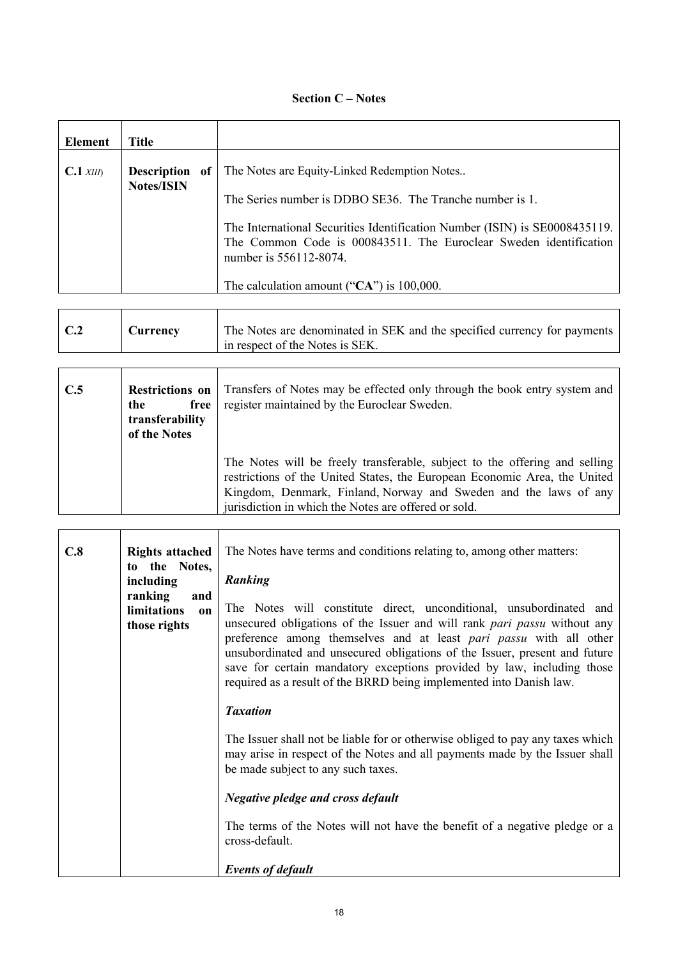## **Section C – Notes**

| Element     | Title                                   |    |                                                                                                                                                                                                                                                                                                                                        |
|-------------|-----------------------------------------|----|----------------------------------------------------------------------------------------------------------------------------------------------------------------------------------------------------------------------------------------------------------------------------------------------------------------------------------------|
| $C.1$ XIII) | <b>Description</b><br><b>Notes/ISIN</b> | 0f | The Notes are Equity-Linked Redemption Notes<br>The Series number is DDBO SE36. The Tranche number is 1.<br>The International Securities Identification Number (ISIN) is SE0008435119.<br>The Common Code is 000843511. The Euroclear Sweden identification<br>number is 556112-8074.<br>The calculation amount (" $CA$ ") is 100,000. |

| The Notes are denominated in SEK and the specified currency for payments<br>C.2<br>Currency<br>in respect of the Notes is SEK. |
|--------------------------------------------------------------------------------------------------------------------------------|
|--------------------------------------------------------------------------------------------------------------------------------|

| C.5 | <b>Restrictions on</b><br>free<br>the<br>transferability<br>of the Notes | Transfers of Notes may be effected only through the book entry system and<br>register maintained by the Euroclear Sweden.                                                                                                                                                           |
|-----|--------------------------------------------------------------------------|-------------------------------------------------------------------------------------------------------------------------------------------------------------------------------------------------------------------------------------------------------------------------------------|
|     |                                                                          | The Notes will be freely transferable, subject to the offering and selling<br>restrictions of the United States, the European Economic Area, the United<br>Kingdom, Denmark, Finland, Norway and Sweden and the laws of any<br>jurisdiction in which the Notes are offered or sold. |

| C.8 | <b>Rights attached</b><br>to the Notes,<br>including<br>ranking<br>and<br><b>limitations</b><br>$\mathbf{on}$<br>those rights | The Notes have terms and conditions relating to, among other matters:<br>Ranking<br>The Notes will constitute direct, unconditional, unsubordinated and<br>unsecured obligations of the Issuer and will rank <i>pari passu</i> without any<br>preference among themselves and at least pari passu with all other<br>unsubordinated and unsecured obligations of the Issuer, present and future<br>save for certain mandatory exceptions provided by law, including those<br>required as a result of the BRRD being implemented into Danish law.<br><b>Taxation</b> |
|-----|-------------------------------------------------------------------------------------------------------------------------------|--------------------------------------------------------------------------------------------------------------------------------------------------------------------------------------------------------------------------------------------------------------------------------------------------------------------------------------------------------------------------------------------------------------------------------------------------------------------------------------------------------------------------------------------------------------------|
|     |                                                                                                                               | The Issuer shall not be liable for or otherwise obliged to pay any taxes which<br>may arise in respect of the Notes and all payments made by the Issuer shall<br>be made subject to any such taxes.<br><b>Negative pledge and cross default</b><br>The terms of the Notes will not have the benefit of a negative pledge or a<br>cross-default.<br><b>Events of default</b>                                                                                                                                                                                        |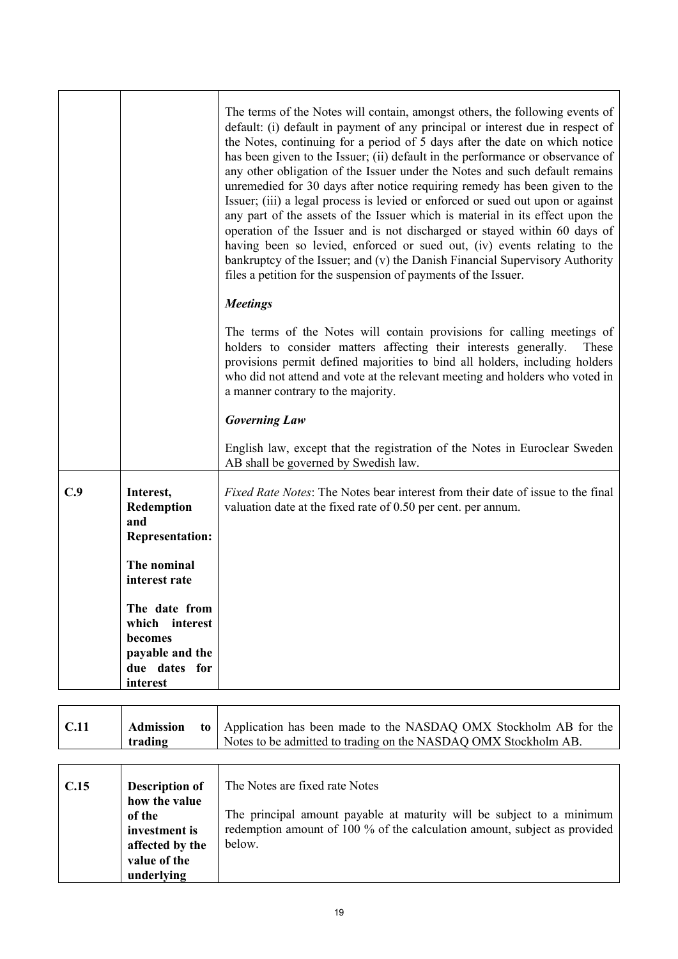|     |                                                                                | The terms of the Notes will contain, amongst others, the following events of<br>default: (i) default in payment of any principal or interest due in respect of<br>the Notes, continuing for a period of 5 days after the date on which notice<br>has been given to the Issuer; (ii) default in the performance or observance of<br>any other obligation of the Issuer under the Notes and such default remains<br>unremedied for 30 days after notice requiring remedy has been given to the<br>Issuer; (iii) a legal process is levied or enforced or sued out upon or against<br>any part of the assets of the Issuer which is material in its effect upon the<br>operation of the Issuer and is not discharged or stayed within 60 days of<br>having been so levied, enforced or sued out, (iv) events relating to the<br>bankruptcy of the Issuer; and (v) the Danish Financial Supervisory Authority<br>files a petition for the suspension of payments of the Issuer.<br><b>Meetings</b> |
|-----|--------------------------------------------------------------------------------|------------------------------------------------------------------------------------------------------------------------------------------------------------------------------------------------------------------------------------------------------------------------------------------------------------------------------------------------------------------------------------------------------------------------------------------------------------------------------------------------------------------------------------------------------------------------------------------------------------------------------------------------------------------------------------------------------------------------------------------------------------------------------------------------------------------------------------------------------------------------------------------------------------------------------------------------------------------------------------------------|
|     |                                                                                | The terms of the Notes will contain provisions for calling meetings of<br>holders to consider matters affecting their interests generally.<br>These<br>provisions permit defined majorities to bind all holders, including holders<br>who did not attend and vote at the relevant meeting and holders who voted in<br>a manner contrary to the majority.                                                                                                                                                                                                                                                                                                                                                                                                                                                                                                                                                                                                                                       |
|     |                                                                                | <b>Governing Law</b>                                                                                                                                                                                                                                                                                                                                                                                                                                                                                                                                                                                                                                                                                                                                                                                                                                                                                                                                                                           |
|     |                                                                                | English law, except that the registration of the Notes in Euroclear Sweden<br>AB shall be governed by Swedish law.                                                                                                                                                                                                                                                                                                                                                                                                                                                                                                                                                                                                                                                                                                                                                                                                                                                                             |
| C.9 | Interest,<br>Redemption<br>and<br><b>Representation:</b>                       | <i>Fixed Rate Notes:</i> The Notes bear interest from their date of issue to the final<br>valuation date at the fixed rate of 0.50 per cent. per annum.                                                                                                                                                                                                                                                                                                                                                                                                                                                                                                                                                                                                                                                                                                                                                                                                                                        |
|     | The nominal<br>interest rate                                                   |                                                                                                                                                                                                                                                                                                                                                                                                                                                                                                                                                                                                                                                                                                                                                                                                                                                                                                                                                                                                |
|     | The date from<br>which interest<br>becomes<br>payable and the<br>due dates for |                                                                                                                                                                                                                                                                                                                                                                                                                                                                                                                                                                                                                                                                                                                                                                                                                                                                                                                                                                                                |
|     | interest                                                                       |                                                                                                                                                                                                                                                                                                                                                                                                                                                                                                                                                                                                                                                                                                                                                                                                                                                                                                                                                                                                |

| C.11 | <b>Admission</b><br>to<br>trading                                                                                  | Application has been made to the NASDAQ OMX Stockholm AB for the<br>Notes to be admitted to trading on the NASDAQ OMX Stockholm AB.                                                            |
|------|--------------------------------------------------------------------------------------------------------------------|------------------------------------------------------------------------------------------------------------------------------------------------------------------------------------------------|
| C.15 | <b>Description of</b><br>how the value<br>of the<br>investment is<br>affected by the<br>value of the<br>underlying | The Notes are fixed rate Notes<br>The principal amount payable at maturity will be subject to a minimum<br>redemption amount of 100 % of the calculation amount, subject as provided<br>below. |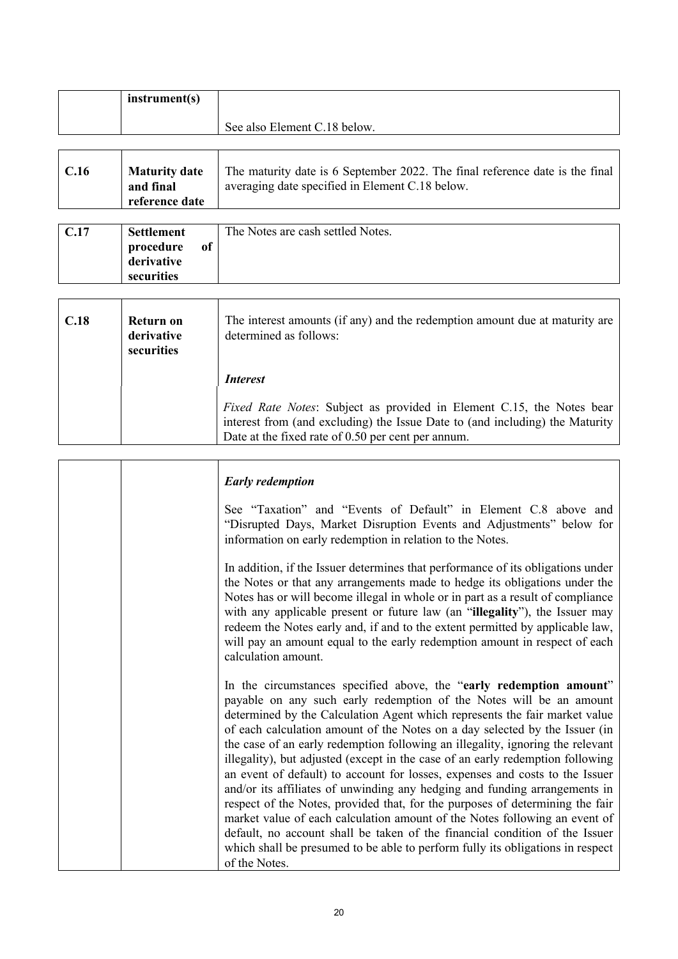| instrument(s) |                              |
|---------------|------------------------------|
|               | See also Element C.18 below. |

| C.16 | <b>Maturity date</b><br>and final | The maturity date is 6 September 2022. The final reference date is the final<br>averaging date specified in Element C.18 below. |
|------|-----------------------------------|---------------------------------------------------------------------------------------------------------------------------------|
|      | reference date                    |                                                                                                                                 |

| C.17 | <b>Settlement</b>                     |    | The Notes are cash settled Notes. |
|------|---------------------------------------|----|-----------------------------------|
|      | procedure<br>derivative<br>securities | of |                                   |

| C.18 | Return on<br>derivative<br>securities | The interest amounts (if any) and the redemption amount due at maturity are<br>determined as follows:                                                                                                       |  |
|------|---------------------------------------|-------------------------------------------------------------------------------------------------------------------------------------------------------------------------------------------------------------|--|
|      |                                       | <i>Interest</i>                                                                                                                                                                                             |  |
|      |                                       | Fixed Rate Notes: Subject as provided in Element C.15, the Notes bear<br>interest from (and excluding) the Issue Date to (and including) the Maturity<br>Date at the fixed rate of 0.50 per cent per annum. |  |

| <b>Early redemption</b>                                                                                                                                                                                                                                                                                                                                                                                                                                                                                                                                                                                                                                                                                                                                                                                                                                                                                                                                                                    |
|--------------------------------------------------------------------------------------------------------------------------------------------------------------------------------------------------------------------------------------------------------------------------------------------------------------------------------------------------------------------------------------------------------------------------------------------------------------------------------------------------------------------------------------------------------------------------------------------------------------------------------------------------------------------------------------------------------------------------------------------------------------------------------------------------------------------------------------------------------------------------------------------------------------------------------------------------------------------------------------------|
| See "Taxation" and "Events of Default" in Element C.8 above and<br>"Disrupted Days, Market Disruption Events and Adjustments" below for<br>information on early redemption in relation to the Notes.                                                                                                                                                                                                                                                                                                                                                                                                                                                                                                                                                                                                                                                                                                                                                                                       |
| In addition, if the Issuer determines that performance of its obligations under<br>the Notes or that any arrangements made to hedge its obligations under the<br>Notes has or will become illegal in whole or in part as a result of compliance<br>with any applicable present or future law (an "illegality"), the Issuer may<br>redeem the Notes early and, if and to the extent permitted by applicable law,<br>will pay an amount equal to the early redemption amount in respect of each<br>calculation amount.                                                                                                                                                                                                                                                                                                                                                                                                                                                                       |
| In the circumstances specified above, the "early redemption amount"<br>payable on any such early redemption of the Notes will be an amount<br>determined by the Calculation Agent which represents the fair market value<br>of each calculation amount of the Notes on a day selected by the Issuer (in<br>the case of an early redemption following an illegality, ignoring the relevant<br>illegality), but adjusted (except in the case of an early redemption following<br>an event of default) to account for losses, expenses and costs to the Issuer<br>and/or its affiliates of unwinding any hedging and funding arrangements in<br>respect of the Notes, provided that, for the purposes of determining the fair<br>market value of each calculation amount of the Notes following an event of<br>default, no account shall be taken of the financial condition of the Issuer<br>which shall be presumed to be able to perform fully its obligations in respect<br>of the Notes. |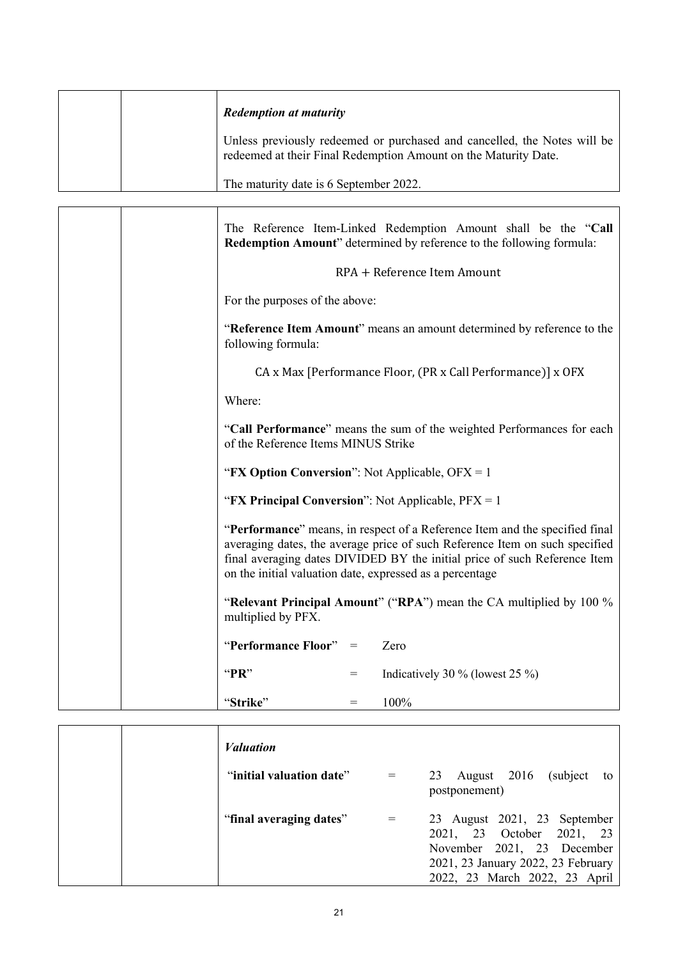|  | <b>Redemption at maturity</b>                                                                                                               |
|--|---------------------------------------------------------------------------------------------------------------------------------------------|
|  | Unless previously redeemed or purchased and cancelled, the Notes will be<br>redeemed at their Final Redemption Amount on the Maturity Date. |
|  | The maturity date is 6 September 2022.                                                                                                      |

| The Reference Item-Linked Redemption Amount shall be the "Call<br>Redemption Amount" determined by reference to the following formula:                                                                                                                                                              |
|-----------------------------------------------------------------------------------------------------------------------------------------------------------------------------------------------------------------------------------------------------------------------------------------------------|
| RPA + Reference Item Amount                                                                                                                                                                                                                                                                         |
| For the purposes of the above:                                                                                                                                                                                                                                                                      |
| "Reference Item Amount" means an amount determined by reference to the<br>following formula:                                                                                                                                                                                                        |
| CA x Max [Performance Floor, (PR x Call Performance)] x OFX                                                                                                                                                                                                                                         |
| Where:                                                                                                                                                                                                                                                                                              |
| "Call Performance" means the sum of the weighted Performances for each<br>of the Reference Items MINUS Strike                                                                                                                                                                                       |
| "FX Option Conversion": Not Applicable, OFX = 1                                                                                                                                                                                                                                                     |
| "FX Principal Conversion": Not Applicable, $PFX = 1$                                                                                                                                                                                                                                                |
| "Performance" means, in respect of a Reference Item and the specified final<br>averaging dates, the average price of such Reference Item on such specified<br>final averaging dates DIVIDED BY the initial price of such Reference Item<br>on the initial valuation date, expressed as a percentage |
| "Relevant Principal Amount" ("RPA") mean the CA multiplied by 100 %<br>multiplied by PFX.                                                                                                                                                                                                           |
| "Performance Floor" $=$<br>Zero                                                                                                                                                                                                                                                                     |
| " $PR"$<br>Indicatively 30 % (lowest 25 %)<br>$=$                                                                                                                                                                                                                                                   |
| 100%<br>"Strike"<br>$=$                                                                                                                                                                                                                                                                             |

|  | <i>Valuation</i>         |                                                                                                                                                                |
|--|--------------------------|----------------------------------------------------------------------------------------------------------------------------------------------------------------|
|  | "initial valuation date" | (subject)<br>August 2016<br>23<br>to<br>postponement)                                                                                                          |
|  | "final averaging dates"  | 23 August 2021, 23 September<br>2021, 23 October 2021, 23<br>November 2021, 23 December<br>2021, 23 January 2022, 23 February<br>2022, 23 March 2022, 23 April |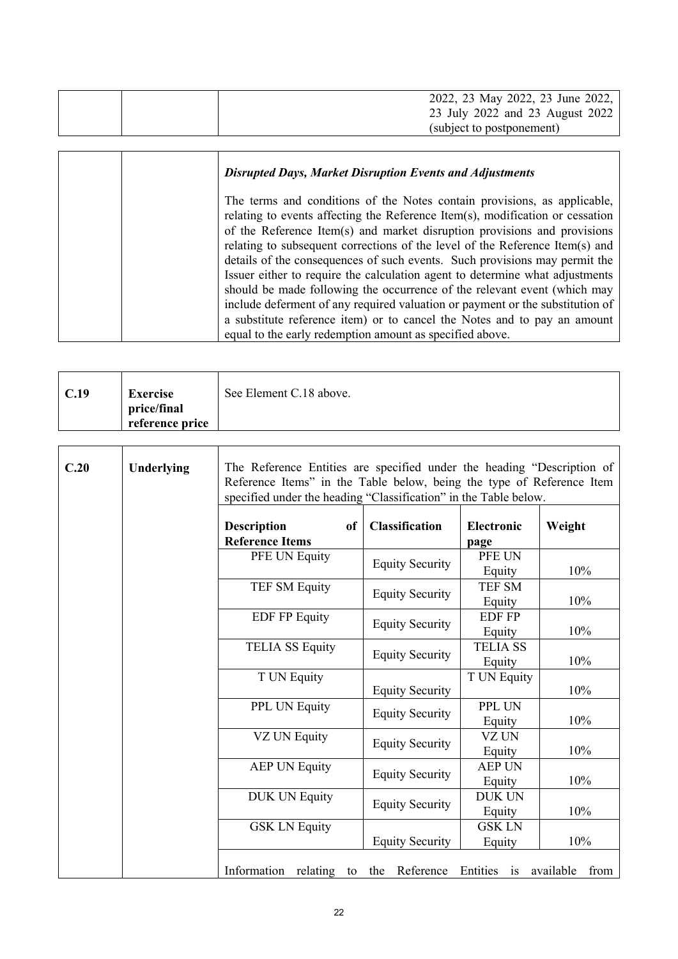| 2022, 23 May 2022, 23 June 2022, |
|----------------------------------|
| 23 July 2022 and 23 August 2022  |
| (subject to postponement)        |

| <b>Disrupted Days, Market Disruption Events and Adjustments</b>                                                                                                                                                                                                                                                                                                                                                                                                                                                                                                                                                                                                                                                                                                                          |
|------------------------------------------------------------------------------------------------------------------------------------------------------------------------------------------------------------------------------------------------------------------------------------------------------------------------------------------------------------------------------------------------------------------------------------------------------------------------------------------------------------------------------------------------------------------------------------------------------------------------------------------------------------------------------------------------------------------------------------------------------------------------------------------|
| The terms and conditions of the Notes contain provisions, as applicable,<br>relating to events affecting the Reference Item(s), modification or cessation<br>of the Reference Item(s) and market disruption provisions and provisions<br>relating to subsequent corrections of the level of the Reference Item(s) and<br>details of the consequences of such events. Such provisions may permit the<br>Issuer either to require the calculation agent to determine what adjustments<br>should be made following the occurrence of the relevant event (which may<br>include deferment of any required valuation or payment or the substitution of<br>a substitute reference item) or to cancel the Notes and to pay an amount<br>equal to the early redemption amount as specified above. |

| price/final<br>reference price |
|--------------------------------|
|--------------------------------|

T

 $\Gamma$ 

| C.20 | Underlying<br>The Reference Entities are specified under the heading "Description of<br>Reference Items" in the Table below, being the type of Reference Item<br>specified under the heading "Classification" in the Table below. |                                                    |                        |                           |                   |
|------|-----------------------------------------------------------------------------------------------------------------------------------------------------------------------------------------------------------------------------------|----------------------------------------------------|------------------------|---------------------------|-------------------|
|      |                                                                                                                                                                                                                                   | <b>Description</b><br>of<br><b>Reference Items</b> | Classification         | <b>Electronic</b><br>page | Weight            |
|      |                                                                                                                                                                                                                                   | PFE UN Equity                                      | <b>Equity Security</b> | PFE UN<br>Equity          | 10%               |
|      |                                                                                                                                                                                                                                   | <b>TEF SM Equity</b>                               | <b>Equity Security</b> | <b>TEF SM</b><br>Equity   | 10%               |
|      |                                                                                                                                                                                                                                   | <b>EDF FP Equity</b>                               | <b>Equity Security</b> | <b>EDF FP</b><br>Equity   | 10%               |
|      |                                                                                                                                                                                                                                   | <b>TELIA SS Equity</b>                             | <b>Equity Security</b> | <b>TELIA SS</b><br>Equity | 10%               |
|      |                                                                                                                                                                                                                                   | T UN Equity                                        | <b>Equity Security</b> | T UN Equity               | 10%               |
|      |                                                                                                                                                                                                                                   | PPL UN Equity                                      | <b>Equity Security</b> | PPL UN<br>Equity          | 10%               |
|      |                                                                                                                                                                                                                                   | VZ UN Equity                                       | <b>Equity Security</b> | VZ UN<br>Equity           | 10%               |
|      |                                                                                                                                                                                                                                   | <b>AEP UN Equity</b>                               | <b>Equity Security</b> | <b>AEP UN</b><br>Equity   | 10%               |
|      |                                                                                                                                                                                                                                   | <b>DUK UN Equity</b>                               | <b>Equity Security</b> | <b>DUK UN</b><br>Equity   | 10%               |
|      |                                                                                                                                                                                                                                   | <b>GSK LN Equity</b>                               | <b>Equity Security</b> | <b>GSK LN</b><br>Equity   | 10%               |
|      |                                                                                                                                                                                                                                   | relating<br>Information<br>to                      | Reference<br>the       | Entities is               | available<br>from |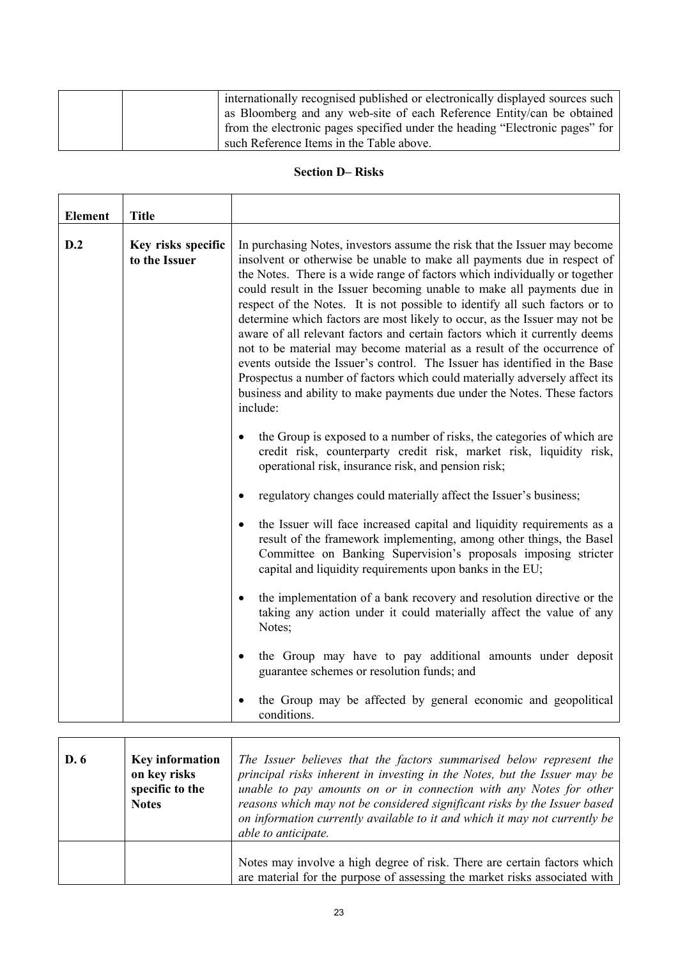|  | internationally recognised published or electronically displayed sources such |
|--|-------------------------------------------------------------------------------|
|  | as Bloomberg and any web-site of each Reference Entity/can be obtained        |
|  | from the electronic pages specified under the heading "Electronic pages" for  |
|  | such Reference Items in the Table above.                                      |

## **Section D– Risks**

| <b>Element</b> | <b>Title</b>                        |                                                                                                                                                                                                                                                                                                                                                                                                                                                                                                                                                                                                                                                                                                                                                                                                                                                                                        |
|----------------|-------------------------------------|----------------------------------------------------------------------------------------------------------------------------------------------------------------------------------------------------------------------------------------------------------------------------------------------------------------------------------------------------------------------------------------------------------------------------------------------------------------------------------------------------------------------------------------------------------------------------------------------------------------------------------------------------------------------------------------------------------------------------------------------------------------------------------------------------------------------------------------------------------------------------------------|
| D.2            | Key risks specific<br>to the Issuer | In purchasing Notes, investors assume the risk that the Issuer may become<br>insolvent or otherwise be unable to make all payments due in respect of<br>the Notes. There is a wide range of factors which individually or together<br>could result in the Issuer becoming unable to make all payments due in<br>respect of the Notes. It is not possible to identify all such factors or to<br>determine which factors are most likely to occur, as the Issuer may not be<br>aware of all relevant factors and certain factors which it currently deems<br>not to be material may become material as a result of the occurrence of<br>events outside the Issuer's control. The Issuer has identified in the Base<br>Prospectus a number of factors which could materially adversely affect its<br>business and ability to make payments due under the Notes. These factors<br>include: |
|                |                                     | the Group is exposed to a number of risks, the categories of which are<br>$\bullet$<br>credit risk, counterparty credit risk, market risk, liquidity risk,<br>operational risk, insurance risk, and pension risk;                                                                                                                                                                                                                                                                                                                                                                                                                                                                                                                                                                                                                                                                      |
|                |                                     | regulatory changes could materially affect the Issuer's business;<br>$\bullet$                                                                                                                                                                                                                                                                                                                                                                                                                                                                                                                                                                                                                                                                                                                                                                                                         |
|                |                                     | the Issuer will face increased capital and liquidity requirements as a<br>$\bullet$<br>result of the framework implementing, among other things, the Basel<br>Committee on Banking Supervision's proposals imposing stricter<br>capital and liquidity requirements upon banks in the EU;                                                                                                                                                                                                                                                                                                                                                                                                                                                                                                                                                                                               |
|                |                                     | the implementation of a bank recovery and resolution directive or the<br>taking any action under it could materially affect the value of any<br>Notes;                                                                                                                                                                                                                                                                                                                                                                                                                                                                                                                                                                                                                                                                                                                                 |
|                |                                     | the Group may have to pay additional amounts under deposit<br>$\bullet$<br>guarantee schemes or resolution funds; and                                                                                                                                                                                                                                                                                                                                                                                                                                                                                                                                                                                                                                                                                                                                                                  |
|                |                                     | the Group may be affected by general economic and geopolitical<br>conditions.                                                                                                                                                                                                                                                                                                                                                                                                                                                                                                                                                                                                                                                                                                                                                                                                          |

| D.6 | <b>Key information</b><br>on key risks<br>specific to the<br><b>Notes</b> | The Issuer believes that the factors summarised below represent the<br>principal risks inherent in investing in the Notes, but the Issuer may be<br>unable to pay amounts on or in connection with any Notes for other<br>reasons which may not be considered significant risks by the Issuer based<br>on information currently available to it and which it may not currently be<br>able to anticipate. |
|-----|---------------------------------------------------------------------------|----------------------------------------------------------------------------------------------------------------------------------------------------------------------------------------------------------------------------------------------------------------------------------------------------------------------------------------------------------------------------------------------------------|
|     |                                                                           | Notes may involve a high degree of risk. There are certain factors which<br>are material for the purpose of assessing the market risks associated with                                                                                                                                                                                                                                                   |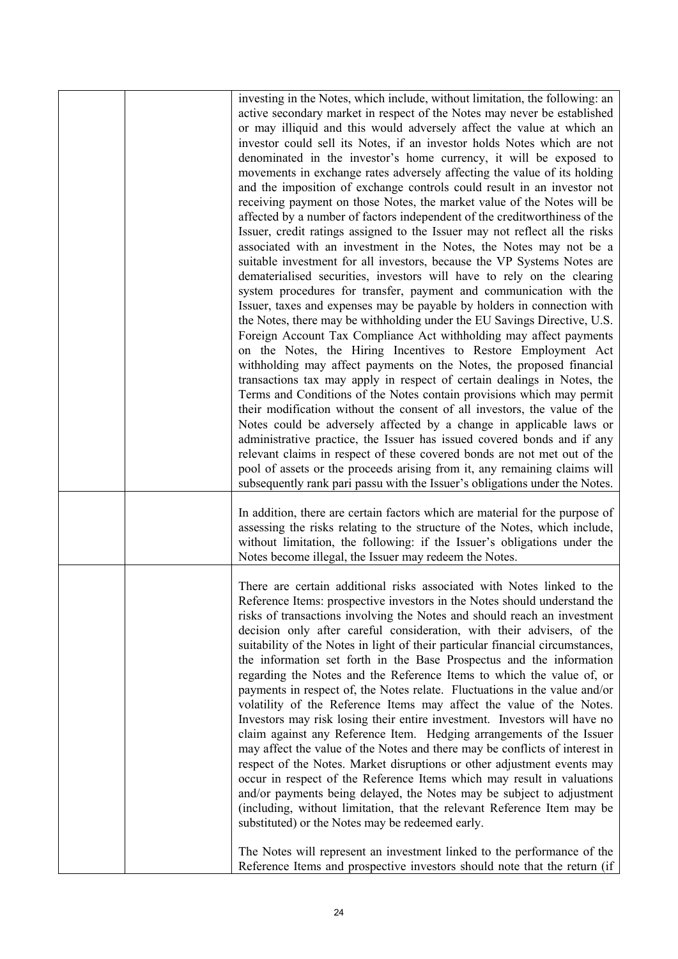|  | investing in the Notes, which include, without limitation, the following: an<br>active secondary market in respect of the Notes may never be established<br>or may illiquid and this would adversely affect the value at which an<br>investor could sell its Notes, if an investor holds Notes which are not<br>denominated in the investor's home currency, it will be exposed to<br>movements in exchange rates adversely affecting the value of its holding<br>and the imposition of exchange controls could result in an investor not<br>receiving payment on those Notes, the market value of the Notes will be<br>affected by a number of factors independent of the creditworthiness of the<br>Issuer, credit ratings assigned to the Issuer may not reflect all the risks<br>associated with an investment in the Notes, the Notes may not be a<br>suitable investment for all investors, because the VP Systems Notes are<br>dematerialised securities, investors will have to rely on the clearing<br>system procedures for transfer, payment and communication with the<br>Issuer, taxes and expenses may be payable by holders in connection with<br>the Notes, there may be withholding under the EU Savings Directive, U.S.<br>Foreign Account Tax Compliance Act withholding may affect payments<br>on the Notes, the Hiring Incentives to Restore Employment Act<br>withholding may affect payments on the Notes, the proposed financial<br>transactions tax may apply in respect of certain dealings in Notes, the<br>Terms and Conditions of the Notes contain provisions which may permit<br>their modification without the consent of all investors, the value of the<br>Notes could be adversely affected by a change in applicable laws or<br>administrative practice, the Issuer has issued covered bonds and if any<br>relevant claims in respect of these covered bonds are not met out of the<br>pool of assets or the proceeds arising from it, any remaining claims will<br>subsequently rank pari passu with the Issuer's obligations under the Notes. |
|--|-------------------------------------------------------------------------------------------------------------------------------------------------------------------------------------------------------------------------------------------------------------------------------------------------------------------------------------------------------------------------------------------------------------------------------------------------------------------------------------------------------------------------------------------------------------------------------------------------------------------------------------------------------------------------------------------------------------------------------------------------------------------------------------------------------------------------------------------------------------------------------------------------------------------------------------------------------------------------------------------------------------------------------------------------------------------------------------------------------------------------------------------------------------------------------------------------------------------------------------------------------------------------------------------------------------------------------------------------------------------------------------------------------------------------------------------------------------------------------------------------------------------------------------------------------------------------------------------------------------------------------------------------------------------------------------------------------------------------------------------------------------------------------------------------------------------------------------------------------------------------------------------------------------------------------------------------------------------------------------------------------------------------------------------------------------------------------------|
|  | In addition, there are certain factors which are material for the purpose of<br>assessing the risks relating to the structure of the Notes, which include,<br>without limitation, the following: if the Issuer's obligations under the<br>Notes become illegal, the Issuer may redeem the Notes.                                                                                                                                                                                                                                                                                                                                                                                                                                                                                                                                                                                                                                                                                                                                                                                                                                                                                                                                                                                                                                                                                                                                                                                                                                                                                                                                                                                                                                                                                                                                                                                                                                                                                                                                                                                    |
|  | There are certain additional risks associated with Notes linked to the<br>Reference Items: prospective investors in the Notes should understand the<br>risks of transactions involving the Notes and should reach an investment<br>decision only after careful consideration, with their advisers, of the<br>suitability of the Notes in light of their particular financial circumstances,<br>the information set forth in the Base Prospectus and the information<br>regarding the Notes and the Reference Items to which the value of, or<br>payments in respect of, the Notes relate. Fluctuations in the value and/or<br>volatility of the Reference Items may affect the value of the Notes.<br>Investors may risk losing their entire investment. Investors will have no<br>claim against any Reference Item. Hedging arrangements of the Issuer<br>may affect the value of the Notes and there may be conflicts of interest in<br>respect of the Notes. Market disruptions or other adjustment events may<br>occur in respect of the Reference Items which may result in valuations<br>and/or payments being delayed, the Notes may be subject to adjustment<br>(including, without limitation, that the relevant Reference Item may be<br>substituted) or the Notes may be redeemed early.<br>The Notes will represent an investment linked to the performance of the                                                                                                                                                                                                                                                                                                                                                                                                                                                                                                                                                                                                                                                                                                      |
|  | Reference Items and prospective investors should note that the return (if                                                                                                                                                                                                                                                                                                                                                                                                                                                                                                                                                                                                                                                                                                                                                                                                                                                                                                                                                                                                                                                                                                                                                                                                                                                                                                                                                                                                                                                                                                                                                                                                                                                                                                                                                                                                                                                                                                                                                                                                           |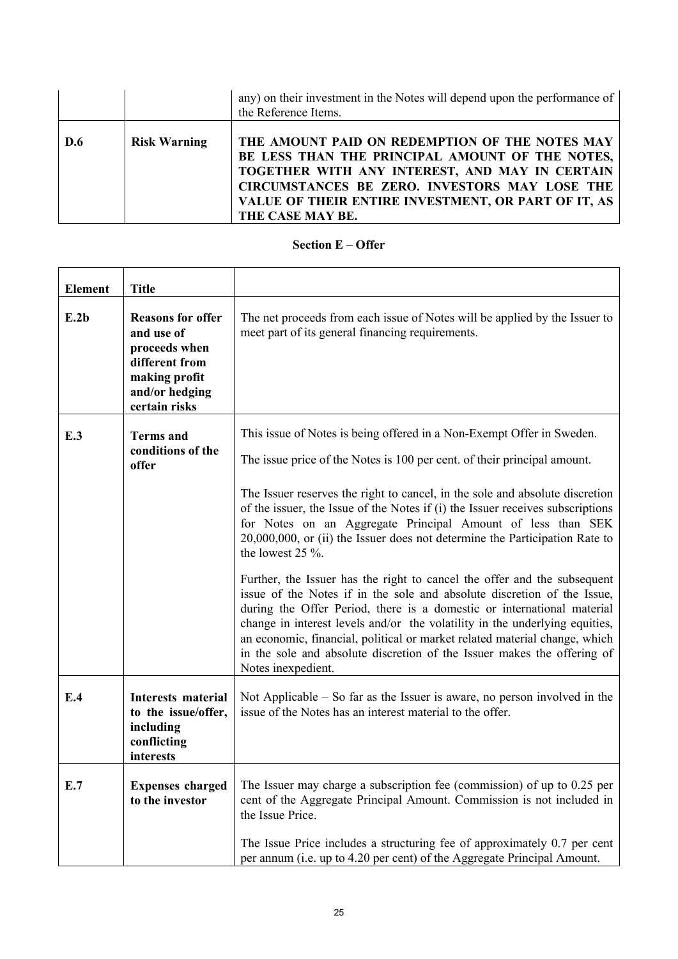|     |                     | any) on their investment in the Notes will depend upon the performance of<br>the Reference Items.                                                                                                                                                                               |
|-----|---------------------|---------------------------------------------------------------------------------------------------------------------------------------------------------------------------------------------------------------------------------------------------------------------------------|
| D.6 | <b>Risk Warning</b> | THE AMOUNT PAID ON REDEMPTION OF THE NOTES MAY<br>BE LESS THAN THE PRINCIPAL AMOUNT OF THE NOTES,<br>TOGETHER WITH ANY INTEREST, AND MAY IN CERTAIN<br>CIRCUMSTANCES BE ZERO. INVESTORS MAY LOSE THE<br>VALUE OF THEIR ENTIRE INVESTMENT, OR PART OF IT, AS<br>THE CASE MAY BE. |

### **Section E – Offer**

| <b>Element</b> | <b>Title</b>                                                                                                                  |                                                                                                                                                                                                                                                                                                                                                                                                                                                                                                                                                                                                                                                                                                                                                                                                                                                                                                                                                                                         |
|----------------|-------------------------------------------------------------------------------------------------------------------------------|-----------------------------------------------------------------------------------------------------------------------------------------------------------------------------------------------------------------------------------------------------------------------------------------------------------------------------------------------------------------------------------------------------------------------------------------------------------------------------------------------------------------------------------------------------------------------------------------------------------------------------------------------------------------------------------------------------------------------------------------------------------------------------------------------------------------------------------------------------------------------------------------------------------------------------------------------------------------------------------------|
| E.2b           | <b>Reasons for offer</b><br>and use of<br>proceeds when<br>different from<br>making profit<br>and/or hedging<br>certain risks | The net proceeds from each issue of Notes will be applied by the Issuer to<br>meet part of its general financing requirements.                                                                                                                                                                                                                                                                                                                                                                                                                                                                                                                                                                                                                                                                                                                                                                                                                                                          |
| E.3            | <b>Terms</b> and<br>conditions of the<br>offer                                                                                | This issue of Notes is being offered in a Non-Exempt Offer in Sweden.<br>The issue price of the Notes is 100 per cent. of their principal amount.<br>The Issuer reserves the right to cancel, in the sole and absolute discretion<br>of the issuer, the Issue of the Notes if (i) the Issuer receives subscriptions<br>for Notes on an Aggregate Principal Amount of less than SEK<br>20,000,000, or (ii) the Issuer does not determine the Participation Rate to<br>the lowest $25\%$ .<br>Further, the Issuer has the right to cancel the offer and the subsequent<br>issue of the Notes if in the sole and absolute discretion of the Issue,<br>during the Offer Period, there is a domestic or international material<br>change in interest levels and/or the volatility in the underlying equities,<br>an economic, financial, political or market related material change, which<br>in the sole and absolute discretion of the Issuer makes the offering of<br>Notes inexpedient. |
| E.4            | <b>Interests material</b><br>to the issue/offer,<br>including<br>conflicting<br>interests                                     | Not Applicable $-$ So far as the Issuer is aware, no person involved in the<br>issue of the Notes has an interest material to the offer.                                                                                                                                                                                                                                                                                                                                                                                                                                                                                                                                                                                                                                                                                                                                                                                                                                                |
| E.7            | <b>Expenses charged</b><br>to the investor                                                                                    | The Issuer may charge a subscription fee (commission) of up to 0.25 per<br>cent of the Aggregate Principal Amount. Commission is not included in<br>the Issue Price.<br>The Issue Price includes a structuring fee of approximately 0.7 per cent<br>per annum (i.e. up to 4.20 per cent) of the Aggregate Principal Amount.                                                                                                                                                                                                                                                                                                                                                                                                                                                                                                                                                                                                                                                             |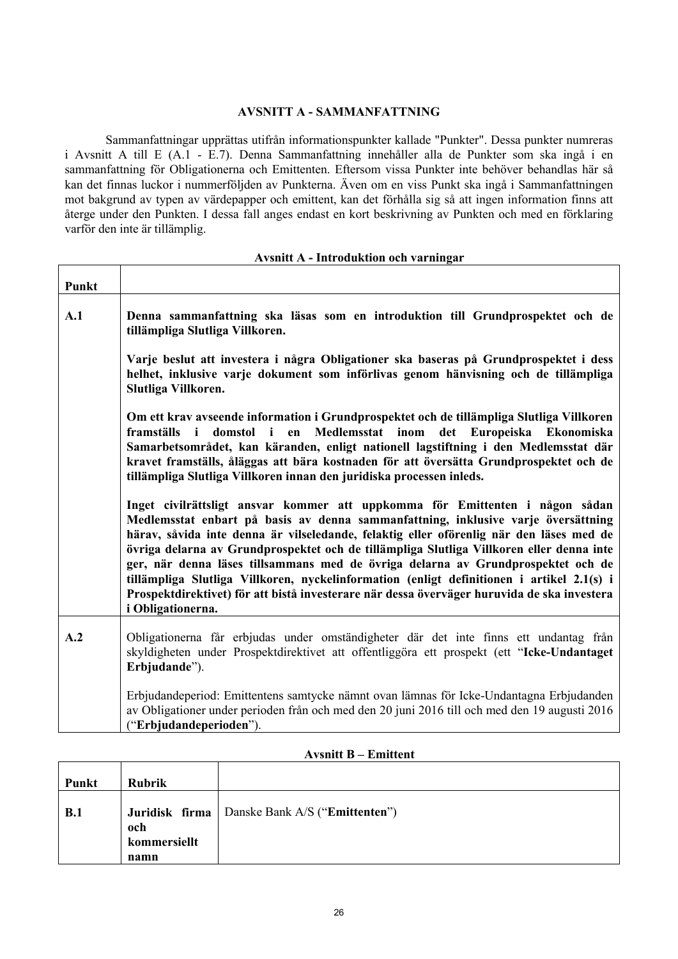### **AVSNITT A - SAMMANFATTNING**

Sammanfattningar upprättas utifrån informationspunkter kallade "Punkter". Dessa punkter numreras i Avsnitt A till E (A.1 - E.7). Denna Sammanfattning innehåller alla de Punkter som ska ingå i en sammanfattning för Obligationerna och Emittenten. Eftersom vissa Punkter inte behöver behandlas här så kan det finnas luckor i nummerföljden av Punkterna. Även om en viss Punkt ska ingå i Sammanfattningen mot bakgrund av typen av värdepapper och emittent, kan det förhålla sig så att ingen information finns att återge under den Punkten. I dessa fall anges endast en kort beskrivning av Punkten och med en förklaring varför den inte är tillämplig.

 $\overline{\Gamma}$ 

Т

| Punkt |                                                                                                                                                                                                                                                                                                                                                                                                                                                                                                                                                                                                                                                               |
|-------|---------------------------------------------------------------------------------------------------------------------------------------------------------------------------------------------------------------------------------------------------------------------------------------------------------------------------------------------------------------------------------------------------------------------------------------------------------------------------------------------------------------------------------------------------------------------------------------------------------------------------------------------------------------|
| A.1   | Denna sammanfattning ska läsas som en introduktion till Grundprospektet och de<br>tillämpliga Slutliga Villkoren.                                                                                                                                                                                                                                                                                                                                                                                                                                                                                                                                             |
|       | Varje beslut att investera i några Obligationer ska baseras på Grundprospektet i dess<br>helhet, inklusive varje dokument som införlivas genom hänvisning och de tillämpliga<br>Slutliga Villkoren.                                                                                                                                                                                                                                                                                                                                                                                                                                                           |
|       | Om ett krav avseende information i Grundprospektet och de tillämpliga Slutliga Villkoren<br>framställs i domstol i en Medlemsstat inom<br>det Europeiska Ekonomiska<br>Samarbetsområdet, kan käranden, enligt nationell lagstiftning i den Medlemsstat där<br>kravet framställs, åläggas att bära kostnaden för att översätta Grundprospektet och de<br>tillämpliga Slutliga Villkoren innan den juridiska processen inleds.                                                                                                                                                                                                                                  |
|       | Inget civilrättsligt ansvar kommer att uppkomma för Emittenten i någon sådan<br>Medlemsstat enbart på basis av denna sammanfattning, inklusive varje översättning<br>härav, såvida inte denna är vilseledande, felaktig eller oförenlig när den läses med de<br>övriga delarna av Grundprospektet och de tillämpliga Slutliga Villkoren eller denna inte<br>ger, när denna läses tillsammans med de övriga delarna av Grundprospektet och de<br>tillämpliga Slutliga Villkoren, nyckelinformation (enligt definitionen i artikel 2.1(s) i<br>Prospektdirektivet) för att bistå investerare när dessa överväger huruvida de ska investera<br>i Obligationerna. |
| A.2   | Obligationerna får erbjudas under omständigheter där det inte finns ett undantag från<br>skyldigheten under Prospektdirektivet att offentliggöra ett prospekt (ett "Icke-Undantaget<br>Erbjudande").                                                                                                                                                                                                                                                                                                                                                                                                                                                          |
|       | Erbjudandeperiod: Emittentens samtycke nämnt ovan lämnas för Icke-Undantagna Erbjudanden<br>av Obligationer under perioden från och med den 20 juni 2016 till och med den 19 augusti 2016<br>("Erbjudandeperioden").                                                                                                                                                                                                                                                                                                                                                                                                                                          |

### **Avsnitt A - Introduktion och varningar**

| Punkt | <b>Rubrik</b>               |                                                                 |
|-------|-----------------------------|-----------------------------------------------------------------|
| B.1   | och<br>kommersiellt<br>namn | <b>Juridisk firma</b>   Danske Bank A/S (" <b>Emittenten</b> ") |

#### **Avsnitt B – Emittent**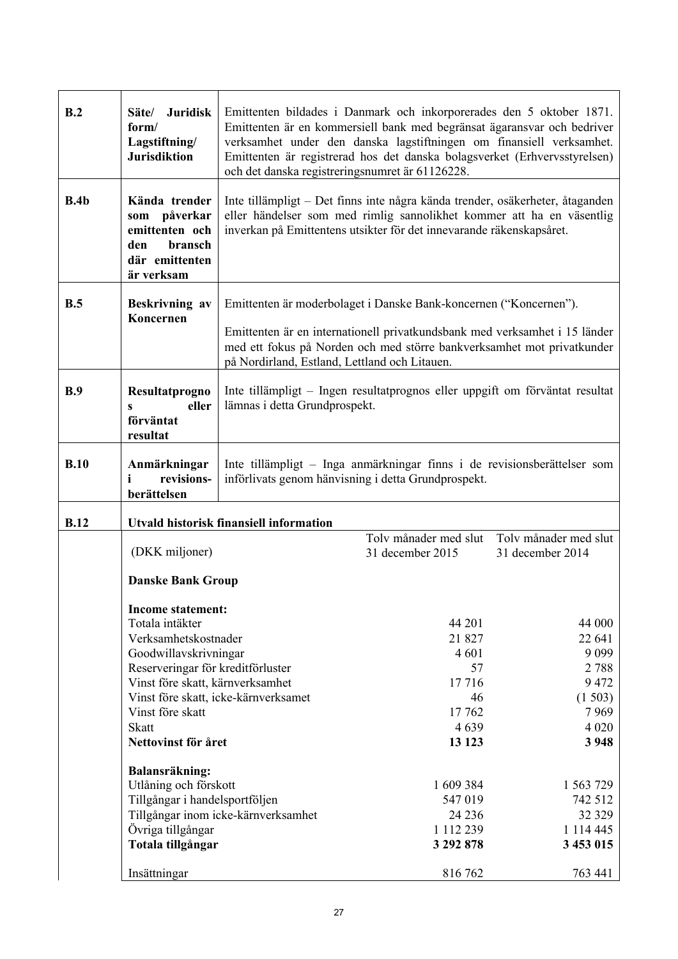| B.2         | <b>Juridisk</b><br>Säte/<br>form/<br>Lagstiftning/<br><b>Jurisdiktion</b>                         | Emittenten bildades i Danmark och inkorporerades den 5 oktober 1871.<br>Emittenten är en kommersiell bank med begränsat ägaransvar och bedriver<br>verksamhet under den danska lagstiftningen om finansiell verksamhet.<br>Emittenten är registrerad hos det danska bolagsverket (Erhvervsstyrelsen)<br>och det danska registreringsnumret är 61126228. |                                                                                                                                 |                                           |
|-------------|---------------------------------------------------------------------------------------------------|---------------------------------------------------------------------------------------------------------------------------------------------------------------------------------------------------------------------------------------------------------------------------------------------------------------------------------------------------------|---------------------------------------------------------------------------------------------------------------------------------|-------------------------------------------|
| B.4b        | Kända trender<br>som påverkar<br>emittenten och<br>bransch<br>den<br>där emittenten<br>är verksam | Inte tillämpligt – Det finns inte några kända trender, osäkerheter, åtaganden<br>eller händelser som med rimlig sannolikhet kommer att ha en väsentlig<br>inverkan på Emittentens utsikter för det innevarande räkenskapsåret.                                                                                                                          |                                                                                                                                 |                                           |
| B.5         | Beskrivning av                                                                                    | Emittenten är moderbolaget i Danske Bank-koncernen ("Koncernen").                                                                                                                                                                                                                                                                                       |                                                                                                                                 |                                           |
|             | Koncernen                                                                                         | Emittenten är en internationell privatkundsbank med verksamhet i 15 länder<br>med ett fokus på Norden och med större bankverksamhet mot privatkunder<br>på Nordirland, Estland, Lettland och Litauen.                                                                                                                                                   |                                                                                                                                 |                                           |
| B.9         | Resultatprogno<br>eller<br>$\mathbf{s}$<br>förväntat<br>resultat                                  | lämnas i detta Grundprospekt.                                                                                                                                                                                                                                                                                                                           | Inte tillämpligt – Ingen resultatprognos eller uppgift om förväntat resultat                                                    |                                           |
| B.10        | Anmärkningar<br>revisions-<br>i<br>berättelsen                                                    |                                                                                                                                                                                                                                                                                                                                                         | Inte tillämpligt – Inga anmärkningar finns i de revisionsberättelser som<br>införlivats genom hänvisning i detta Grundprospekt. |                                           |
| <b>B.12</b> |                                                                                                   | Utvald historisk finansiell information                                                                                                                                                                                                                                                                                                                 |                                                                                                                                 |                                           |
|             | (DKK miljoner)                                                                                    |                                                                                                                                                                                                                                                                                                                                                         | Tolv månader med slut<br>31 december 2015                                                                                       | Toly månader med slut<br>31 december 2014 |
|             | <b>Danske Bank Group</b>                                                                          |                                                                                                                                                                                                                                                                                                                                                         |                                                                                                                                 |                                           |
|             | <b>Income statement:</b>                                                                          |                                                                                                                                                                                                                                                                                                                                                         |                                                                                                                                 |                                           |
|             | Totala intäkter                                                                                   |                                                                                                                                                                                                                                                                                                                                                         | 44 201                                                                                                                          | 44 000                                    |
|             | Verksamhetskostnader                                                                              |                                                                                                                                                                                                                                                                                                                                                         | 21 827                                                                                                                          | 22 641                                    |
|             | Goodwillavskrivningar                                                                             |                                                                                                                                                                                                                                                                                                                                                         | 4 601                                                                                                                           | 9 0 9 9                                   |
|             | Reserveringar för kreditförluster                                                                 |                                                                                                                                                                                                                                                                                                                                                         | 57                                                                                                                              | 2788                                      |
|             | Vinst före skatt, kärnverksamhet                                                                  |                                                                                                                                                                                                                                                                                                                                                         | 17716                                                                                                                           | 9472                                      |
|             |                                                                                                   | Vinst före skatt, icke-kärnverksamet                                                                                                                                                                                                                                                                                                                    | 46                                                                                                                              | (1503)                                    |
|             | Vinst före skatt<br><b>Skatt</b>                                                                  |                                                                                                                                                                                                                                                                                                                                                         | 17762<br>4639                                                                                                                   | 7969<br>4 0 20                            |
|             | Nettovinst för året                                                                               |                                                                                                                                                                                                                                                                                                                                                         | 13 123                                                                                                                          | 3 9 4 8                                   |
|             |                                                                                                   |                                                                                                                                                                                                                                                                                                                                                         |                                                                                                                                 |                                           |
|             | Balansräkning:                                                                                    |                                                                                                                                                                                                                                                                                                                                                         |                                                                                                                                 |                                           |
|             | Utlåning och förskott<br>Tillgångar i handelsportföljen                                           |                                                                                                                                                                                                                                                                                                                                                         | 1 609 384<br>547 019                                                                                                            | 1 563 729<br>742 512                      |
|             |                                                                                                   | Tillgångar inom icke-kärnverksamhet                                                                                                                                                                                                                                                                                                                     | 24 23 6                                                                                                                         | 32 329                                    |
|             | Övriga tillgångar                                                                                 |                                                                                                                                                                                                                                                                                                                                                         | 1 112 239                                                                                                                       | 1 1 1 4 4 4 5                             |
|             | Totala tillgångar                                                                                 |                                                                                                                                                                                                                                                                                                                                                         | 3 292 878                                                                                                                       | 3 453 015                                 |
|             |                                                                                                   |                                                                                                                                                                                                                                                                                                                                                         |                                                                                                                                 |                                           |
|             | Insättningar                                                                                      |                                                                                                                                                                                                                                                                                                                                                         | 816 762                                                                                                                         | 763 441                                   |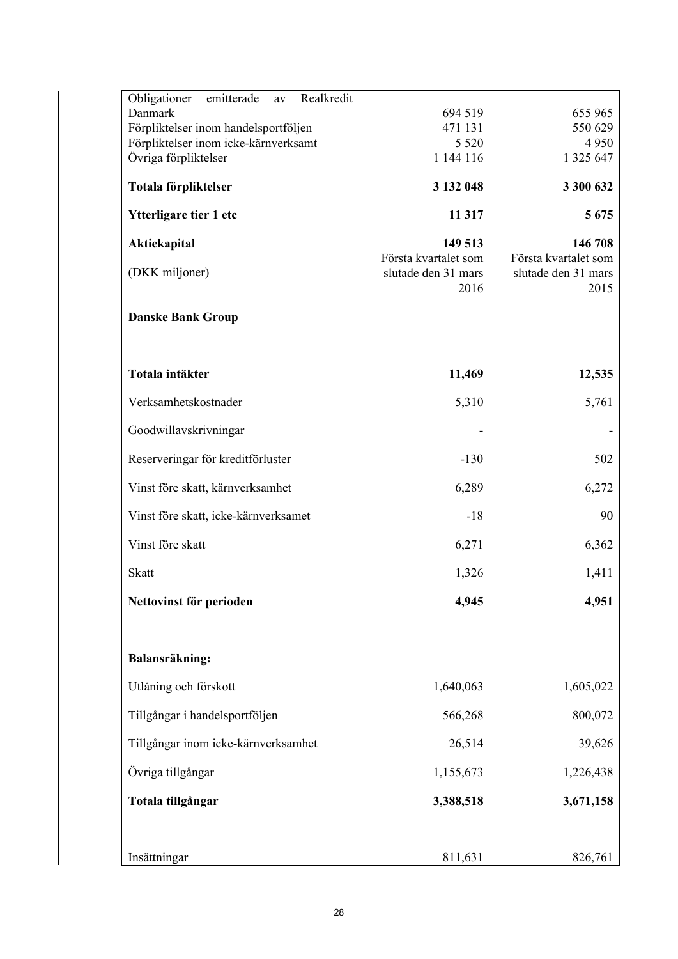| Obligationer<br>Realkredit<br>emitterade<br>av  |                             |                             |
|-------------------------------------------------|-----------------------------|-----------------------------|
| Danmark<br>Förpliktelser inom handelsportföljen | 694 519<br>471 131          | 655 965<br>550 629          |
| Förpliktelser inom icke-kärnverksamt            | 5 5 2 0                     | 4 9 5 0                     |
| Övriga förpliktelser                            | 1 144 116                   | 1 325 647                   |
| Totala förpliktelser                            | 3 132 048                   | 3 300 632                   |
| Ytterligare tier 1 etc                          | 11 317                      | 5 6 7 5                     |
| Aktiekapital                                    | 149 513                     | 146 708                     |
|                                                 | Första kvartalet som        | Första kvartalet som        |
| (DKK miljoner)                                  | slutade den 31 mars<br>2016 | slutade den 31 mars<br>2015 |
| <b>Danske Bank Group</b>                        |                             |                             |
| Totala intäkter                                 | 11,469                      | 12,535                      |
| Verksamhetskostnader                            | 5,310                       | 5,761                       |
| Goodwillavskrivningar                           |                             |                             |
| Reserveringar för kreditförluster               | $-130$                      | 502                         |
| Vinst före skatt, kärnverksamhet                | 6,289                       | 6,272                       |
| Vinst före skatt, icke-kärnverksamet            | $-18$                       | 90                          |
| Vinst före skatt                                | 6,271                       | 6,362                       |
| <b>Skatt</b>                                    | 1,326                       | 1,411                       |
| Nettovinst för perioden                         | 4,945                       | 4,951                       |
| Balansräkning:                                  |                             |                             |
| Utlåning och förskott                           | 1,640,063                   | 1,605,022                   |
| Tillgångar i handelsportföljen                  | 566,268                     | 800,072                     |
| Tillgångar inom icke-kärnverksamhet             | 26,514                      | 39,626                      |
| Övriga tillgångar                               | 1,155,673                   | 1,226,438                   |
| Totala tillgångar                               | 3,388,518                   | 3,671,158                   |
| Insättningar                                    | 811,631                     | 826,761                     |
|                                                 |                             |                             |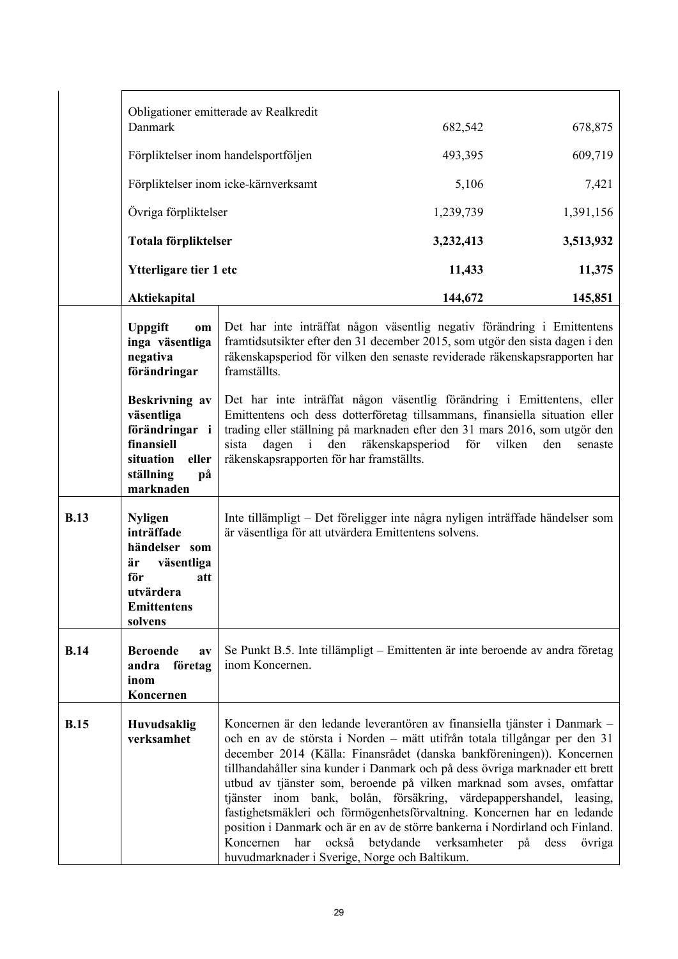|             |                                                                                                                               | Obligationer emitterade av Realkredit                                                                                                                                                                                                                                                                                                                                                                                                                                                                                                                                                                                                                                                    |                                                                                                                                                                                                                                                                                                                                            |           |  |  |  |  |  |  |
|-------------|-------------------------------------------------------------------------------------------------------------------------------|------------------------------------------------------------------------------------------------------------------------------------------------------------------------------------------------------------------------------------------------------------------------------------------------------------------------------------------------------------------------------------------------------------------------------------------------------------------------------------------------------------------------------------------------------------------------------------------------------------------------------------------------------------------------------------------|--------------------------------------------------------------------------------------------------------------------------------------------------------------------------------------------------------------------------------------------------------------------------------------------------------------------------------------------|-----------|--|--|--|--|--|--|
|             | Danmark                                                                                                                       |                                                                                                                                                                                                                                                                                                                                                                                                                                                                                                                                                                                                                                                                                          | 682,542                                                                                                                                                                                                                                                                                                                                    | 678,875   |  |  |  |  |  |  |
|             |                                                                                                                               | Förpliktelser inom handelsportföljen                                                                                                                                                                                                                                                                                                                                                                                                                                                                                                                                                                                                                                                     | 493,395                                                                                                                                                                                                                                                                                                                                    | 609,719   |  |  |  |  |  |  |
|             |                                                                                                                               | Förpliktelser inom icke-kärnverksamt                                                                                                                                                                                                                                                                                                                                                                                                                                                                                                                                                                                                                                                     | 5,106                                                                                                                                                                                                                                                                                                                                      | 7,421     |  |  |  |  |  |  |
|             | Övriga förpliktelser                                                                                                          |                                                                                                                                                                                                                                                                                                                                                                                                                                                                                                                                                                                                                                                                                          | 1,239,739                                                                                                                                                                                                                                                                                                                                  | 1,391,156 |  |  |  |  |  |  |
|             | Totala förpliktelser                                                                                                          |                                                                                                                                                                                                                                                                                                                                                                                                                                                                                                                                                                                                                                                                                          | 3,232,413                                                                                                                                                                                                                                                                                                                                  | 3,513,932 |  |  |  |  |  |  |
|             | Ytterligare tier 1 etc                                                                                                        |                                                                                                                                                                                                                                                                                                                                                                                                                                                                                                                                                                                                                                                                                          | 11,433                                                                                                                                                                                                                                                                                                                                     | 11,375    |  |  |  |  |  |  |
|             | Aktiekapital                                                                                                                  |                                                                                                                                                                                                                                                                                                                                                                                                                                                                                                                                                                                                                                                                                          | 144,672                                                                                                                                                                                                                                                                                                                                    | 145,851   |  |  |  |  |  |  |
|             | <b>Uppgift</b><br>$\bf{om}$<br>inga väsentliga<br>negativa<br>förändringar                                                    | Det har inte inträffat någon väsentlig negativ förändring i Emittentens<br>framtidsutsikter efter den 31 december 2015, som utgör den sista dagen i den<br>räkenskapsperiod för vilken den senaste reviderade räkenskapsrapporten har<br>framställts.                                                                                                                                                                                                                                                                                                                                                                                                                                    |                                                                                                                                                                                                                                                                                                                                            |           |  |  |  |  |  |  |
|             | Beskrivning av<br>väsentliga<br>förändringar i<br>finansiell<br>situation<br>eller<br>ställning<br>på<br>marknaden            | dagen i<br>sista                                                                                                                                                                                                                                                                                                                                                                                                                                                                                                                                                                                                                                                                         | Det har inte inträffat någon väsentlig förändring i Emittentens, eller<br>Emittentens och dess dotterföretag tillsammans, finansiella situation eller<br>trading eller ställning på marknaden efter den 31 mars 2016, som utgör den<br>den räkenskapsperiod<br>vilken<br>för<br>den<br>senaste<br>räkenskapsrapporten för har framställts. |           |  |  |  |  |  |  |
| <b>B.13</b> | <b>Nyligen</b><br>inträffade<br>händelser som<br>väsentliga<br>är<br>för<br>att<br>utvärdera<br><b>Emittentens</b><br>solvens | Inte tillämpligt – Det föreligger inte några nyligen inträffade händelser som<br>är väsentliga för att utvärdera Emittentens solvens.                                                                                                                                                                                                                                                                                                                                                                                                                                                                                                                                                    |                                                                                                                                                                                                                                                                                                                                            |           |  |  |  |  |  |  |
| <b>B.14</b> | <b>Beroende</b><br>av<br>företag<br>andra<br>inom<br>Koncernen                                                                | Se Punkt B.5. Inte tillämpligt – Emittenten är inte beroende av andra företag<br>inom Koncernen.                                                                                                                                                                                                                                                                                                                                                                                                                                                                                                                                                                                         |                                                                                                                                                                                                                                                                                                                                            |           |  |  |  |  |  |  |
| <b>B.15</b> | Huvudsaklig<br>verksamhet                                                                                                     | Koncernen är den ledande leverantören av finansiella tjänster i Danmark –<br>och en av de största i Norden – mätt utifrån totala tillgångar per den 31<br>december 2014 (Källa: Finansrådet (danska bankföreningen)). Koncernen<br>tillhandahåller sina kunder i Danmark och på dess övriga marknader ett brett<br>utbud av tjänster som, beroende på vilken marknad som avses, omfattar<br>tjänster inom bank, bolån, försäkring, värdepappershandel, leasing,<br>fastighetsmäkleri och förmögenhetsförvaltning. Koncernen har en ledande<br>position i Danmark och är en av de större bankerna i Nordirland och Finland.<br>Koncernen<br>huvudmarknader i Sverige, Norge och Baltikum. | har också betydande verksamheter på dess                                                                                                                                                                                                                                                                                                   | övriga    |  |  |  |  |  |  |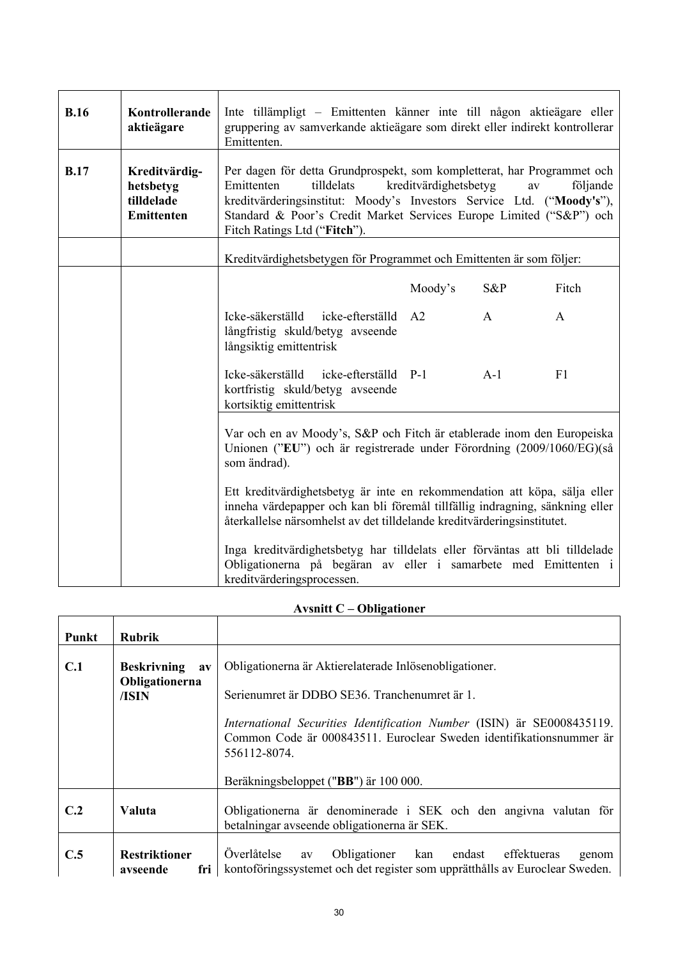| B.16        | Kontrollerande<br>aktieägare                           | Inte tillämpligt – Emittenten känner inte till någon aktieägare eller<br>gruppering av samverkande aktieägare som direkt eller indirekt kontrollerar<br>Emittenten.                                                                                                                                                            |  |  |  |  |  |  |  |  |
|-------------|--------------------------------------------------------|--------------------------------------------------------------------------------------------------------------------------------------------------------------------------------------------------------------------------------------------------------------------------------------------------------------------------------|--|--|--|--|--|--|--|--|
| <b>B.17</b> | Kreditvärdig-<br>hetsbetyg<br>tilldelade<br>Emittenten | Per dagen för detta Grundprospekt, som kompletterat, har Programmet och<br>tilldelats<br>kreditvärdighetsbetyg<br>följande<br>Emittenten<br>av<br>kreditvärderingsinstitut: Moody's Investors Service Ltd. ("Moody's"),<br>Standard & Poor's Credit Market Services Europe Limited ("S&P") och<br>Fitch Ratings Ltd ("Fitch"). |  |  |  |  |  |  |  |  |
|             |                                                        | Kreditvärdighetsbetygen för Programmet och Emittenten är som följer:                                                                                                                                                                                                                                                           |  |  |  |  |  |  |  |  |
|             |                                                        | Moody's<br>$S\&P$<br>Fitch                                                                                                                                                                                                                                                                                                     |  |  |  |  |  |  |  |  |
|             |                                                        | Icke-säkerställd<br>icke-efterställd<br>A2<br>$\mathbf{A}$<br>$\mathbf{A}$<br>långfristig skuld/betyg avseende<br>långsiktig emittentrisk                                                                                                                                                                                      |  |  |  |  |  |  |  |  |
|             |                                                        | Icke-säkerställd icke-efterställd<br>F1<br>$P-1$<br>$A-1$<br>kortfristig skuld/betyg avseende<br>kortsiktig emittentrisk                                                                                                                                                                                                       |  |  |  |  |  |  |  |  |
|             |                                                        | Var och en av Moody's, S&P och Fitch är etablerade inom den Europeiska<br>Unionen ("EU") och är registrerade under Förordning (2009/1060/EG)(så<br>som ändrad).                                                                                                                                                                |  |  |  |  |  |  |  |  |
|             |                                                        | Ett kreditvärdighetsbetyg är inte en rekommendation att köpa, sälja eller<br>inneha värdepapper och kan bli föremål tillfällig indragning, sänkning eller<br>återkallelse närsomhelst av det tilldelande kreditvärderingsinstitutet.                                                                                           |  |  |  |  |  |  |  |  |
|             |                                                        | Inga kreditvärdighetsbetyg har tilldelats eller förväntas att bli tilldelade<br>Obligationerna på begäran av eller i samarbete med Emittenten i<br>kreditvärderingsprocessen.                                                                                                                                                  |  |  |  |  |  |  |  |  |

# **Avsnitt C – Obligationer**

| Punkt | <b>Rubrik</b>                                          |                                                                                                                                                                                                                                                                                                                          |
|-------|--------------------------------------------------------|--------------------------------------------------------------------------------------------------------------------------------------------------------------------------------------------------------------------------------------------------------------------------------------------------------------------------|
| C.1   | <b>Beskrivning</b><br>$a$ v<br>Obligationerna<br>/ISIN | Obligationerna är Aktierelaterade Inlösenobligationer.<br>Serienumret är DDBO SE36. Tranchenumret är 1.<br><i>International Securities Identification Number</i> (ISIN) är SE0008435119.<br>Common Code är 000843511. Euroclear Sweden identifikationsnummer är<br>556112-8074.<br>Beräkningsbeloppet ("BB") är 100 000. |
| C.2   | Valuta                                                 | Obligationerna är denominerade i SEK och den angivna valutan för<br>betalningar avseende obligationerna är SEK.                                                                                                                                                                                                          |
| C.5   | <b>Restriktioner</b><br>fri l<br>avseende              | Överlåtelse<br>Obligationer kan<br>effektueras<br>endast<br>av<br>genom<br>kontoföringssystemet och det register som upprätthålls av Euroclear Sweden.                                                                                                                                                                   |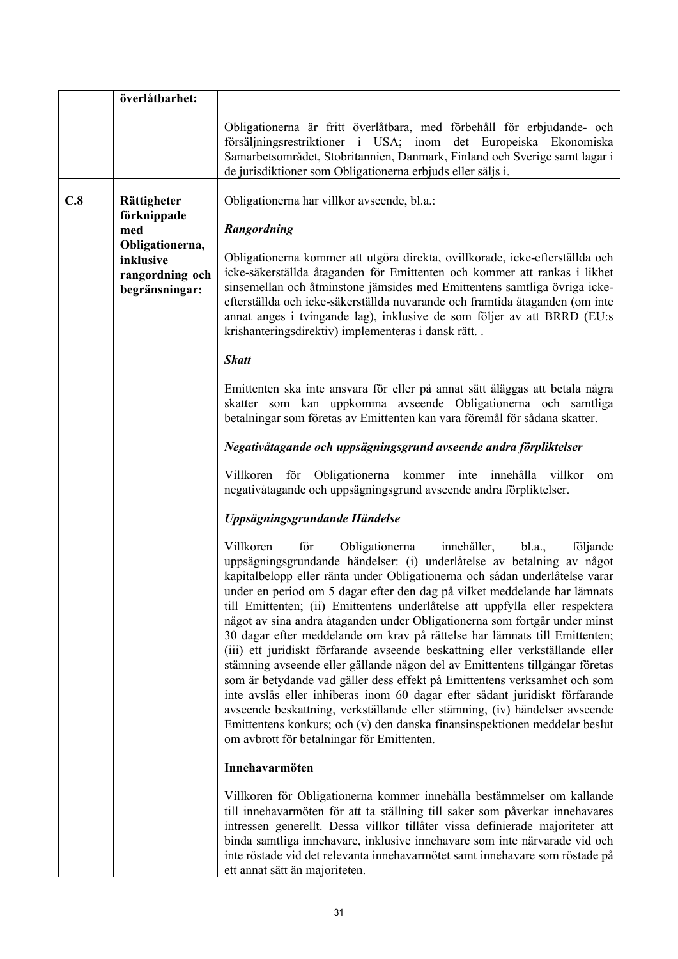|     | överlåtbarhet:                                                    |                                                                                                                                                                                                                                                                                                                                                                                                                                                                                                                                                                                                                                                                                                                                                                                                                                                                                                                                                                                                                                                                                                   |
|-----|-------------------------------------------------------------------|---------------------------------------------------------------------------------------------------------------------------------------------------------------------------------------------------------------------------------------------------------------------------------------------------------------------------------------------------------------------------------------------------------------------------------------------------------------------------------------------------------------------------------------------------------------------------------------------------------------------------------------------------------------------------------------------------------------------------------------------------------------------------------------------------------------------------------------------------------------------------------------------------------------------------------------------------------------------------------------------------------------------------------------------------------------------------------------------------|
|     |                                                                   | Obligationerna är fritt överlåtbara, med förbehåll för erbjudande- och<br>försäljningsrestriktioner i USA; inom det Europeiska Ekonomiska<br>Samarbetsområdet, Stobritannien, Danmark, Finland och Sverige samt lagar i<br>de jurisdiktioner som Obligationerna erbjuds eller säljs i.                                                                                                                                                                                                                                                                                                                                                                                                                                                                                                                                                                                                                                                                                                                                                                                                            |
| C.8 | Rättigheter                                                       | Obligationerna har villkor avseende, bl.a.:                                                                                                                                                                                                                                                                                                                                                                                                                                                                                                                                                                                                                                                                                                                                                                                                                                                                                                                                                                                                                                                       |
|     | förknippade<br>med                                                | Rangordning                                                                                                                                                                                                                                                                                                                                                                                                                                                                                                                                                                                                                                                                                                                                                                                                                                                                                                                                                                                                                                                                                       |
|     | Obligationerna,<br>inklusive<br>rangordning och<br>begränsningar: | Obligationerna kommer att utgöra direkta, ovillkorade, icke-efterställda och<br>icke-säkerställda åtaganden för Emittenten och kommer att rankas i likhet<br>sinsemellan och åtminstone jämsides med Emittentens samtliga övriga icke-<br>efterställda och icke-säkerställda nuvarande och framtida åtaganden (om inte<br>annat anges i tvingande lag), inklusive de som följer av att BRRD (EU:s<br>krishanteringsdirektiv) implementeras i dansk rätt                                                                                                                                                                                                                                                                                                                                                                                                                                                                                                                                                                                                                                           |
|     |                                                                   | <b>Skatt</b>                                                                                                                                                                                                                                                                                                                                                                                                                                                                                                                                                                                                                                                                                                                                                                                                                                                                                                                                                                                                                                                                                      |
|     |                                                                   | Emittenten ska inte ansvara för eller på annat sätt åläggas att betala några<br>skatter som kan uppkomma avseende Obligationerna och samtliga<br>betalningar som företas av Emittenten kan vara föremål för sådana skatter.                                                                                                                                                                                                                                                                                                                                                                                                                                                                                                                                                                                                                                                                                                                                                                                                                                                                       |
|     |                                                                   | Negativåtagande och uppsägningsgrund avseende andra förpliktelser                                                                                                                                                                                                                                                                                                                                                                                                                                                                                                                                                                                                                                                                                                                                                                                                                                                                                                                                                                                                                                 |
|     |                                                                   | för Obligationerna kommer inte<br>villkor<br>Villkoren<br>innehålla<br>om<br>negativåtagande och uppsägningsgrund avseende andra förpliktelser.                                                                                                                                                                                                                                                                                                                                                                                                                                                                                                                                                                                                                                                                                                                                                                                                                                                                                                                                                   |
|     |                                                                   | Uppsägningsgrundande Händelse                                                                                                                                                                                                                                                                                                                                                                                                                                                                                                                                                                                                                                                                                                                                                                                                                                                                                                                                                                                                                                                                     |
|     |                                                                   | Villkoren<br>för<br>Obligationerna<br>innehåller,<br>bl.a.,<br>följande<br>uppsägningsgrundande händelser: (i) underlåtelse av betalning av något<br>kapitalbelopp eller ränta under Obligationerna och sådan underlåtelse varar<br>under en period om 5 dagar efter den dag på vilket meddelande har lämnats<br>till Emittenten; (ii) Emittentens underlåtelse att uppfylla eller respektera<br>något av sina andra åtaganden under Obligationerna som fortgår under minst<br>30 dagar efter meddelande om krav på rättelse har lämnats till Emittenten;<br>(iii) ett juridiskt förfarande avseende beskattning eller verkställande eller<br>stämning avseende eller gällande någon del av Emittentens tillgångar företas<br>som är betydande vad gäller dess effekt på Emittentens verksamhet och som<br>inte avslås eller inhiberas inom 60 dagar efter sådant juridiskt förfarande<br>avseende beskattning, verkställande eller stämning, (iv) händelser avseende<br>Emittentens konkurs; och (v) den danska finansinspektionen meddelar beslut<br>om avbrott för betalningar för Emittenten. |
|     |                                                                   | Innehavarmöten                                                                                                                                                                                                                                                                                                                                                                                                                                                                                                                                                                                                                                                                                                                                                                                                                                                                                                                                                                                                                                                                                    |
|     |                                                                   | Villkoren för Obligationerna kommer innehålla bestämmelser om kallande<br>till innehavarmöten för att ta ställning till saker som påverkar innehavares<br>intressen generellt. Dessa villkor tillåter vissa definierade majoriteter att<br>binda samtliga innehavare, inklusive innehavare som inte närvarade vid och<br>inte röstade vid det relevanta innehavarmötet samt innehavare som röstade på<br>ett annat sätt än majoriteten.                                                                                                                                                                                                                                                                                                                                                                                                                                                                                                                                                                                                                                                           |

ett annat sätt än majoriteten.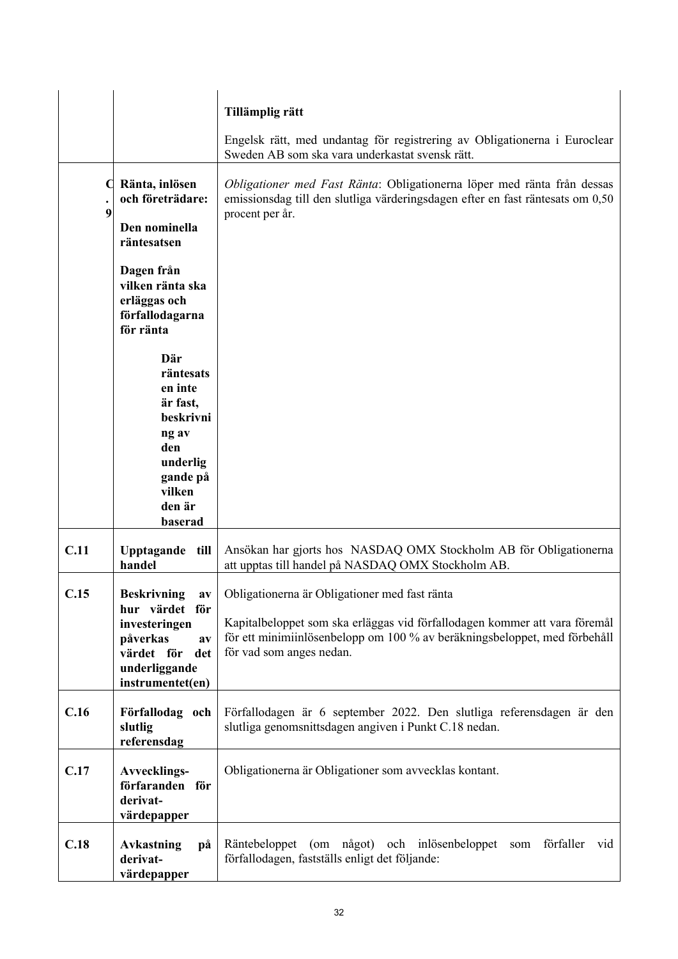|                |                                                                                              | Tillämplig rätt                                                                                                                                                                     |
|----------------|----------------------------------------------------------------------------------------------|-------------------------------------------------------------------------------------------------------------------------------------------------------------------------------------|
|                |                                                                                              | Engelsk rätt, med undantag för registrering av Obligationerna i Euroclear<br>Sweden AB som ska vara underkastat svensk rätt.                                                        |
| $\bullet$<br>9 | Ränta, inlösen<br>och företrädare:<br>Den nominella                                          | Obligationer med Fast Ränta: Obligationerna löper med ränta från dessas<br>emissionsdag till den slutliga värderingsdagen efter en fast räntesats om 0,50<br>procent per år.        |
|                | räntesatsen                                                                                  |                                                                                                                                                                                     |
|                | Dagen från<br>vilken ränta ska<br>erläggas och<br>förfallodagarna<br>för ränta               |                                                                                                                                                                                     |
|                | Där<br>räntesats<br>en inte<br>är fast,<br>beskrivni                                         |                                                                                                                                                                                     |
|                | ng av<br>den                                                                                 |                                                                                                                                                                                     |
|                | underlig<br>gande på<br>vilken                                                               |                                                                                                                                                                                     |
|                | den är<br>baserad                                                                            |                                                                                                                                                                                     |
| C.11           | Upptagande till<br>handel                                                                    | Ansökan har gjorts hos NASDAQ OMX Stockholm AB för Obligationerna<br>att upptas till handel på NASDAQ OMX Stockholm AB.                                                             |
| C.15           | <b>Beskrivning</b><br>av<br>hur värdet för                                                   | Obligationerna är Obligationer med fast ränta                                                                                                                                       |
|                | investeringen<br>påverkas<br>$a$ v<br>värdet för<br>det<br>underliggande<br>instrumentet(en) | Kapitalbeloppet som ska erläggas vid förfallodagen kommer att vara föremål<br>för ett minimiinlösenbelopp om 100 % av beräkningsbeloppet, med förbehåll<br>för vad som anges nedan. |
| C.16           | Förfallodag och<br>slutlig<br>referensdag                                                    | Förfallodagen är 6 september 2022. Den slutliga referensdagen är den<br>slutliga genomsnittsdagen angiven i Punkt C.18 nedan.                                                       |
| C.17           | <b>Avvecklings-</b><br>förfaranden för<br>derivat-<br>värdepapper                            | Obligationerna är Obligationer som avvecklas kontant.                                                                                                                               |
| C.18           | <b>Avkastning</b><br>рå<br>derivat-<br>värdepapper                                           | förfaller<br>Räntebeloppet (om något) och inlösenbeloppet<br>vid<br>som<br>förfallodagen, fastställs enligt det följande:                                                           |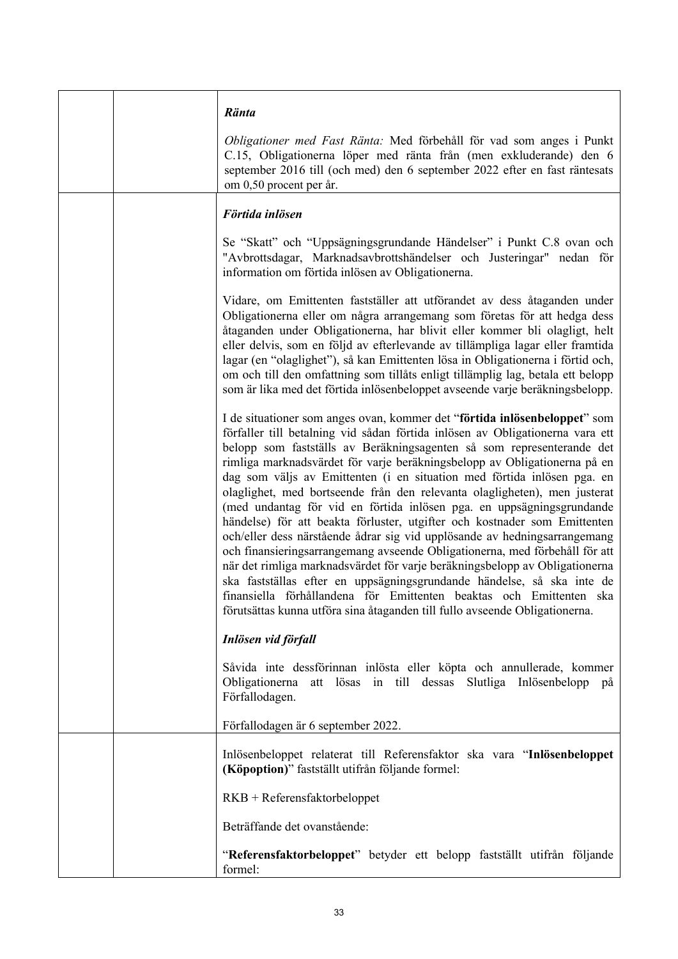|  | Ränta                                                                                                                                                                                                                                                                                                                                                                                                                                                                                                                                                                                                                                                                                                                                                                                                                                                                                                                                                                                                                                                                                                     |
|--|-----------------------------------------------------------------------------------------------------------------------------------------------------------------------------------------------------------------------------------------------------------------------------------------------------------------------------------------------------------------------------------------------------------------------------------------------------------------------------------------------------------------------------------------------------------------------------------------------------------------------------------------------------------------------------------------------------------------------------------------------------------------------------------------------------------------------------------------------------------------------------------------------------------------------------------------------------------------------------------------------------------------------------------------------------------------------------------------------------------|
|  | Obligationer med Fast Ränta: Med förbehåll för vad som anges i Punkt<br>C.15, Obligationerna löper med ränta från (men exkluderande) den 6<br>september 2016 till (och med) den 6 september 2022 efter en fast räntesats<br>om 0,50 procent per år.                                                                                                                                                                                                                                                                                                                                                                                                                                                                                                                                                                                                                                                                                                                                                                                                                                                       |
|  | Förtida inlösen                                                                                                                                                                                                                                                                                                                                                                                                                                                                                                                                                                                                                                                                                                                                                                                                                                                                                                                                                                                                                                                                                           |
|  | Se "Skatt" och "Uppsägningsgrundande Händelser" i Punkt C.8 ovan och<br>"Avbrottsdagar, Marknadsavbrottshändelser och Justeringar" nedan för<br>information om förtida inlösen av Obligationerna.                                                                                                                                                                                                                                                                                                                                                                                                                                                                                                                                                                                                                                                                                                                                                                                                                                                                                                         |
|  | Vidare, om Emittenten fastställer att utförandet av dess åtaganden under<br>Obligationerna eller om några arrangemang som företas för att hedga dess<br>åtaganden under Obligationerna, har blivit eller kommer bli olagligt, helt<br>eller delvis, som en följd av efterlevande av tillämpliga lagar eller framtida<br>lagar (en "olaglighet"), så kan Emittenten lösa in Obligationerna i förtid och,<br>om och till den omfattning som tillåts enligt tillämplig lag, betala ett belopp<br>som är lika med det förtida inlösenbeloppet avseende varje beräkningsbelopp.                                                                                                                                                                                                                                                                                                                                                                                                                                                                                                                                |
|  | I de situationer som anges ovan, kommer det "förtida inlösenbeloppet" som<br>förfaller till betalning vid sådan förtida inlösen av Obligationerna vara ett<br>belopp som fastställs av Beräkningsagenten så som representerande det<br>rimliga marknadsvärdet för varje beräkningsbelopp av Obligationerna på en<br>dag som väljs av Emittenten (i en situation med förtida inlösen pga. en<br>olaglighet, med bortseende från den relevanta olagligheten), men justerat<br>(med undantag för vid en förtida inlösen pga. en uppsägningsgrundande<br>händelse) för att beakta förluster, utgifter och kostnader som Emittenten<br>och/eller dess närstående ådrar sig vid upplösande av hedningsarrangemang<br>och finansieringsarrangemang avseende Obligationerna, med förbehåll för att<br>när det rimliga marknadsvärdet för varje beräkningsbelopp av Obligationerna<br>ska fastställas efter en uppsägningsgrundande händelse, så ska inte de<br>finansiella förhållandena för Emittenten beaktas och Emittenten ska<br>förutsättas kunna utföra sina åtaganden till fullo avseende Obligationerna. |
|  | Inlösen vid förfall                                                                                                                                                                                                                                                                                                                                                                                                                                                                                                                                                                                                                                                                                                                                                                                                                                                                                                                                                                                                                                                                                       |
|  | Såvida inte dessförinnan inlösta eller köpta och annullerade, kommer<br>Obligationerna att lösas in till dessas Slutliga Inlösenbelopp på<br>Förfallodagen.                                                                                                                                                                                                                                                                                                                                                                                                                                                                                                                                                                                                                                                                                                                                                                                                                                                                                                                                               |
|  | Förfallodagen är 6 september 2022.                                                                                                                                                                                                                                                                                                                                                                                                                                                                                                                                                                                                                                                                                                                                                                                                                                                                                                                                                                                                                                                                        |
|  | Inlösenbeloppet relaterat till Referensfaktor ska vara "Inlösenbeloppet<br>(Köpoption)" fastställt utifrån följande formel:                                                                                                                                                                                                                                                                                                                                                                                                                                                                                                                                                                                                                                                                                                                                                                                                                                                                                                                                                                               |
|  | $RKB + Referencesfaktorbeloppet$                                                                                                                                                                                                                                                                                                                                                                                                                                                                                                                                                                                                                                                                                                                                                                                                                                                                                                                                                                                                                                                                          |
|  | Beträffande det ovanstående:                                                                                                                                                                                                                                                                                                                                                                                                                                                                                                                                                                                                                                                                                                                                                                                                                                                                                                                                                                                                                                                                              |
|  | "Referensfaktorbeloppet" betyder ett belopp fastställt utifrån följande<br>formel:                                                                                                                                                                                                                                                                                                                                                                                                                                                                                                                                                                                                                                                                                                                                                                                                                                                                                                                                                                                                                        |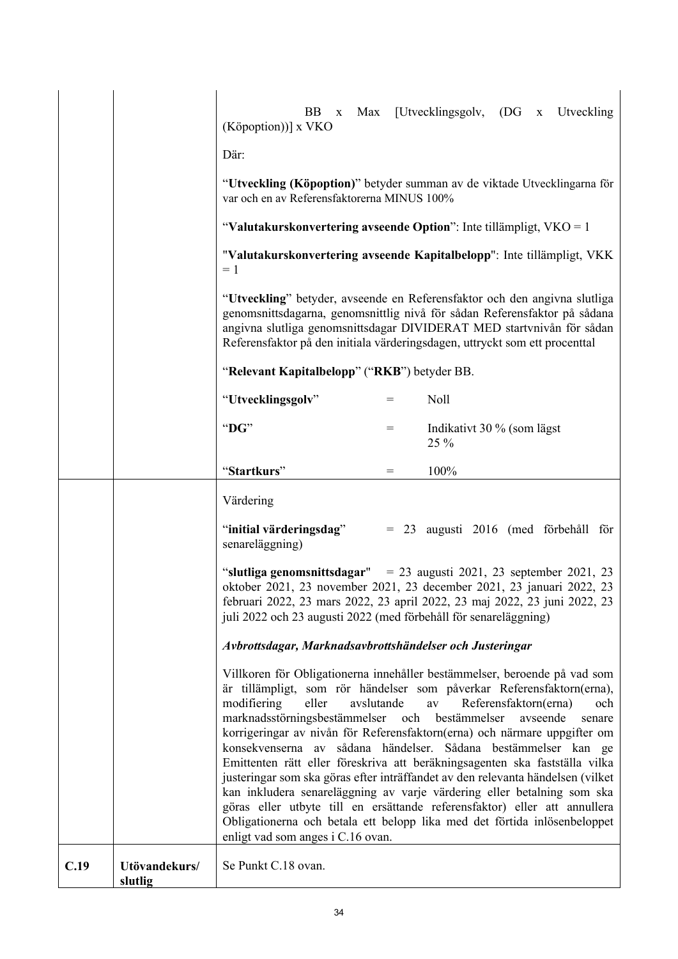|      |                          | (Köpoption))] x VKO<br>Där:                                                                                                                                                                                                                                                                                                                                                                                                                                                                                                                                                                                                                                                                                                                                                                                                                                                                             | BB.<br>$\mathbf X$ |  |     | Max [Utvecklingsgolv, (DG x Utveckling |  |  |  |  |  |  |
|------|--------------------------|---------------------------------------------------------------------------------------------------------------------------------------------------------------------------------------------------------------------------------------------------------------------------------------------------------------------------------------------------------------------------------------------------------------------------------------------------------------------------------------------------------------------------------------------------------------------------------------------------------------------------------------------------------------------------------------------------------------------------------------------------------------------------------------------------------------------------------------------------------------------------------------------------------|--------------------|--|-----|----------------------------------------|--|--|--|--|--|--|
|      |                          | "Utveckling (Köpoption)" betyder summan av de viktade Utvecklingarna för<br>var och en av Referensfaktorerna MINUS 100%                                                                                                                                                                                                                                                                                                                                                                                                                                                                                                                                                                                                                                                                                                                                                                                 |                    |  |     |                                        |  |  |  |  |  |  |
|      |                          | "Valutakurskonvertering avseende Option": Inte tillämpligt, $VKO = 1$                                                                                                                                                                                                                                                                                                                                                                                                                                                                                                                                                                                                                                                                                                                                                                                                                                   |                    |  |     |                                        |  |  |  |  |  |  |
|      |                          | "Valutakurskonvertering avseende Kapitalbelopp": Inte tillämpligt, VKK<br>$=1$                                                                                                                                                                                                                                                                                                                                                                                                                                                                                                                                                                                                                                                                                                                                                                                                                          |                    |  |     |                                        |  |  |  |  |  |  |
|      |                          | "Utveckling" betyder, avseende en Referensfaktor och den angivna slutliga<br>genomsnittsdagarna, genomsnittlig nivå för sådan Referensfaktor på sådana<br>angivna slutliga genomsnittsdagar DIVIDERAT MED startvnivån för sådan<br>Referensfaktor på den initiala värderingsdagen, uttryckt som ett procenttal                                                                                                                                                                                                                                                                                                                                                                                                                                                                                                                                                                                          |                    |  |     |                                        |  |  |  |  |  |  |
|      |                          | "Relevant Kapitalbelopp" ("RKB") betyder BB.                                                                                                                                                                                                                                                                                                                                                                                                                                                                                                                                                                                                                                                                                                                                                                                                                                                            |                    |  |     |                                        |  |  |  |  |  |  |
|      |                          | "Utvecklingsgolv"                                                                                                                                                                                                                                                                                                                                                                                                                                                                                                                                                                                                                                                                                                                                                                                                                                                                                       |                    |  | $=$ | Noll                                   |  |  |  |  |  |  |
|      |                          | "DG"                                                                                                                                                                                                                                                                                                                                                                                                                                                                                                                                                                                                                                                                                                                                                                                                                                                                                                    |                    |  | $=$ | Indikativt 30 % (som lägst<br>25 %     |  |  |  |  |  |  |
|      |                          | "Startkurs"                                                                                                                                                                                                                                                                                                                                                                                                                                                                                                                                                                                                                                                                                                                                                                                                                                                                                             |                    |  | $=$ | 100%                                   |  |  |  |  |  |  |
|      |                          | Värdering                                                                                                                                                                                                                                                                                                                                                                                                                                                                                                                                                                                                                                                                                                                                                                                                                                                                                               |                    |  |     |                                        |  |  |  |  |  |  |
|      |                          | "initial värderingsdag"<br>senareläggning)                                                                                                                                                                                                                                                                                                                                                                                                                                                                                                                                                                                                                                                                                                                                                                                                                                                              |                    |  |     | = 23 augusti 2016 (med förbehåll för   |  |  |  |  |  |  |
|      |                          | "slutliga genomsnittsdagar" = 23 augusti 2021, 23 september 2021, 23<br>oktober 2021, 23 november 2021, 23 december 2021, 23 januari 2022, 23<br>februari 2022, 23 mars 2022, 23 april 2022, 23 maj 2022, 23 juni 2022, 23<br>juli 2022 och 23 augusti 2022 (med förbehåll för senareläggning)                                                                                                                                                                                                                                                                                                                                                                                                                                                                                                                                                                                                          |                    |  |     |                                        |  |  |  |  |  |  |
|      |                          | Avbrottsdagar, Marknadsavbrottshändelser och Justeringar                                                                                                                                                                                                                                                                                                                                                                                                                                                                                                                                                                                                                                                                                                                                                                                                                                                |                    |  |     |                                        |  |  |  |  |  |  |
|      |                          | Villkoren för Obligationerna innehåller bestämmelser, beroende på vad som<br>är tillämpligt, som rör händelser som påverkar Referensfaktorn(erna),<br>modifiering<br>eller<br>avslutande<br>Referensfaktorn(erna)<br>$\rm av$<br>och<br>marknadsstörningsbestämmelser och bestämmelser<br>avseende<br>senare<br>korrigeringar av nivån för Referensfaktorn(erna) och närmare uppgifter om<br>konsekvenserna av sådana händelser. Sådana bestämmelser kan ge<br>Emittenten rätt eller föreskriva att beräkningsagenten ska fastställa vilka<br>justeringar som ska göras efter inträffandet av den relevanta händelsen (vilket<br>kan inkludera senareläggning av varje värdering eller betalning som ska<br>göras eller utbyte till en ersättande referensfaktor) eller att annullera<br>Obligationerna och betala ett belopp lika med det förtida inlösenbeloppet<br>enligt vad som anges i C.16 ovan. |                    |  |     |                                        |  |  |  |  |  |  |
| C.19 | Utövandekurs/<br>slutlig | Se Punkt C.18 ovan.                                                                                                                                                                                                                                                                                                                                                                                                                                                                                                                                                                                                                                                                                                                                                                                                                                                                                     |                    |  |     |                                        |  |  |  |  |  |  |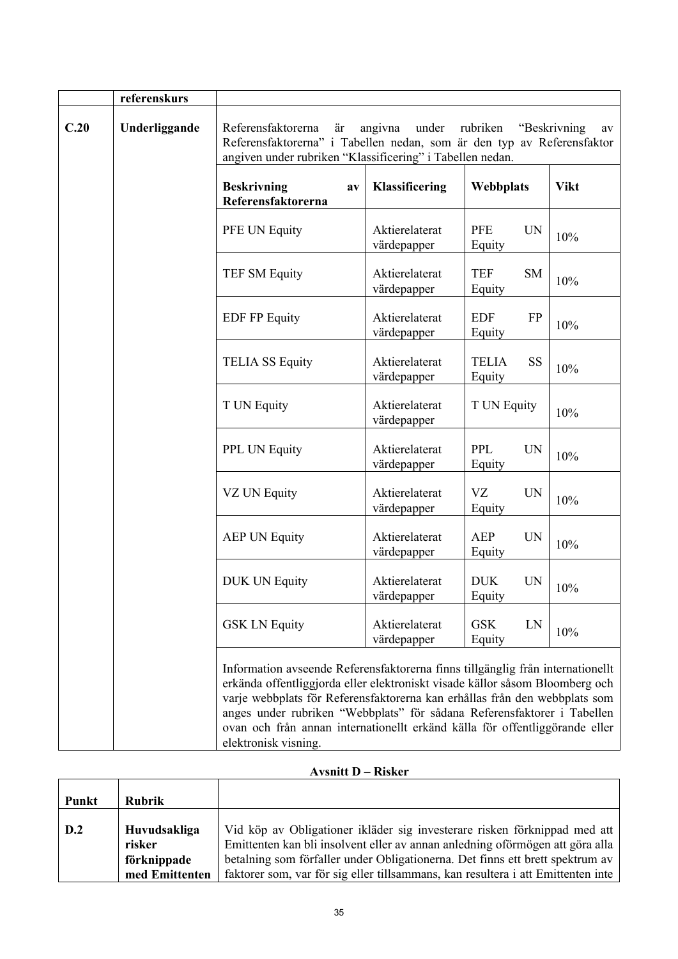|      | referenskurs                                                                                                                                                                                                                                                                                                                                                                                                                   |                                                                                                                                                                                                                 |                                  |                                     |             |  |  |  |  |  |  |  |  |
|------|--------------------------------------------------------------------------------------------------------------------------------------------------------------------------------------------------------------------------------------------------------------------------------------------------------------------------------------------------------------------------------------------------------------------------------|-----------------------------------------------------------------------------------------------------------------------------------------------------------------------------------------------------------------|----------------------------------|-------------------------------------|-------------|--|--|--|--|--|--|--|--|
| C.20 | Underliggande                                                                                                                                                                                                                                                                                                                                                                                                                  | under<br>Referensfaktorerna<br>angivna<br>rubriken<br>"Beskrivning<br>är<br>Referensfaktorerna" i Tabellen nedan, som är den typ av Referensfaktor<br>angiven under rubriken "Klassificering" i Tabellen nedan. |                                  |                                     |             |  |  |  |  |  |  |  |  |
|      |                                                                                                                                                                                                                                                                                                                                                                                                                                | <b>Beskrivning</b><br>av<br>Referensfaktorerna                                                                                                                                                                  | Klassificering                   | Webbplats                           | <b>Vikt</b> |  |  |  |  |  |  |  |  |
|      |                                                                                                                                                                                                                                                                                                                                                                                                                                | PFE UN Equity                                                                                                                                                                                                   | Aktierelaterat<br>värdepapper    | <b>PFE</b><br><b>UN</b><br>Equity   | 10%         |  |  |  |  |  |  |  |  |
|      |                                                                                                                                                                                                                                                                                                                                                                                                                                | <b>TEF SM Equity</b>                                                                                                                                                                                            | Aktierelaterat<br>värdepapper    | <b>TEF</b><br><b>SM</b><br>Equity   | 10%         |  |  |  |  |  |  |  |  |
|      |                                                                                                                                                                                                                                                                                                                                                                                                                                | <b>EDF FP Equity</b>                                                                                                                                                                                            | Aktierelaterat<br>värdepapper    | <b>EDF</b><br><b>FP</b><br>Equity   | 10%         |  |  |  |  |  |  |  |  |
|      |                                                                                                                                                                                                                                                                                                                                                                                                                                | <b>TELIA SS Equity</b>                                                                                                                                                                                          | Aktierelaterat<br>värdepapper    | <b>SS</b><br><b>TELIA</b><br>Equity | 10%         |  |  |  |  |  |  |  |  |
|      |                                                                                                                                                                                                                                                                                                                                                                                                                                | T UN Equity                                                                                                                                                                                                     | T UN Equity                      | 10%                                 |             |  |  |  |  |  |  |  |  |
|      |                                                                                                                                                                                                                                                                                                                                                                                                                                | PPL UN Equity                                                                                                                                                                                                   | Aktierelaterat<br>värdepapper    | <b>PPL</b><br><b>UN</b><br>Equity   | 10%         |  |  |  |  |  |  |  |  |
|      |                                                                                                                                                                                                                                                                                                                                                                                                                                | VZ UN Equity                                                                                                                                                                                                    | <b>VZ</b><br><b>UN</b><br>Equity | 10%                                 |             |  |  |  |  |  |  |  |  |
|      |                                                                                                                                                                                                                                                                                                                                                                                                                                | <b>AEP UN Equity</b>                                                                                                                                                                                            | Aktierelaterat<br>värdepapper    | <b>AEP</b><br><b>UN</b><br>Equity   | 10%         |  |  |  |  |  |  |  |  |
|      |                                                                                                                                                                                                                                                                                                                                                                                                                                | <b>DUK UN Equity</b>                                                                                                                                                                                            | Aktierelaterat<br>värdepapper    | <b>DUK</b><br><b>UN</b><br>Equity   | 10%         |  |  |  |  |  |  |  |  |
|      |                                                                                                                                                                                                                                                                                                                                                                                                                                | <b>GSK LN Equity</b>                                                                                                                                                                                            | Aktierelaterat<br>värdepapper    | <b>GSK</b><br>LN<br>Equity          | 10%         |  |  |  |  |  |  |  |  |
|      | Information avseende Referensfaktorerna finns tillgänglig från internationellt<br>erkända offentliggjorda eller elektroniskt visade källor såsom Bloomberg och<br>varje webbplats för Referensfaktorerna kan erhållas från den webbplats som<br>anges under rubriken "Webbplats" för sådana Referensfaktorer i Tabellen<br>ovan och från annan internationellt erkänd källa för offentliggörande eller<br>elektronisk visning. |                                                                                                                                                                                                                 |                                  |                                     |             |  |  |  |  |  |  |  |  |

### **Avsnitt D – Risker**

|       |                                                         | 1.3.7.3111.0.12<br><b>INDINA</b>                                                                                                                                                                                                                                                                                                |
|-------|---------------------------------------------------------|---------------------------------------------------------------------------------------------------------------------------------------------------------------------------------------------------------------------------------------------------------------------------------------------------------------------------------|
| Punkt | <b>Rubrik</b>                                           |                                                                                                                                                                                                                                                                                                                                 |
| D.2   | Huvudsakliga<br>risker<br>förknippade<br>med Emittenten | Vid köp av Obligationer ikläder sig investerare risken förknippad med att<br>Emittenten kan bli insolvent eller av annan anledning oförmögen att göra alla<br>betalning som förfaller under Obligationerna. Det finns ett brett spektrum av<br>faktorer som, var för sig eller tillsammans, kan resultera i att Emittenten inte |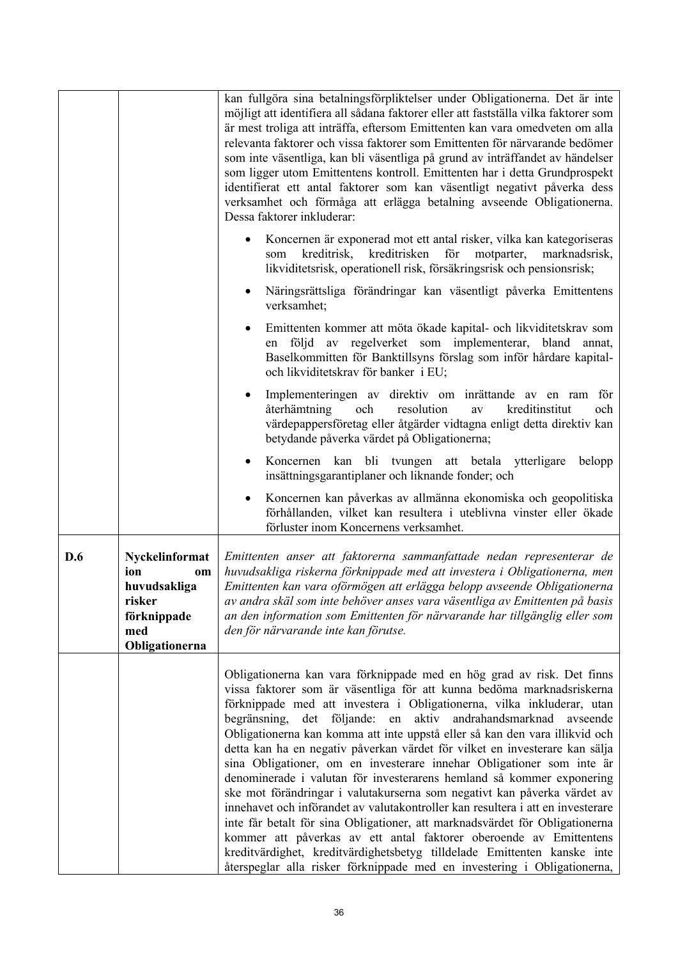|     |                                                                                               | kan fullgöra sina betalningsförpliktelser under Obligationerna. Det är inte<br>möjligt att identifiera all sådana faktorer eller att fastställa vilka faktorer som<br>är mest troliga att inträffa, eftersom Emittenten kan vara omedveten om alla<br>relevanta faktorer och vissa faktorer som Emittenten för närvarande bedömer<br>som inte väsentliga, kan bli väsentliga på grund av inträffandet av händelser<br>som ligger utom Emittentens kontroll. Emittenten har i detta Grundprospekt<br>identifierat ett antal faktorer som kan väsentligt negativt påverka dess<br>verksamhet och förmåga att erlägga betalning avseende Obligationerna.<br>Dessa faktorer inkluderar:                                                                                                                                                                                                                                                                                                                                                                                                          |
|-----|-----------------------------------------------------------------------------------------------|----------------------------------------------------------------------------------------------------------------------------------------------------------------------------------------------------------------------------------------------------------------------------------------------------------------------------------------------------------------------------------------------------------------------------------------------------------------------------------------------------------------------------------------------------------------------------------------------------------------------------------------------------------------------------------------------------------------------------------------------------------------------------------------------------------------------------------------------------------------------------------------------------------------------------------------------------------------------------------------------------------------------------------------------------------------------------------------------|
|     |                                                                                               | Koncernen är exponerad mot ett antal risker, vilka kan kategoriseras<br>kreditrisken<br>för<br>kreditrisk,<br>motparter,<br>marknadsrisk,<br>som<br>likviditetsrisk, operationell risk, försäkringsrisk och pensionsrisk;                                                                                                                                                                                                                                                                                                                                                                                                                                                                                                                                                                                                                                                                                                                                                                                                                                                                    |
|     |                                                                                               | Näringsrättsliga förändringar kan väsentligt påverka Emittentens<br>verksamhet;                                                                                                                                                                                                                                                                                                                                                                                                                                                                                                                                                                                                                                                                                                                                                                                                                                                                                                                                                                                                              |
|     |                                                                                               | Emittenten kommer att möta ökade kapital- och likviditetskrav som<br>följd av regelverket som implementerar, bland<br>annat,<br>en<br>Baselkommitten för Banktillsyns förslag som inför hårdare kapital-<br>och likviditetskrav för banker i EU;                                                                                                                                                                                                                                                                                                                                                                                                                                                                                                                                                                                                                                                                                                                                                                                                                                             |
|     |                                                                                               | Implementeringen av direktiv om inrättande av en ram för<br>återhämtning<br>och<br>resolution<br>kreditinstitut<br>och<br>av<br>värdepappersföretag eller åtgärder vidtagna enligt detta direktiv kan<br>betydande påverka värdet på Obligationerna;                                                                                                                                                                                                                                                                                                                                                                                                                                                                                                                                                                                                                                                                                                                                                                                                                                         |
|     |                                                                                               | Koncernen kan bli tvungen att betala ytterligare<br>belopp<br>٠<br>insättningsgarantiplaner och liknande fonder; och                                                                                                                                                                                                                                                                                                                                                                                                                                                                                                                                                                                                                                                                                                                                                                                                                                                                                                                                                                         |
|     |                                                                                               | Koncernen kan påverkas av allmänna ekonomiska och geopolitiska<br>förhållanden, vilket kan resultera i uteblivna vinster eller ökade<br>förluster inom Koncernens verksamhet.                                                                                                                                                                                                                                                                                                                                                                                                                                                                                                                                                                                                                                                                                                                                                                                                                                                                                                                |
| D.6 | Nyckelinformat<br>ion<br>om<br>huvudsakliga<br>risker<br>förknippade<br>med<br>Obligationerna | Emittenten anser att faktorerna sammanfattade nedan representerar de<br>huvudsakliga riskerna förknippade med att investera i Obligationerna, men<br>Emittenten kan vara oförmögen att erlägga belopp avseende Obligationerna<br>av andra skäl som inte behöver anses vara väsentliga av Emittenten på basis<br>an den information som Emittenten för närvarande har tillgänglig eller som<br>den för närvarande inte kan förutse.                                                                                                                                                                                                                                                                                                                                                                                                                                                                                                                                                                                                                                                           |
|     |                                                                                               | Obligationerna kan vara förknippade med en hög grad av risk. Det finns<br>vissa faktorer som är väsentliga för att kunna bedöma marknadsriskerna<br>förknippade med att investera i Obligationerna, vilka inkluderar, utan<br>begränsning, det följande: en aktiv andrahandsmarknad<br>avseende<br>Obligationerna kan komma att inte uppstå eller så kan den vara illikvid och<br>detta kan ha en negativ påverkan värdet för vilket en investerare kan sälja<br>sina Obligationer, om en investerare innehar Obligationer som inte är<br>denominerade i valutan för investerarens hemland så kommer exponering<br>ske mot förändringar i valutakurserna som negativt kan påverka värdet av<br>innehavet och införandet av valutakontroller kan resultera i att en investerare<br>inte får betalt för sina Obligationer, att marknadsvärdet för Obligationerna<br>kommer att påverkas av ett antal faktorer oberoende av Emittentens<br>kreditvärdighet, kreditvärdighetsbetyg tilldelade Emittenten kanske inte<br>återspeglar alla risker förknippade med en investering i Obligationerna, |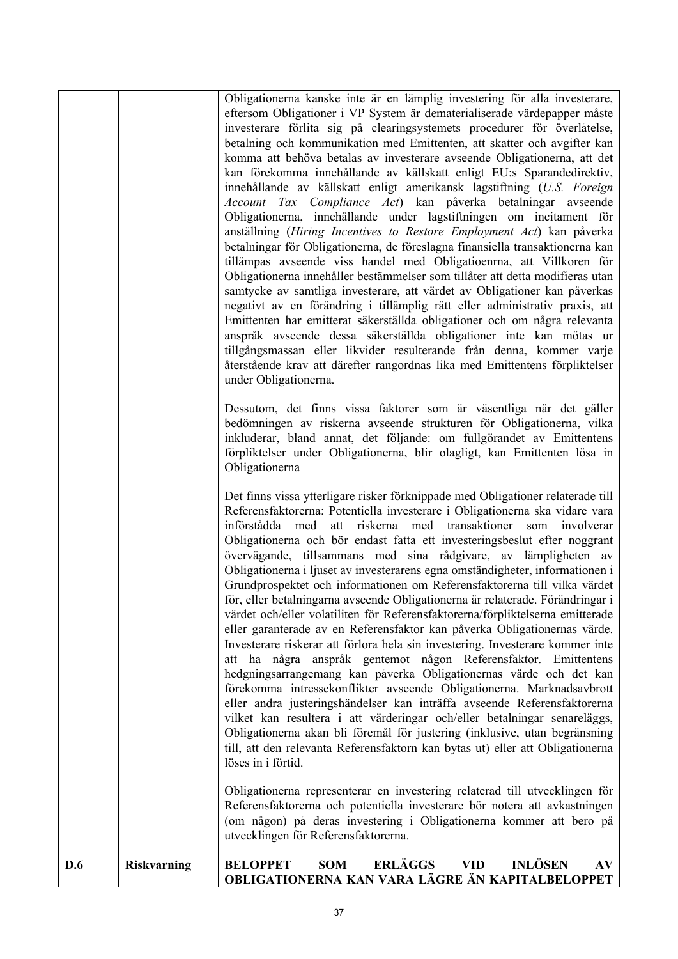|     |                    | Obligationerna kanske inte är en lämplig investering för alla investerare,<br>eftersom Obligationer i VP System är dematerialiserade värdepapper måste<br>investerare förlita sig på clearingsystemets procedurer för överlåtelse,<br>betalning och kommunikation med Emittenten, att skatter och avgifter kan<br>komma att behöva betalas av investerare avseende Obligationerna, att det<br>kan förekomma innehållande av källskatt enligt EU:s Sparandedirektiv,<br>innehållande av källskatt enligt amerikansk lagstiftning (U.S. Foreign<br>Account Tax Compliance Act) kan påverka betalningar avseende<br>Obligationerna, innehållande under lagstiftningen om incitament för<br>anställning (Hiring Incentives to Restore Employment Act) kan påverka<br>betalningar för Obligationerna, de föreslagna finansiella transaktionerna kan<br>tillämpas avseende viss handel med Obligatioenrna, att Villkoren för<br>Obligationerna innehåller bestämmelser som tillåter att detta modifieras utan<br>samtycke av samtliga investerare, att värdet av Obligationer kan påverkas<br>negativt av en förändring i tillämplig rätt eller administrativ praxis, att<br>Emittenten har emitterat säkerställda obligationer och om några relevanta<br>anspråk avseende dessa säkerställda obligationer inte kan mötas ur<br>tillgångsmassan eller likvider resulterande från denna, kommer varje<br>återstående krav att därefter rangordnas lika med Emittentens förpliktelser<br>under Obligationerna.<br>Dessutom, det finns vissa faktorer som är väsentliga när det gäller<br>bedömningen av riskerna avseende strukturen för Obligationerna, vilka<br>inkluderar, bland annat, det följande: om fullgörandet av Emittentens<br>förpliktelser under Obligationerna, blir olagligt, kan Emittenten lösa in<br>Obligationerna<br>Det finns vissa ytterligare risker förknippade med Obligationer relaterade till<br>Referensfaktorerna: Potentiella investerare i Obligationerna ska vidare vara<br>införstådda med att riskerna med transaktioner<br>involverar<br>som |
|-----|--------------------|--------------------------------------------------------------------------------------------------------------------------------------------------------------------------------------------------------------------------------------------------------------------------------------------------------------------------------------------------------------------------------------------------------------------------------------------------------------------------------------------------------------------------------------------------------------------------------------------------------------------------------------------------------------------------------------------------------------------------------------------------------------------------------------------------------------------------------------------------------------------------------------------------------------------------------------------------------------------------------------------------------------------------------------------------------------------------------------------------------------------------------------------------------------------------------------------------------------------------------------------------------------------------------------------------------------------------------------------------------------------------------------------------------------------------------------------------------------------------------------------------------------------------------------------------------------------------------------------------------------------------------------------------------------------------------------------------------------------------------------------------------------------------------------------------------------------------------------------------------------------------------------------------------------------------------------------------------------------------------------------------------------------------------------------------------------------------|
|     |                    | Obligationerna och bör endast fatta ett investeringsbeslut efter noggrant<br>övervägande, tillsammans med sina rådgivare, av lämpligheten av<br>Obligationerna i ljuset av investerarens egna omständigheter, informationen i<br>Grundprospektet och informationen om Referensfaktorerna till vilka värdet<br>för, eller betalningarna avseende Obligationerna är relaterade. Förändringar i<br>värdet och/eller volatiliten för Referensfaktorerna/förpliktelserna emitterade<br>eller garanterade av en Referensfaktor kan påverka Obligationernas värde.<br>Investerare riskerar att förlora hela sin investering. Investerare kommer inte<br>att ha några anspråk gentemot någon Referensfaktor. Emittentens<br>hedgningsarrangemang kan påverka Obligationernas värde och det kan<br>förekomma intressekonflikter avseende Obligationerna. Marknadsavbrott<br>eller andra justeringshändelser kan inträffa avseende Referensfaktorerna<br>vilket kan resultera i att värderingar och/eller betalningar senareläggs,<br>Obligationerna akan bli föremål för justering (inklusive, utan begränsning<br>till, att den relevanta Referensfaktorn kan bytas ut) eller att Obligationerna<br>löses in i förtid.<br>Obligationerna representerar en investering relaterad till utvecklingen för<br>Referensfaktorerna och potentiella investerare bör notera att avkastningen                                                                                                                                                                                                                                                                                                                                                                                                                                                                                                                                                                                                                                                                                              |
|     |                    | (om någon) på deras investering i Obligationerna kommer att bero på<br>utvecklingen för Referensfaktorerna.                                                                                                                                                                                                                                                                                                                                                                                                                                                                                                                                                                                                                                                                                                                                                                                                                                                                                                                                                                                                                                                                                                                                                                                                                                                                                                                                                                                                                                                                                                                                                                                                                                                                                                                                                                                                                                                                                                                                                              |
| D.6 | <b>Riskvarning</b> | <b>INLÖSEN</b><br><b>ERLÄGGS</b><br><b>SOM</b><br><b>VID</b><br><b>BELOPPET</b><br>AV<br>OBLIGATIONERNA KAN VARA LÄGRE ÄN KAPITALBELOPPET                                                                                                                                                                                                                                                                                                                                                                                                                                                                                                                                                                                                                                                                                                                                                                                                                                                                                                                                                                                                                                                                                                                                                                                                                                                                                                                                                                                                                                                                                                                                                                                                                                                                                                                                                                                                                                                                                                                                |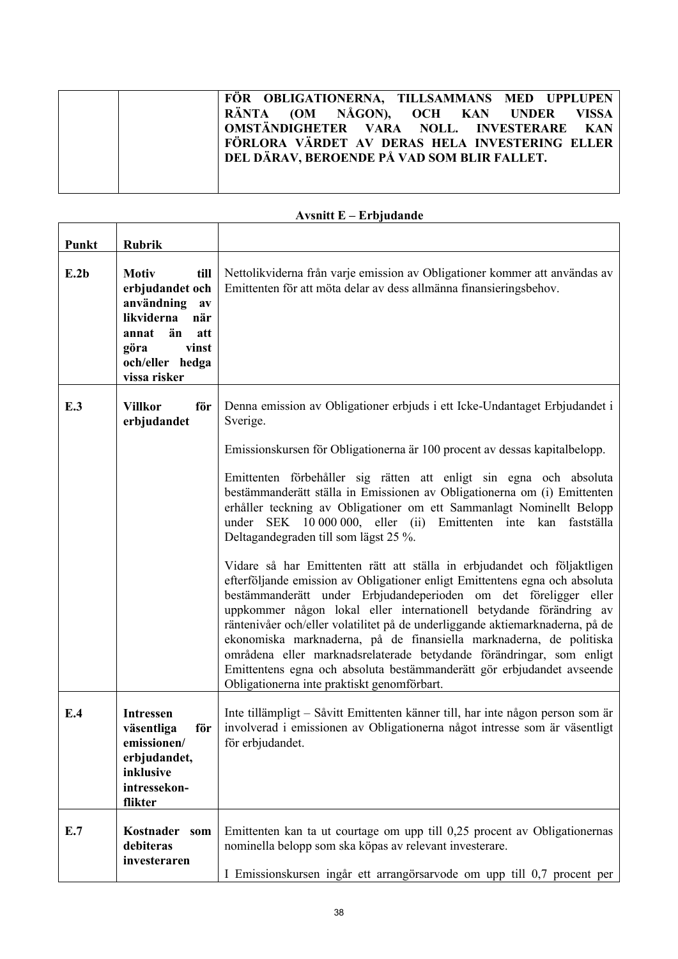|  |  |  |  |  | FÖR OBLIGATIONERNA, TILLSAMMANS MED UPPLUPEN   |  |
|--|--|--|--|--|------------------------------------------------|--|
|  |  |  |  |  | RÄNTA (OM NÅGON), OCH KAN UNDER VISSA          |  |
|  |  |  |  |  | OMSTÄNDIGHETER VARA NOLL. INVESTERARE KAN      |  |
|  |  |  |  |  | FÖRLORA VÄRDET AV DERAS HELA INVESTERING ELLER |  |
|  |  |  |  |  | DEL DÄRAV, BEROENDE PÅ VAD SOM BLIR FALLET.    |  |
|  |  |  |  |  |                                                |  |
|  |  |  |  |  |                                                |  |

| Punkt | <b>Rubrik</b>                                                                                                                                                         |                                                                                                                                                                                                                                                                                                                                                                                                                                                                                                                                                                                                                                                                                                                                                                                                                                                                                                                                                                                                                                                                                                                              |
|-------|-----------------------------------------------------------------------------------------------------------------------------------------------------------------------|------------------------------------------------------------------------------------------------------------------------------------------------------------------------------------------------------------------------------------------------------------------------------------------------------------------------------------------------------------------------------------------------------------------------------------------------------------------------------------------------------------------------------------------------------------------------------------------------------------------------------------------------------------------------------------------------------------------------------------------------------------------------------------------------------------------------------------------------------------------------------------------------------------------------------------------------------------------------------------------------------------------------------------------------------------------------------------------------------------------------------|
| E.2b  | <b>Motiv</b><br>till<br>erbjudandet och<br>användning<br>$a\mathbf{v}$<br>likviderna<br>när<br>annat<br>än<br>att<br>vinst<br>göra<br>och/eller hedga<br>vissa risker | Nettolikviderna från varje emission av Obligationer kommer att användas av<br>Emittenten för att möta delar av dess allmänna finansieringsbehov.                                                                                                                                                                                                                                                                                                                                                                                                                                                                                                                                                                                                                                                                                                                                                                                                                                                                                                                                                                             |
| E.3   | <b>Villkor</b><br>för<br>erbjudandet                                                                                                                                  | Denna emission av Obligationer erbjuds i ett Icke-Undantaget Erbjudandet i<br>Sverige.<br>Emissionskursen för Obligationerna är 100 procent av dessas kapitalbelopp.<br>Emittenten förbehåller sig rätten att enligt sin egna och absoluta<br>bestämmanderätt ställa in Emissionen av Obligationerna om (i) Emittenten<br>erhåller teckning av Obligationer om ett Sammanlagt Nominellt Belopp<br>under SEK 10 000 000, eller (ii) Emittenten inte kan<br>fastställa<br>Deltagandegraden till som lägst 25 %.<br>Vidare så har Emittenten rätt att ställa in erbjudandet och följaktligen<br>efterföljande emission av Obligationer enligt Emittentens egna och absoluta<br>bestämmanderätt under Erbjudandeperioden om det föreligger eller<br>uppkommer någon lokal eller internationell betydande förändring av<br>räntenivåer och/eller volatilitet på de underliggande aktiemarknaderna, på de<br>ekonomiska marknaderna, på de finansiella marknaderna, de politiska<br>områdena eller marknadsrelaterade betydande förändringar, som enligt<br>Emittentens egna och absoluta bestämmanderätt gör erbjudandet avseende |
| E.4   | <b>Intressen</b><br>väsentliga<br>för<br>emissionen/<br>erbjudandet,<br>inklusive<br>intressekon-<br>flikter                                                          | Obligationerna inte praktiskt genomförbart.<br>Inte tillämpligt – Såvitt Emittenten känner till, har inte någon person som är<br>involverad i emissionen av Obligationerna något intresse som är väsentligt<br>för erbjudandet.                                                                                                                                                                                                                                                                                                                                                                                                                                                                                                                                                                                                                                                                                                                                                                                                                                                                                              |
| E.7   | Kostnader som<br>debiteras<br>investeraren                                                                                                                            | Emittenten kan ta ut courtage om upp till 0,25 procent av Obligationernas<br>nominella belopp som ska köpas av relevant investerare.<br>I Emissionskursen ingår ett arrangörsarvode om upp till 0,7 procent per                                                                                                                                                                                                                                                                                                                                                                                                                                                                                                                                                                                                                                                                                                                                                                                                                                                                                                              |

## **Avsnitt E – Erbjudande**